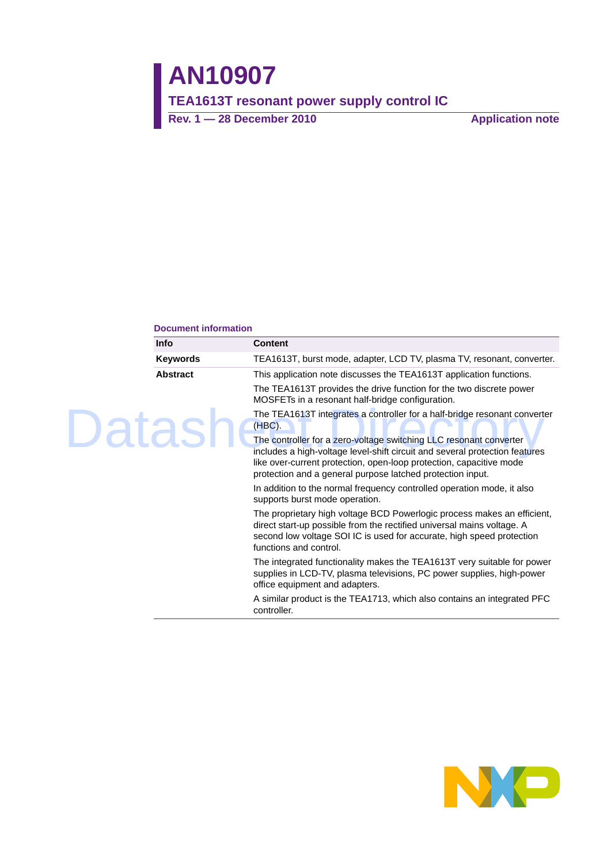#### **Document information**

|        | <b>Info</b>     | Content                                                                                                                                                                                                                                                                                |
|--------|-----------------|----------------------------------------------------------------------------------------------------------------------------------------------------------------------------------------------------------------------------------------------------------------------------------------|
|        | <b>Keywords</b> | TEA1613T, burst mode, adapter, LCD TV, plasma TV, resonant, converter.                                                                                                                                                                                                                 |
| Datash | <b>Abstract</b> | This application note discusses the TEA1613T application functions.                                                                                                                                                                                                                    |
|        |                 | The TEA1613T provides the drive function for the two discrete power<br>MOSFETs in a resonant half-bridge configuration.                                                                                                                                                                |
|        |                 | The TEA1613T integrates a controller for a half-bridge resonant converter<br>$(HBC)$ .                                                                                                                                                                                                 |
|        |                 | The controller for a zero-voltage switching LLC resonant converter<br>includes a high-voltage level-shift circuit and several protection features<br>like over-current protection, open-loop protection, capacitive mode<br>protection and a general purpose latched protection input. |
|        |                 | In addition to the normal frequency controlled operation mode, it also<br>supports burst mode operation.                                                                                                                                                                               |
|        |                 | The proprietary high voltage BCD Powerlogic process makes an efficient,<br>direct start-up possible from the rectified universal mains voltage. A<br>second low voltage SOI IC is used for accurate, high speed protection<br>functions and control.                                   |
|        |                 | The integrated functionality makes the TEA1613T very suitable for power<br>supplies in LCD-TV, plasma televisions, PC power supplies, high-power<br>office equipment and adapters.                                                                                                     |
|        |                 | A similar product is the TEA1713, which also contains an integrated PFC<br>controller.                                                                                                                                                                                                 |

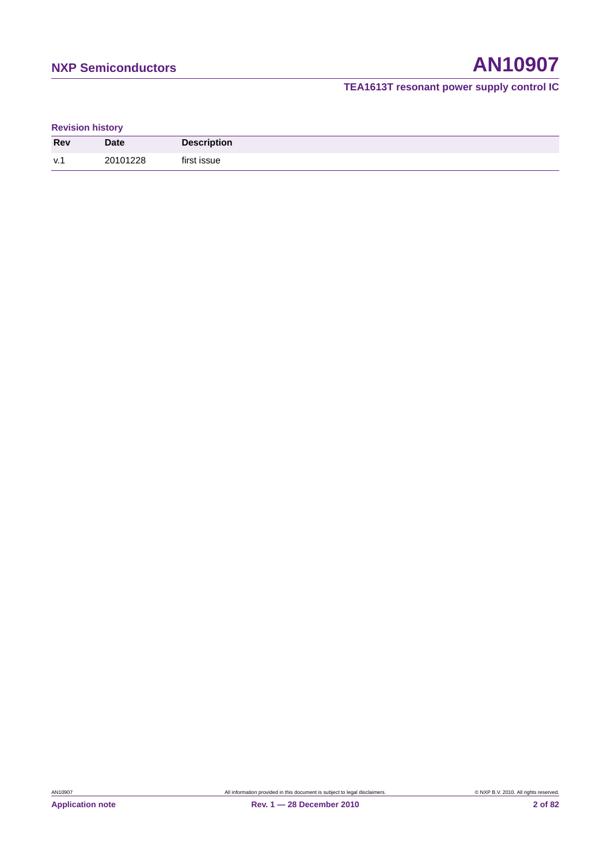## **NXP Semiconductors AN10907**

### **TEA1613T resonant power supply control IC**

#### **Revision history**

| <b>Rev</b> | <b>Date</b> | <b>Description</b> |
|------------|-------------|--------------------|
| V.1        | 20101228    | first issue        |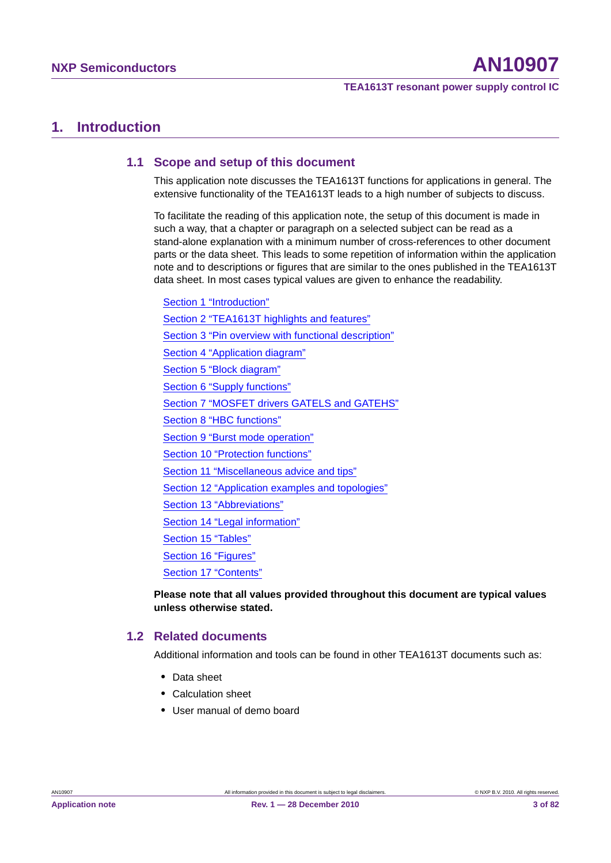### **1. Introduction**

#### **1.1 Scope and setup of this document**

This application note discusses the TEA1613T functions for applications in general. The extensive functionality of the TEA1613T leads to a high number of subjects to discuss.

To facilitate the reading of this application note, the setup of this document is made in such a way, that a chapter or paragraph on a selected subject can be read as a stand-alone explanation with a minimum number of cross-references to other document parts or the data sheet. This leads to some repetition of information within the application note and to descriptions or figures that are similar to the ones published in the TEA1613T data sheet. In most cases typical values are given to enhance the readability.

Section 1 "Introduction" Section 2 "TEA1613T highlights and features" Section 3 "Pin overview with functional description" Section 4 "Application diagram" Section 5 "Block diagram" Section 6 "Supply functions" Section 7 "MOSFET drivers GATELS and GATEHS" Section 8 "HBC functions" Section 9 "Burst mode operation" Section 10 "Protection functions" Section 11 "Miscellaneous advice and tips" Section 12 "Application examples and topologies" Section 13 "Abbreviations" Section 14 "Legal information" Section 15 "Tables" Section 16 "Figures" Section 17 "Contents"

**Please note that all values provided throughout this document are typical values unless otherwise stated.**

#### **1.2 Related documents**

Additional information and tools can be found in other TEA1613T documents such as:

- **•** Data sheet
- **•** Calculation sheet
- **•** User manual of demo board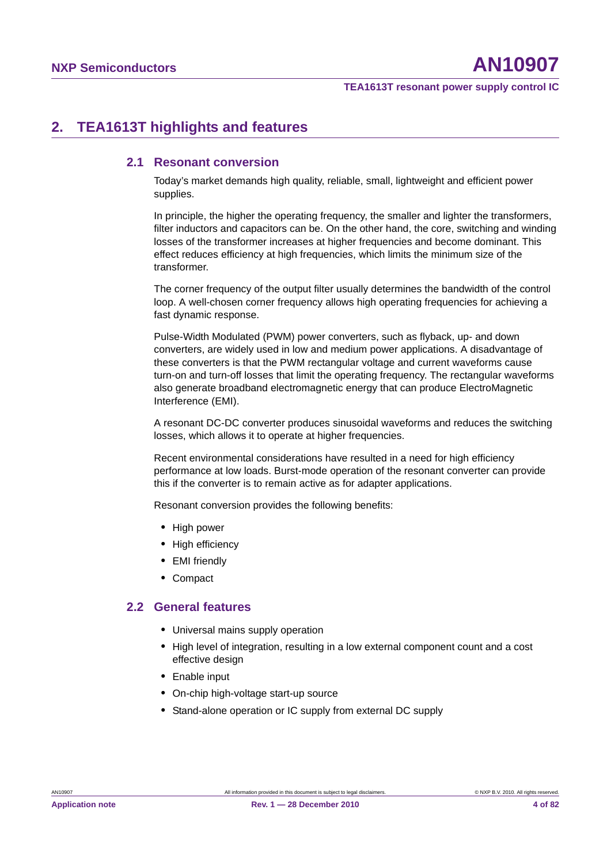## **2. TEA1613T highlights and features**

#### **2.1 Resonant conversion**

Today's market demands high quality, reliable, small, lightweight and efficient power supplies.

In principle, the higher the operating frequency, the smaller and lighter the transformers, filter inductors and capacitors can be. On the other hand, the core, switching and winding losses of the transformer increases at higher frequencies and become dominant. This effect reduces efficiency at high frequencies, which limits the minimum size of the transformer.

The corner frequency of the output filter usually determines the bandwidth of the control loop. A well-chosen corner frequency allows high operating frequencies for achieving a fast dynamic response.

Pulse-Width Modulated (PWM) power converters, such as flyback, up- and down converters, are widely used in low and medium power applications. A disadvantage of these converters is that the PWM rectangular voltage and current waveforms cause turn-on and turn-off losses that limit the operating frequency. The rectangular waveforms also generate broadband electromagnetic energy that can produce ElectroMagnetic Interference (EMI).

A resonant DC-DC converter produces sinusoidal waveforms and reduces the switching losses, which allows it to operate at higher frequencies.

Recent environmental considerations have resulted in a need for high efficiency performance at low loads. Burst-mode operation of the resonant converter can provide this if the converter is to remain active as for adapter applications.

Resonant conversion provides the following benefits:

- **•** High power
- **•** High efficiency
- **•** EMI friendly
- **•** Compact

#### **2.2 General features**

- **•** Universal mains supply operation
- **•** High level of integration, resulting in a low external component count and a cost effective design
- **•** Enable input
- **•** On-chip high-voltage start-up source
- **•** Stand-alone operation or IC supply from external DC supply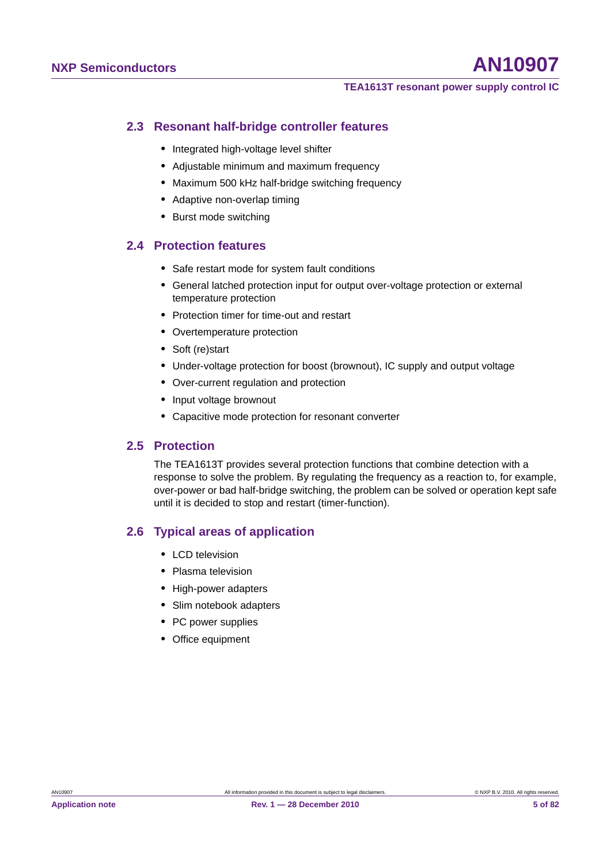#### **2.3 Resonant half-bridge controller features**

- **•** Integrated high-voltage level shifter
- **•** Adjustable minimum and maximum frequency
- **•** Maximum 500 kHz half-bridge switching frequency
- **•** Adaptive non-overlap timing
- **•** Burst mode switching

#### **2.4 Protection features**

- **•** Safe restart mode for system fault conditions
- **•** General latched protection input for output over-voltage protection or external temperature protection
- **•** Protection timer for time-out and restart
- **•** Overtemperature protection
- **•** Soft (re)start
- **•** Under-voltage protection for boost (brownout), IC supply and output voltage
- **•** Over-current regulation and protection
- **•** Input voltage brownout
- **•** Capacitive mode protection for resonant converter

#### **2.5 Protection**

The TEA1613T provides several protection functions that combine detection with a response to solve the problem. By regulating the frequency as a reaction to, for example, over-power or bad half-bridge switching, the problem can be solved or operation kept safe until it is decided to stop and restart (timer-function).

#### **2.6 Typical areas of application**

- **•** LCD television
- **•** Plasma television
- **•** High-power adapters
- **•** Slim notebook adapters
- **•** PC power supplies
- **•** Office equipment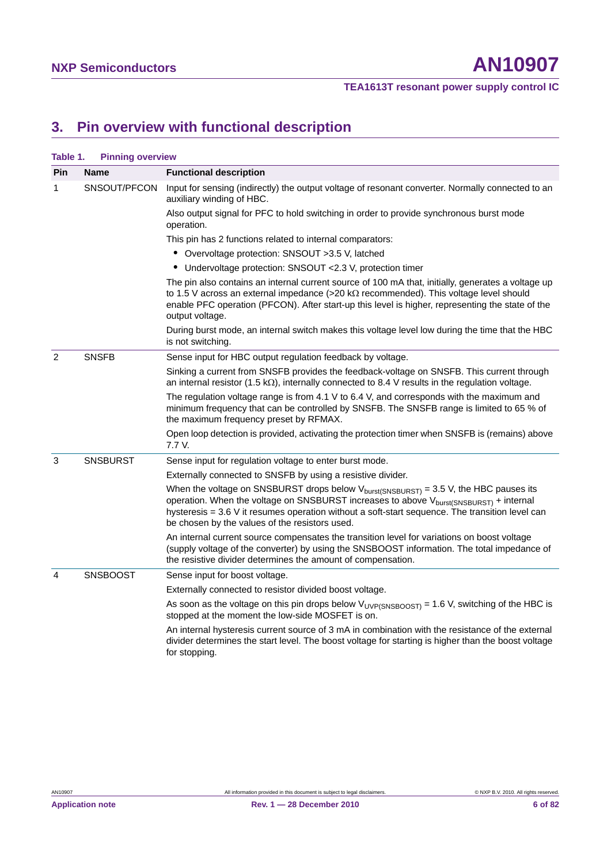## **3. Pin overview with functional description**

| Table 1. | <b>Pinning overview</b> |                                                                                                                                                                                                                                                                                                                                                        |  |  |
|----------|-------------------------|--------------------------------------------------------------------------------------------------------------------------------------------------------------------------------------------------------------------------------------------------------------------------------------------------------------------------------------------------------|--|--|
| Pin      | <b>Name</b>             | <b>Functional description</b>                                                                                                                                                                                                                                                                                                                          |  |  |
| 1        | SNSOUT/PFCON            | Input for sensing (indirectly) the output voltage of resonant converter. Normally connected to an<br>auxiliary winding of HBC.                                                                                                                                                                                                                         |  |  |
|          |                         | Also output signal for PFC to hold switching in order to provide synchronous burst mode<br>operation.                                                                                                                                                                                                                                                  |  |  |
|          |                         | This pin has 2 functions related to internal comparators:                                                                                                                                                                                                                                                                                              |  |  |
|          |                         | • Overvoltage protection: SNSOUT >3.5 V, latched                                                                                                                                                                                                                                                                                                       |  |  |
|          |                         | • Undervoltage protection: SNSOUT < 2.3 V, protection timer                                                                                                                                                                                                                                                                                            |  |  |
|          |                         | The pin also contains an internal current source of 100 mA that, initially, generates a voltage up<br>to 1.5 V across an external impedance (>20 k $\Omega$ recommended). This voltage level should<br>enable PFC operation (PFCON). After start-up this level is higher, representing the state of the<br>output voltage.                             |  |  |
|          |                         | During burst mode, an internal switch makes this voltage level low during the time that the HBC<br>is not switching.                                                                                                                                                                                                                                   |  |  |
| 2        | <b>SNSFB</b>            | Sense input for HBC output regulation feedback by voltage.                                                                                                                                                                                                                                                                                             |  |  |
|          |                         | Sinking a current from SNSFB provides the feedback-voltage on SNSFB. This current through<br>an internal resistor (1.5 k $\Omega$ ), internally connected to 8.4 V results in the regulation voltage.                                                                                                                                                  |  |  |
|          |                         | The regulation voltage range is from 4.1 V to 6.4 V, and corresponds with the maximum and<br>minimum frequency that can be controlled by SNSFB. The SNSFB range is limited to 65 % of<br>the maximum frequency preset by RFMAX.                                                                                                                        |  |  |
|          |                         | Open loop detection is provided, activating the protection timer when SNSFB is (remains) above<br>7.7 V.                                                                                                                                                                                                                                               |  |  |
| 3        | <b>SNSBURST</b>         | Sense input for regulation voltage to enter burst mode.                                                                                                                                                                                                                                                                                                |  |  |
|          |                         | Externally connected to SNSFB by using a resistive divider.                                                                                                                                                                                                                                                                                            |  |  |
|          |                         | When the voltage on SNSBURST drops below $V_{burst(SNSBURST)} = 3.5 V$ , the HBC pauses its<br>operation. When the voltage on SNSBURST increases to above V <sub>burst(SNSBURST)</sub> + internal<br>hysteresis = 3.6 V it resumes operation without a soft-start sequence. The transition level can<br>be chosen by the values of the resistors used. |  |  |
|          |                         | An internal current source compensates the transition level for variations on boost voltage<br>(supply voltage of the converter) by using the SNSBOOST information. The total impedance of<br>the resistive divider determines the amount of compensation.                                                                                             |  |  |
| 4        | <b>SNSBOOST</b>         | Sense input for boost voltage.                                                                                                                                                                                                                                                                                                                         |  |  |
|          |                         | Externally connected to resistor divided boost voltage.                                                                                                                                                                                                                                                                                                |  |  |
|          |                         | As soon as the voltage on this pin drops below $V_{UVP(SNSBOOST)} = 1.6 V$ , switching of the HBC is<br>stopped at the moment the low-side MOSFET is on.                                                                                                                                                                                               |  |  |
|          |                         | An internal hysteresis current source of 3 mA in combination with the resistance of the external<br>divider determines the start level. The boost voltage for starting is higher than the boost voltage<br>for stopping.                                                                                                                               |  |  |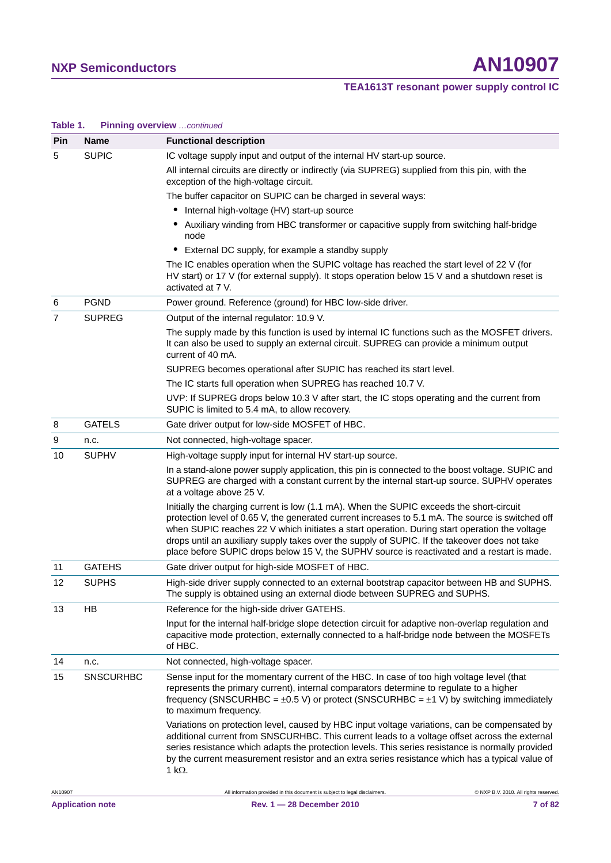| $I$ anic $I$ .                                                                   | <b>Filling Overview</b> Commuted |                                                                                                                                                                                                                                                                                                                                                                                                                                                                                                |  |  |  |  |
|----------------------------------------------------------------------------------|----------------------------------|------------------------------------------------------------------------------------------------------------------------------------------------------------------------------------------------------------------------------------------------------------------------------------------------------------------------------------------------------------------------------------------------------------------------------------------------------------------------------------------------|--|--|--|--|
| <b>Pin</b>                                                                       | <b>Name</b>                      | <b>Functional description</b>                                                                                                                                                                                                                                                                                                                                                                                                                                                                  |  |  |  |  |
| 5                                                                                | <b>SUPIC</b>                     | IC voltage supply input and output of the internal HV start-up source.                                                                                                                                                                                                                                                                                                                                                                                                                         |  |  |  |  |
|                                                                                  |                                  | All internal circuits are directly or indirectly (via SUPREG) supplied from this pin, with the<br>exception of the high-voltage circuit.                                                                                                                                                                                                                                                                                                                                                       |  |  |  |  |
|                                                                                  |                                  | The buffer capacitor on SUPIC can be charged in several ways:                                                                                                                                                                                                                                                                                                                                                                                                                                  |  |  |  |  |
|                                                                                  |                                  | • Internal high-voltage (HV) start-up source                                                                                                                                                                                                                                                                                                                                                                                                                                                   |  |  |  |  |
|                                                                                  |                                  | Auxiliary winding from HBC transformer or capacitive supply from switching half-bridge<br>node                                                                                                                                                                                                                                                                                                                                                                                                 |  |  |  |  |
|                                                                                  |                                  | External DC supply, for example a standby supply                                                                                                                                                                                                                                                                                                                                                                                                                                               |  |  |  |  |
|                                                                                  |                                  | The IC enables operation when the SUPIC voltage has reached the start level of 22 V (for<br>HV start) or 17 V (for external supply). It stops operation below 15 V and a shutdown reset is<br>activated at 7 V.                                                                                                                                                                                                                                                                                |  |  |  |  |
| 6                                                                                | <b>PGND</b>                      | Power ground. Reference (ground) for HBC low-side driver.                                                                                                                                                                                                                                                                                                                                                                                                                                      |  |  |  |  |
| <b>SUPREG</b><br>7<br>Output of the internal regulator: 10.9 V.                  |                                  |                                                                                                                                                                                                                                                                                                                                                                                                                                                                                                |  |  |  |  |
|                                                                                  |                                  | The supply made by this function is used by internal IC functions such as the MOSFET drivers.<br>It can also be used to supply an external circuit. SUPREG can provide a minimum output<br>current of 40 mA.                                                                                                                                                                                                                                                                                   |  |  |  |  |
|                                                                                  |                                  | SUPREG becomes operational after SUPIC has reached its start level.                                                                                                                                                                                                                                                                                                                                                                                                                            |  |  |  |  |
|                                                                                  |                                  | The IC starts full operation when SUPREG has reached 10.7 V.                                                                                                                                                                                                                                                                                                                                                                                                                                   |  |  |  |  |
|                                                                                  |                                  | UVP: If SUPREG drops below 10.3 V after start, the IC stops operating and the current from<br>SUPIC is limited to 5.4 mA, to allow recovery.                                                                                                                                                                                                                                                                                                                                                   |  |  |  |  |
| 8                                                                                | <b>GATELS</b>                    | Gate driver output for low-side MOSFET of HBC.                                                                                                                                                                                                                                                                                                                                                                                                                                                 |  |  |  |  |
| 9                                                                                | n.c.                             | Not connected, high-voltage spacer.                                                                                                                                                                                                                                                                                                                                                                                                                                                            |  |  |  |  |
| <b>SUPHV</b><br>10<br>High-voltage supply input for internal HV start-up source. |                                  |                                                                                                                                                                                                                                                                                                                                                                                                                                                                                                |  |  |  |  |
|                                                                                  |                                  | In a stand-alone power supply application, this pin is connected to the boost voltage. SUPIC and<br>SUPREG are charged with a constant current by the internal start-up source. SUPHV operates<br>at a voltage above 25 V.                                                                                                                                                                                                                                                                     |  |  |  |  |
|                                                                                  |                                  | Initially the charging current is low (1.1 mA). When the SUPIC exceeds the short-circuit<br>protection level of 0.65 V, the generated current increases to 5.1 mA. The source is switched off<br>when SUPIC reaches 22 V which initiates a start operation. During start operation the voltage<br>drops until an auxiliary supply takes over the supply of SUPIC. If the takeover does not take<br>place before SUPIC drops below 15 V, the SUPHV source is reactivated and a restart is made. |  |  |  |  |
| 11                                                                               | <b>GATEHS</b>                    | Gate driver output for high-side MOSFET of HBC.                                                                                                                                                                                                                                                                                                                                                                                                                                                |  |  |  |  |
| 12                                                                               | <b>SUPHS</b>                     | High-side driver supply connected to an external bootstrap capacitor between HB and SUPHS.<br>The supply is obtained using an external diode between SUPREG and SUPHS.                                                                                                                                                                                                                                                                                                                         |  |  |  |  |
| 13                                                                               | HB                               | Reference for the high-side driver GATEHS.                                                                                                                                                                                                                                                                                                                                                                                                                                                     |  |  |  |  |
|                                                                                  |                                  | Input for the internal half-bridge slope detection circuit for adaptive non-overlap regulation and<br>capacitive mode protection, externally connected to a half-bridge node between the MOSFETs<br>of HBC.                                                                                                                                                                                                                                                                                    |  |  |  |  |
| 14                                                                               | n.c.                             | Not connected, high-voltage spacer.                                                                                                                                                                                                                                                                                                                                                                                                                                                            |  |  |  |  |
| 15                                                                               | <b>SNSCURHBC</b>                 | Sense input for the momentary current of the HBC. In case of too high voltage level (that<br>represents the primary current), internal comparators determine to regulate to a higher<br>frequency (SNSCURHBC = $\pm$ 0.5 V) or protect (SNSCURHBC = $\pm$ 1 V) by switching immediately<br>to maximum frequency.                                                                                                                                                                               |  |  |  |  |
|                                                                                  |                                  | Variations on protection level, caused by HBC input voltage variations, can be compensated by<br>additional current from SNSCURHBC. This current leads to a voltage offset across the external<br>series resistance which adapts the protection levels. This series resistance is normally provided<br>by the current measurement resistor and an extra series resistance which has a typical value of<br>1 k $\Omega$ .                                                                       |  |  |  |  |
| AN10907                                                                          |                                  | All information provided in this document is subject to legal disclaimers<br>© NXP B.V. 2010. All rights reserved.                                                                                                                                                                                                                                                                                                                                                                             |  |  |  |  |

#### **Table 1. Pinning overview** *…continued*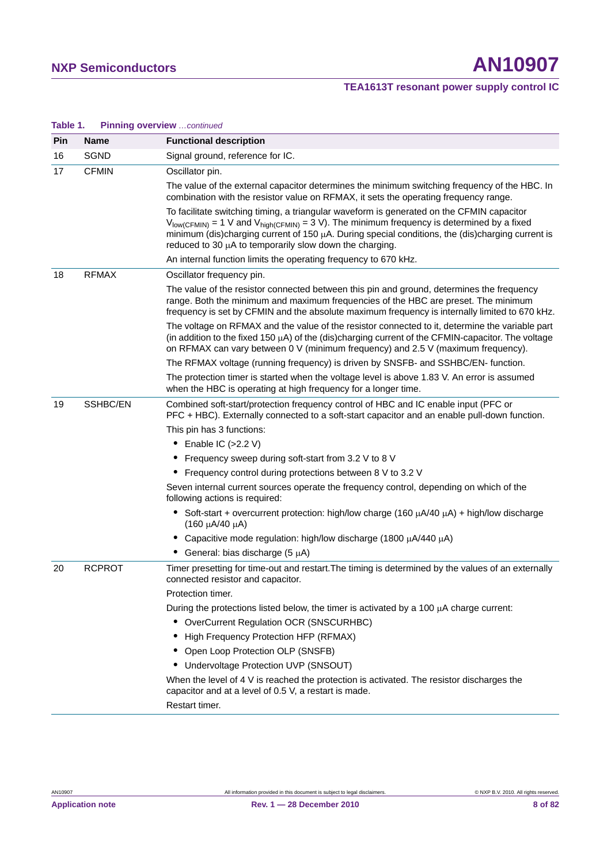## **NXP Semiconductors AN10907**

### **TEA1613T resonant power supply control IC**

| iuwit i i<br>Pin | <b>Name</b>   | <b>Functional description</b>                                                                                                                                                                                                                                                                                                                                                      |  |
|------------------|---------------|------------------------------------------------------------------------------------------------------------------------------------------------------------------------------------------------------------------------------------------------------------------------------------------------------------------------------------------------------------------------------------|--|
| 16               | <b>SGND</b>   | Signal ground, reference for IC.                                                                                                                                                                                                                                                                                                                                                   |  |
| 17               | <b>CFMIN</b>  | Oscillator pin.                                                                                                                                                                                                                                                                                                                                                                    |  |
|                  |               | The value of the external capacitor determines the minimum switching frequency of the HBC. In<br>combination with the resistor value on RFMAX, it sets the operating frequency range.                                                                                                                                                                                              |  |
|                  |               | To facilitate switching timing, a triangular waveform is generated on the CFMIN capacitor<br>$V_{\text{low(CFMIN)}}$ = 1 V and $V_{\text{high(CFMIN)}}$ = 3 V). The minimum frequency is determined by a fixed<br>minimum (dis)charging current of 150 µA. During special conditions, the (dis)charging current is<br>reduced to 30 $\mu$ A to temporarily slow down the charging. |  |
|                  |               | An internal function limits the operating frequency to 670 kHz.                                                                                                                                                                                                                                                                                                                    |  |
| 18               | <b>RFMAX</b>  | Oscillator frequency pin.                                                                                                                                                                                                                                                                                                                                                          |  |
|                  |               | The value of the resistor connected between this pin and ground, determines the frequency<br>range. Both the minimum and maximum frequencies of the HBC are preset. The minimum<br>frequency is set by CFMIN and the absolute maximum frequency is internally limited to 670 kHz.                                                                                                  |  |
|                  |               | The voltage on RFMAX and the value of the resistor connected to it, determine the variable part<br>(in addition to the fixed 150 µA) of the (dis)charging current of the CFMIN-capacitor. The voltage<br>on RFMAX can vary between 0 V (minimum frequency) and 2.5 V (maximum frequency).                                                                                          |  |
|                  |               | The RFMAX voltage (running frequency) is driven by SNSFB- and SSHBC/EN- function.                                                                                                                                                                                                                                                                                                  |  |
|                  |               | The protection timer is started when the voltage level is above 1.83 V. An error is assumed<br>when the HBC is operating at high frequency for a longer time.                                                                                                                                                                                                                      |  |
| 19               | SSHBC/EN      | Combined soft-start/protection frequency control of HBC and IC enable input (PFC or<br>PFC + HBC). Externally connected to a soft-start capacitor and an enable pull-down function.<br>This pin has 3 functions:<br>$\bullet$ Enable IC (>2.2 V)                                                                                                                                   |  |
|                  |               | • Frequency sweep during soft-start from 3.2 V to 8 V                                                                                                                                                                                                                                                                                                                              |  |
|                  |               | Frequency control during protections between 8 V to 3.2 V                                                                                                                                                                                                                                                                                                                          |  |
|                  |               | Seven internal current sources operate the frequency control, depending on which of the<br>following actions is required:                                                                                                                                                                                                                                                          |  |
|                  |               | Soft-start + overcurrent protection: high/low charge (160 $\mu$ A/40 $\mu$ A) + high/low discharge<br>(160 μA/40 μA)                                                                                                                                                                                                                                                               |  |
|                  |               | • Capacitive mode regulation: high/low discharge (1800 µA/440 µA)                                                                                                                                                                                                                                                                                                                  |  |
|                  |               | • General: bias discharge $(5 \mu A)$                                                                                                                                                                                                                                                                                                                                              |  |
| 20               | <b>RCPROT</b> | Timer presetting for time-out and restart. The timing is determined by the values of an externally<br>connected resistor and capacitor.                                                                                                                                                                                                                                            |  |
|                  |               | Protection timer.                                                                                                                                                                                                                                                                                                                                                                  |  |
|                  |               | During the protections listed below, the timer is activated by a 100 µA charge current:                                                                                                                                                                                                                                                                                            |  |
|                  |               | • OverCurrent Regulation OCR (SNSCURHBC)                                                                                                                                                                                                                                                                                                                                           |  |
|                  |               | High Frequency Protection HFP (RFMAX)                                                                                                                                                                                                                                                                                                                                              |  |
|                  |               | • Open Loop Protection OLP (SNSFB)                                                                                                                                                                                                                                                                                                                                                 |  |
|                  |               | Undervoltage Protection UVP (SNSOUT)                                                                                                                                                                                                                                                                                                                                               |  |
|                  |               | When the level of $4 \vee i$ s reached the protection is activated. The resistor discharges the<br>capacitor and at a level of 0.5 V, a restart is made.                                                                                                                                                                                                                           |  |
|                  |               | Restart timer.                                                                                                                                                                                                                                                                                                                                                                     |  |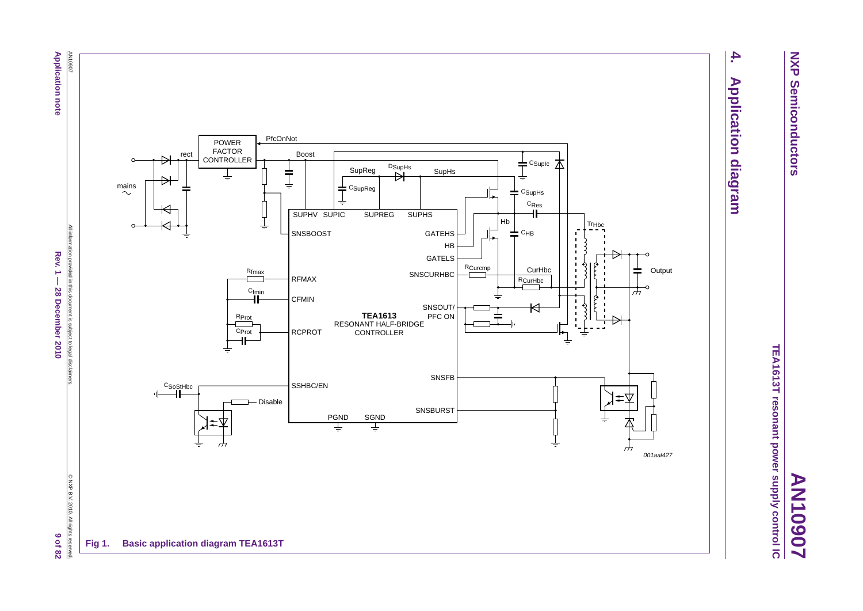**NXP Semiconductors NXP Semiconductors**

**AN10907**

TEA1613T resonant power supply control IC **TEA1613T resonant power supply control IC**

# $\overline{4}$ **4. Application diagram Application diagram**



**Application note Application note**

> All information provided in this document is subject to legal disclaimers. All information provided in this document is subject to legal disclaimers  $Rev.1 -$ Rev. 1  $-$  28 December 2010 9 of 82 **28 December 2010**

9 of 82  $\overline{B}$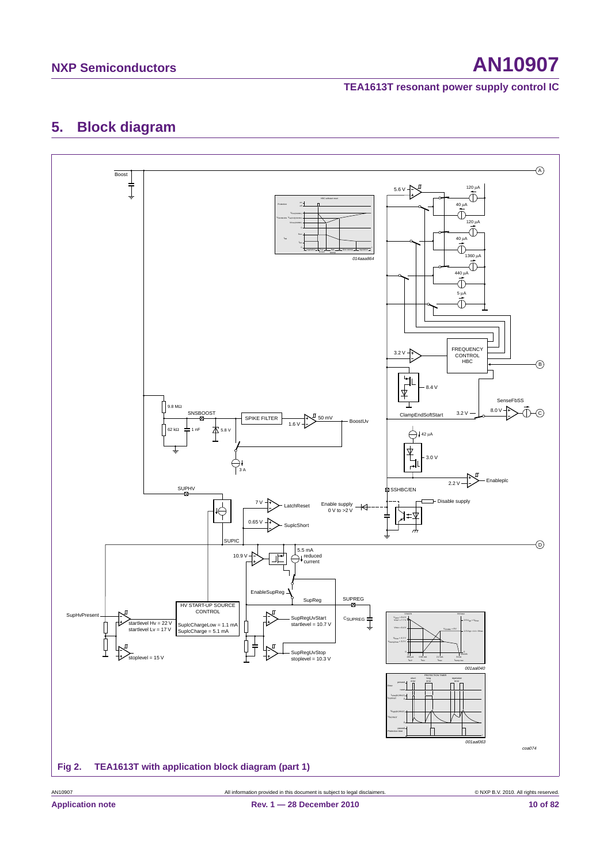## **NXP Semiconductors AN10907**

#### **TEA1613T resonant power supply control IC**

## **5. Block diagram**

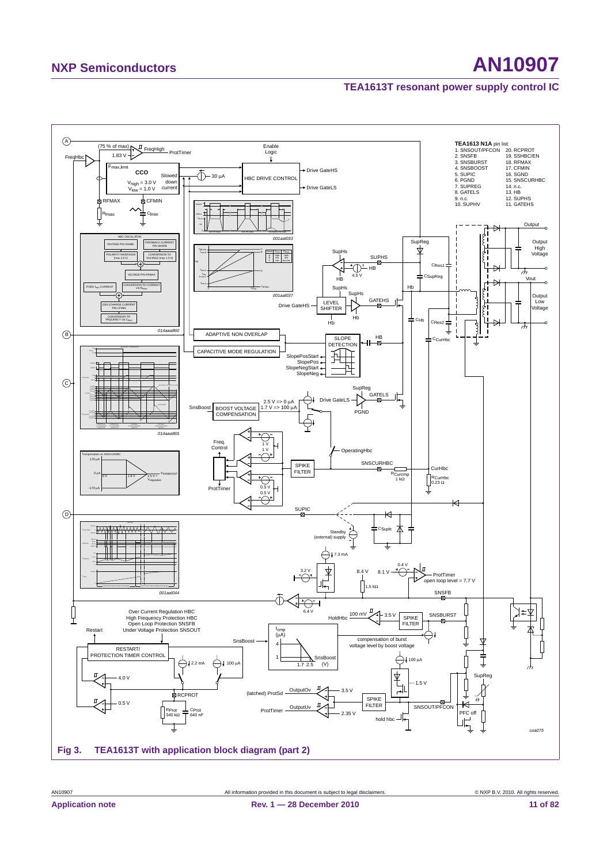## **NXP Semiconductors AN10907**

#### **TEA1613T resonant power supply control IC**

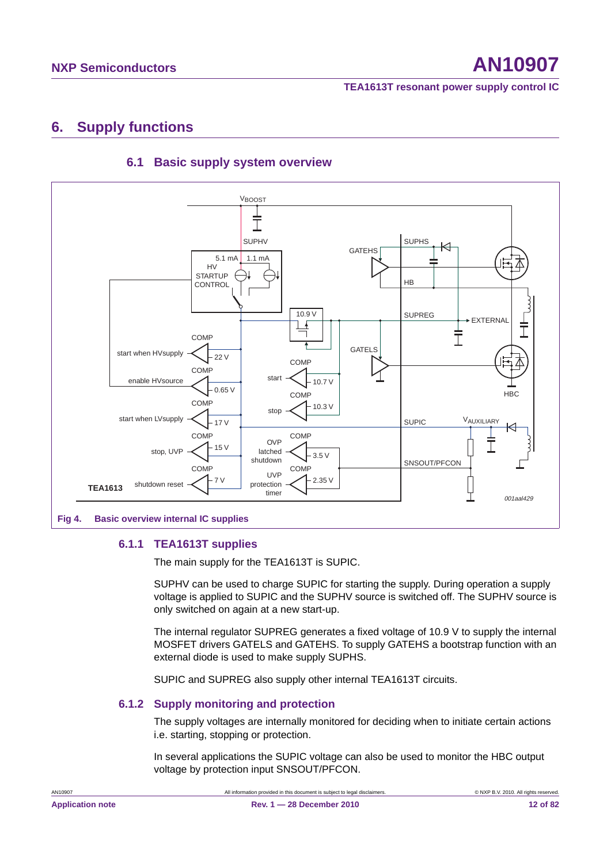## **6. Supply functions**



### **6.1 Basic supply system overview**

**6.1.1 TEA1613T supplies**

The main supply for the TEA1613T is SUPIC.

SUPHV can be used to charge SUPIC for starting the supply. During operation a supply voltage is applied to SUPIC and the SUPHV source is switched off. The SUPHV source is only switched on again at a new start-up.

The internal regulator SUPREG generates a fixed voltage of 10.9 V to supply the internal MOSFET drivers GATELS and GATEHS. To supply GATEHS a bootstrap function with an external diode is used to make supply SUPHS.

SUPIC and SUPREG also supply other internal TEA1613T circuits.

#### **6.1.2 Supply monitoring and protection**

The supply voltages are internally monitored for deciding when to initiate certain actions i.e. starting, stopping or protection.

In several applications the SUPIC voltage can also be used to monitor the HBC output voltage by protection input SNSOUT/PFCON.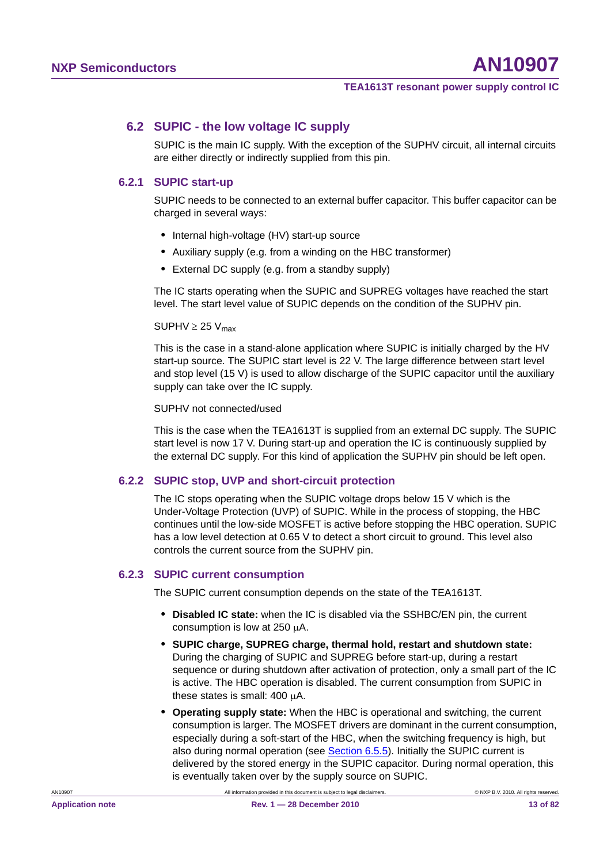#### **6.2 SUPIC - the low voltage IC supply**

SUPIC is the main IC supply. With the exception of the SUPHV circuit, all internal circuits are either directly or indirectly supplied from this pin.

#### **6.2.1 SUPIC start-up**

SUPIC needs to be connected to an external buffer capacitor. This buffer capacitor can be charged in several ways:

- **•** Internal high-voltage (HV) start-up source
- **•** Auxiliary supply (e.g. from a winding on the HBC transformer)
- **•** External DC supply (e.g. from a standby supply)

The IC starts operating when the SUPIC and SUPREG voltages have reached the start level. The start level value of SUPIC depends on the condition of the SUPHV pin.

#### $SUPHV \geq 25 V_{max}$

This is the case in a stand-alone application where SUPIC is initially charged by the HV start-up source. The SUPIC start level is 22 V. The large difference between start level and stop level (15 V) is used to allow discharge of the SUPIC capacitor until the auxiliary supply can take over the IC supply.

#### SUPHV not connected/used

This is the case when the TEA1613T is supplied from an external DC supply. The SUPIC start level is now 17 V. During start-up and operation the IC is continuously supplied by the external DC supply. For this kind of application the SUPHV pin should be left open.

#### **6.2.2 SUPIC stop, UVP and short-circuit protection**

The IC stops operating when the SUPIC voltage drops below 15 V which is the Under-Voltage Protection (UVP) of SUPIC. While in the process of stopping, the HBC continues until the low-side MOSFET is active before stopping the HBC operation. SUPIC has a low level detection at 0.65 V to detect a short circuit to ground. This level also controls the current source from the SUPHV pin.

#### **6.2.3 SUPIC current consumption**

The SUPIC current consumption depends on the state of the TEA1613T.

- **• Disabled IC state:** when the IC is disabled via the SSHBC/EN pin, the current consumption is low at  $250 \mu A$ .
- **• SUPIC charge, SUPREG charge, thermal hold, restart and shutdown state:** During the charging of SUPIC and SUPREG before start-up, during a restart sequence or during shutdown after activation of protection, only a small part of the IC is active. The HBC operation is disabled. The current consumption from SUPIC in these states is small:  $400 \mu A$ .
- **• Operating supply state:** When the HBC is operational and switching, the current consumption is larger. The MOSFET drivers are dominant in the current consumption, especially during a soft-start of the HBC, when the switching frequency is high, but also during normal operation (see Section 6.5.5). Initially the SUPIC current is delivered by the stored energy in the SUPIC capacitor. During normal operation, this is eventually taken over by the supply source on SUPIC.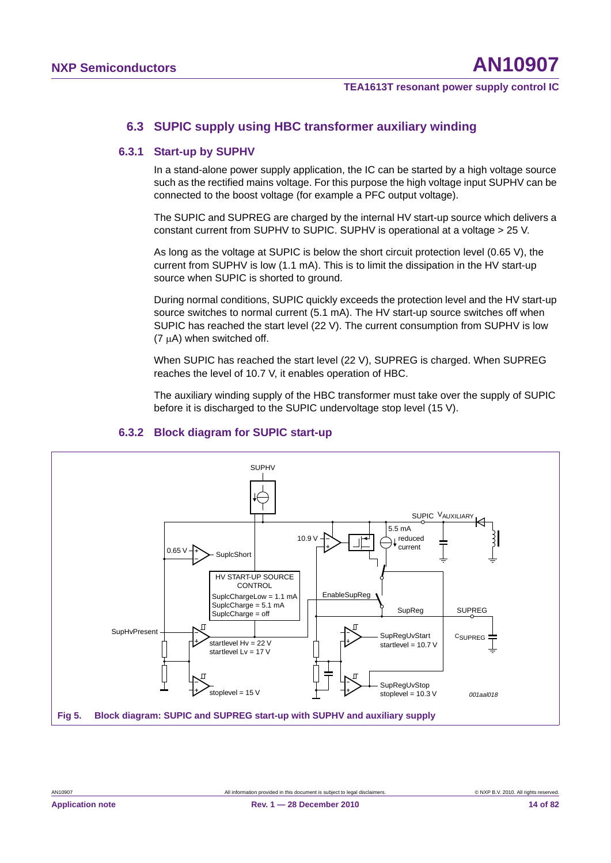#### **6.3 SUPIC supply using HBC transformer auxiliary winding**

#### **6.3.1 Start-up by SUPHV**

In a stand-alone power supply application, the IC can be started by a high voltage source such as the rectified mains voltage. For this purpose the high voltage input SUPHV can be connected to the boost voltage (for example a PFC output voltage).

The SUPIC and SUPREG are charged by the internal HV start-up source which delivers a constant current from SUPHV to SUPIC. SUPHV is operational at a voltage > 25 V.

As long as the voltage at SUPIC is below the short circuit protection level (0.65 V), the current from SUPHV is low (1.1 mA). This is to limit the dissipation in the HV start-up source when SUPIC is shorted to ground.

During normal conditions, SUPIC quickly exceeds the protection level and the HV start-up source switches to normal current (5.1 mA). The HV start-up source switches off when SUPIC has reached the start level (22 V). The current consumption from SUPHV is low  $(7 \mu A)$  when switched off.

When SUPIC has reached the start level (22 V), SUPREG is charged. When SUPREG reaches the level of 10.7 V, it enables operation of HBC.

The auxiliary winding supply of the HBC transformer must take over the supply of SUPIC before it is discharged to the SUPIC undervoltage stop level (15 V).



#### **6.3.2 Block diagram for SUPIC start-up**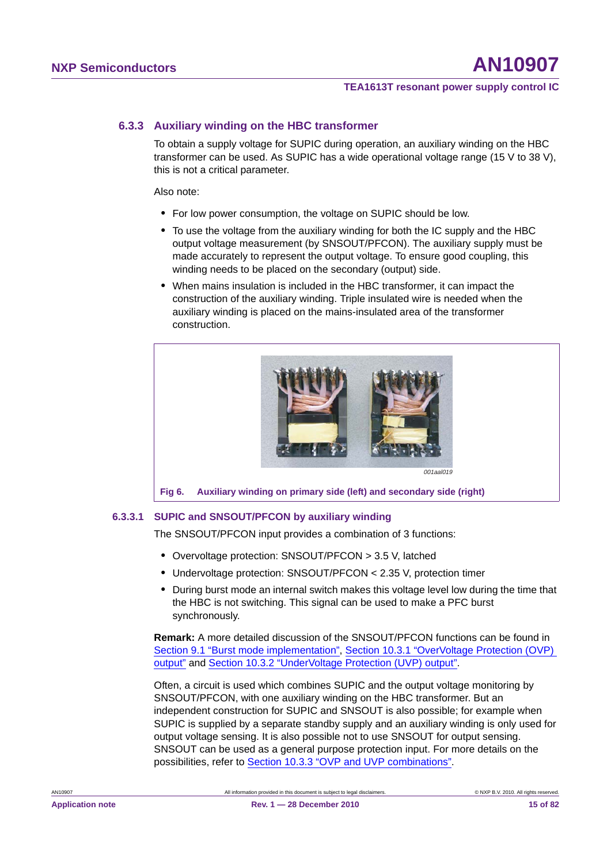#### **6.3.3 Auxiliary winding on the HBC transformer**

To obtain a supply voltage for SUPIC during operation, an auxiliary winding on the HBC transformer can be used. As SUPIC has a wide operational voltage range (15 V to 38 V), this is not a critical parameter.

Also note:

- **•** For low power consumption, the voltage on SUPIC should be low.
- **•** To use the voltage from the auxiliary winding for both the IC supply and the HBC output voltage measurement (by SNSOUT/PFCON). The auxiliary supply must be made accurately to represent the output voltage. To ensure good coupling, this winding needs to be placed on the secondary (output) side.
- **•** When mains insulation is included in the HBC transformer, it can impact the construction of the auxiliary winding. Triple insulated wire is needed when the auxiliary winding is placed on the mains-insulated area of the transformer construction.



#### **6.3.3.1 SUPIC and SNSOUT/PFCON by auxiliary winding**

The SNSOUT/PFCON input provides a combination of 3 functions:

- **•** Overvoltage protection: SNSOUT/PFCON > 3.5 V, latched
- **•** Undervoltage protection: SNSOUT/PFCON < 2.35 V, protection timer
- **•** During burst mode an internal switch makes this voltage level low during the time that the HBC is not switching. This signal can be used to make a PFC burst synchronously.

**Remark:** A more detailed discussion of the SNSOUT/PFCON functions can be found in Section 9.1 "Burst mode implementation", Section 10.3.1 "OverVoltage Protection (OVP) output" and Section 10.3.2 "UnderVoltage Protection (UVP) output".

Often, a circuit is used which combines SUPIC and the output voltage monitoring by SNSOUT/PFCON, with one auxiliary winding on the HBC transformer. But an independent construction for SUPIC and SNSOUT is also possible; for example when SUPIC is supplied by a separate standby supply and an auxiliary winding is only used for output voltage sensing. It is also possible not to use SNSOUT for output sensing. SNSOUT can be used as a general purpose protection input. For more details on the possibilities, refer to Section 10.3.3 "OVP and UVP combinations".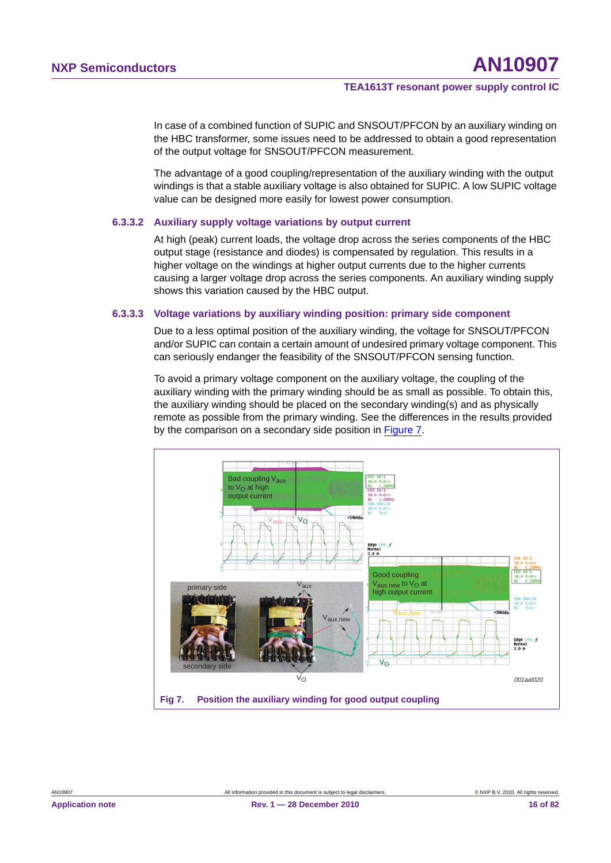In case of a combined function of SUPIC and SNSOUT/PFCON by an auxiliary winding on the HBC transformer, some issues need to be addressed to obtain a good representation of the output voltage for SNSOUT/PFCON measurement.

The advantage of a good coupling/representation of the auxiliary winding with the output windings is that a stable auxiliary voltage is also obtained for SUPIC. A low SUPIC voltage value can be designed more easily for lowest power consumption.

#### **6.3.3.2 Auxiliary supply voltage variations by output current**

At high (peak) current loads, the voltage drop across the series components of the HBC output stage (resistance and diodes) is compensated by regulation. This results in a higher voltage on the windings at higher output currents due to the higher currents causing a larger voltage drop across the series components. An auxiliary winding supply shows this variation caused by the HBC output.

#### **6.3.3.3 Voltage variations by auxiliary winding position: primary side component**

Due to a less optimal position of the auxiliary winding, the voltage for SNSOUT/PFCON and/or SUPIC can contain a certain amount of undesired primary voltage component. This can seriously endanger the feasibility of the SNSOUT/PFCON sensing function.

To avoid a primary voltage component on the auxiliary voltage, the coupling of the auxiliary winding with the primary winding should be as small as possible. To obtain this, the auxiliary winding should be placed on the secondary winding(s) and as physically remote as possible from the primary winding. See the differences in the results provided by the comparison on a secondary side position in Figure 7.

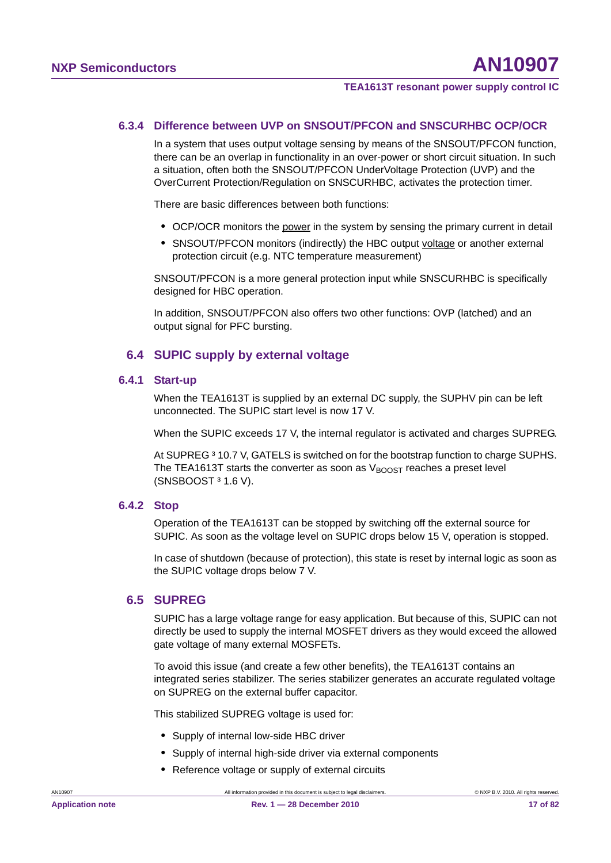#### **6.3.4 Difference between UVP on SNSOUT/PFCON and SNSCURHBC OCP/OCR**

In a system that uses output voltage sensing by means of the SNSOUT/PFCON function, there can be an overlap in functionality in an over-power or short circuit situation. In such a situation, often both the SNSOUT/PFCON UnderVoltage Protection (UVP) and the OverCurrent Protection/Regulation on SNSCURHBC, activates the protection timer.

There are basic differences between both functions:

- **•** OCP/OCR monitors the power in the system by sensing the primary current in detail
- **•** SNSOUT/PFCON monitors (indirectly) the HBC output voltage or another external protection circuit (e.g. NTC temperature measurement)

SNSOUT/PFCON is a more general protection input while SNSCURHBC is specifically designed for HBC operation.

In addition, SNSOUT/PFCON also offers two other functions: OVP (latched) and an output signal for PFC bursting.

#### **6.4 SUPIC supply by external voltage**

#### **6.4.1 Start-up**

When the TEA1613T is supplied by an external DC supply, the SUPHV pin can be left unconnected. The SUPIC start level is now 17 V.

When the SUPIC exceeds 17 V, the internal regulator is activated and charges SUPREG.

At SUPREG<sup>3</sup> 10.7 V, GATELS is switched on for the bootstrap function to charge SUPHS. The TEA1613T starts the converter as soon as  $V_{\text{BODST}}$  reaches a preset level  $(SNSBOOST<sup>3</sup> 1.6 V).$ 

#### **6.4.2 Stop**

Operation of the TEA1613T can be stopped by switching off the external source for SUPIC. As soon as the voltage level on SUPIC drops below 15 V, operation is stopped.

In case of shutdown (because of protection), this state is reset by internal logic as soon as the SUPIC voltage drops below 7 V.

#### **6.5 SUPREG**

SUPIC has a large voltage range for easy application. But because of this, SUPIC can not directly be used to supply the internal MOSFET drivers as they would exceed the allowed gate voltage of many external MOSFETs.

To avoid this issue (and create a few other benefits), the TEA1613T contains an integrated series stabilizer. The series stabilizer generates an accurate regulated voltage on SUPREG on the external buffer capacitor.

This stabilized SUPREG voltage is used for:

- **•** Supply of internal low-side HBC driver
- **•** Supply of internal high-side driver via external components
- **•** Reference voltage or supply of external circuits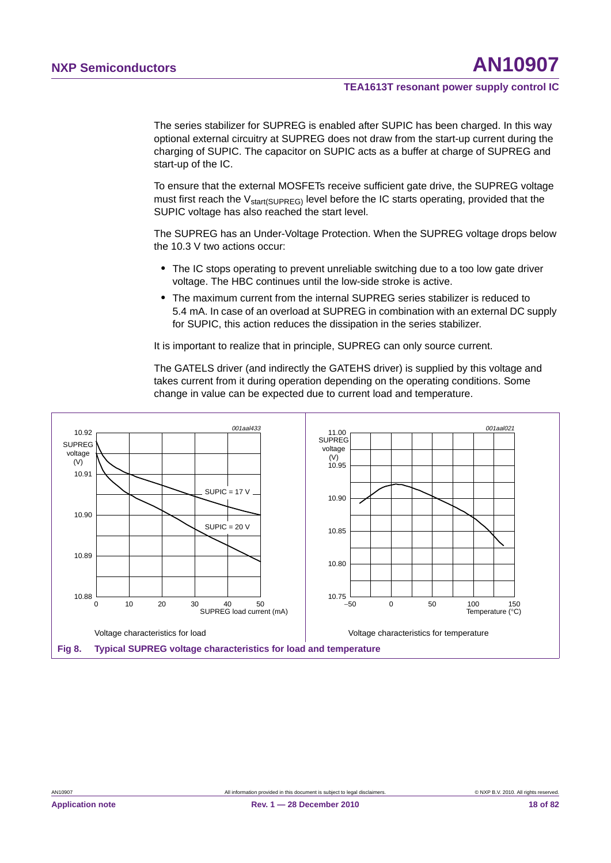The series stabilizer for SUPREG is enabled after SUPIC has been charged. In this way optional external circuitry at SUPREG does not draw from the start-up current during the charging of SUPIC. The capacitor on SUPIC acts as a buffer at charge of SUPREG and start-up of the IC.

To ensure that the external MOSFETs receive sufficient gate drive, the SUPREG voltage must first reach the V<sub>start(SUPREG)</sub> level before the IC starts operating, provided that the SUPIC voltage has also reached the start level.

The SUPREG has an Under-Voltage Protection. When the SUPREG voltage drops below the 10.3 V two actions occur:

- **•** The IC stops operating to prevent unreliable switching due to a too low gate driver voltage. The HBC continues until the low-side stroke is active.
- **•** The maximum current from the internal SUPREG series stabilizer is reduced to 5.4 mA. In case of an overload at SUPREG in combination with an external DC supply for SUPIC, this action reduces the dissipation in the series stabilizer.

It is important to realize that in principle, SUPREG can only source current.

The GATELS driver (and indirectly the GATEHS driver) is supplied by this voltage and takes current from it during operation depending on the operating conditions. Some change in value can be expected due to current load and temperature.

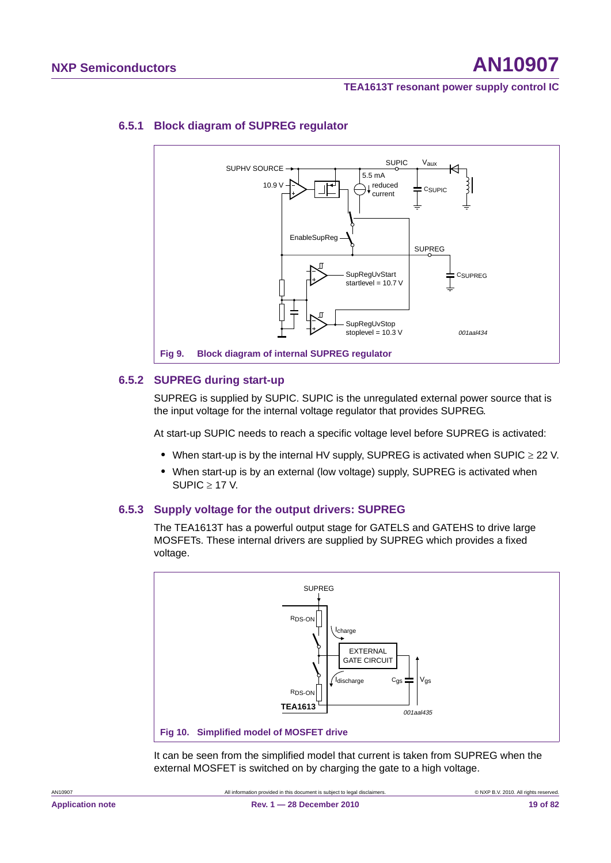

### **6.5.1 Block diagram of SUPREG regulator**

#### **6.5.2 SUPREG during start-up**

SUPREG is supplied by SUPIC. SUPIC is the unregulated external power source that is the input voltage for the internal voltage regulator that provides SUPREG.

At start-up SUPIC needs to reach a specific voltage level before SUPREG is activated:

- When start-up is by the internal HV supply, SUPREG is activated when SUPIC  $\geq$  22 V.
- **•** When start-up is by an external (low voltage) supply, SUPREG is activated when SUPIC  $\geq$  17 V.

#### **6.5.3 Supply voltage for the output drivers: SUPREG**

The TEA1613T has a powerful output stage for GATELS and GATEHS to drive large MOSFETs. These internal drivers are supplied by SUPREG which provides a fixed voltage.



It can be seen from the simplified model that current is taken from SUPREG when the external MOSFET is switched on by charging the gate to a high voltage.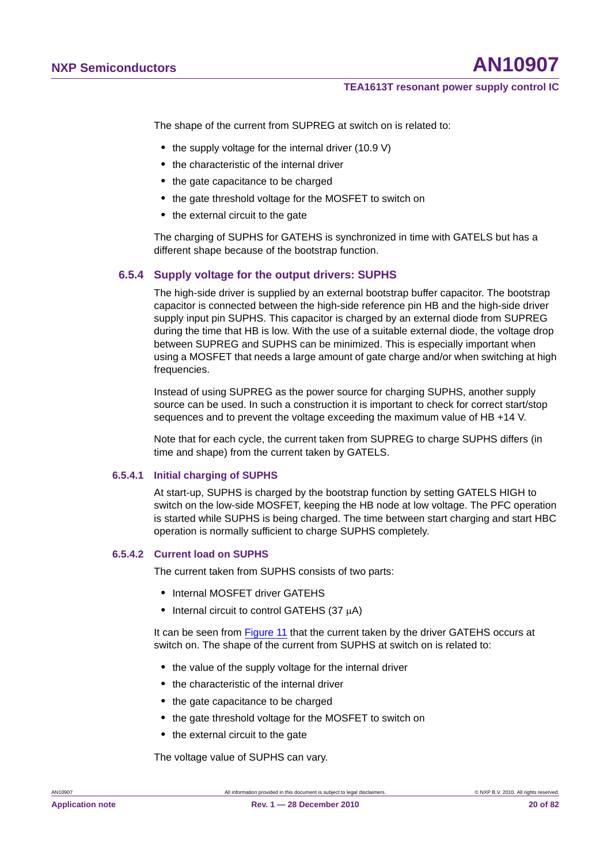The shape of the current from SUPREG at switch on is related to:

- the supply voltage for the internal driver (10.9 V)
- **•** the characteristic of the internal driver
- **•** the gate capacitance to be charged
- **•** the gate threshold voltage for the MOSFET to switch on
- the external circuit to the gate

The charging of SUPHS for GATEHS is synchronized in time with GATELS but has a different shape because of the bootstrap function.

#### **6.5.4 Supply voltage for the output drivers: SUPHS**

The high-side driver is supplied by an external bootstrap buffer capacitor. The bootstrap capacitor is connected between the high-side reference pin HB and the high-side driver supply input pin SUPHS. This capacitor is charged by an external diode from SUPREG during the time that HB is low. With the use of a suitable external diode, the voltage drop between SUPREG and SUPHS can be minimized. This is especially important when using a MOSFET that needs a large amount of gate charge and/or when switching at high frequencies.

Instead of using SUPREG as the power source for charging SUPHS, another supply source can be used. In such a construction it is important to check for correct start/stop sequences and to prevent the voltage exceeding the maximum value of HB +14 V.

Note that for each cycle, the current taken from SUPREG to charge SUPHS differs (in time and shape) from the current taken by GATELS.

#### **6.5.4.1 Initial charging of SUPHS**

At start-up, SUPHS is charged by the bootstrap function by setting GATELS HIGH to switch on the low-side MOSFET, keeping the HB node at low voltage. The PFC operation is started while SUPHS is being charged. The time between start charging and start HBC operation is normally sufficient to charge SUPHS completely.

#### **6.5.4.2 Current load on SUPHS**

The current taken from SUPHS consists of two parts:

- **•** Internal MOSFET driver GATEHS
- Internal circuit to control GATEHS (37 µA)

It can be seen from Figure 11 that the current taken by the driver GATEHS occurs at switch on. The shape of the current from SUPHS at switch on is related to:

- **•** the value of the supply voltage for the internal driver
- **•** the characteristic of the internal driver
- **•** the gate capacitance to be charged
- **•** the gate threshold voltage for the MOSFET to switch on
- **•** the external circuit to the gate

The voltage value of SUPHS can vary.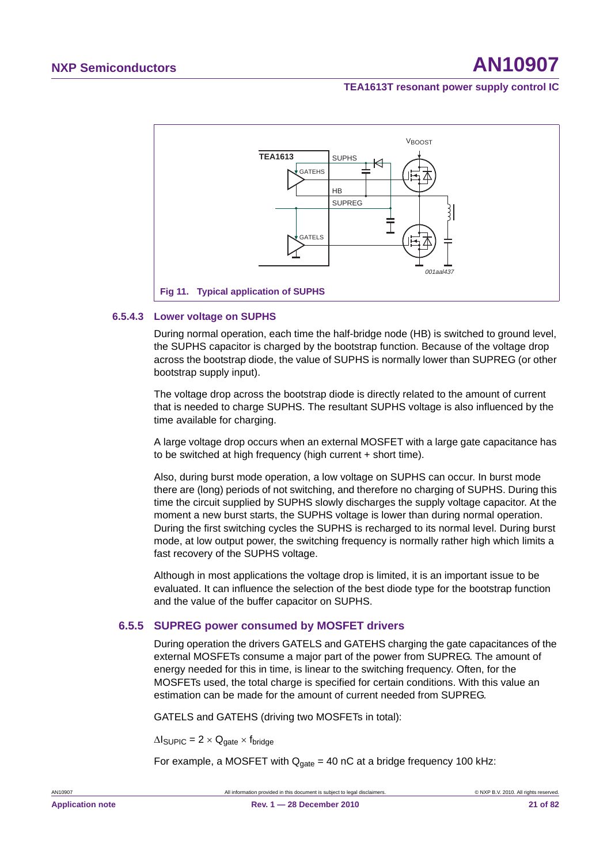

#### **6.5.4.3 Lower voltage on SUPHS**

During normal operation, each time the half-bridge node (HB) is switched to ground level, the SUPHS capacitor is charged by the bootstrap function. Because of the voltage drop across the bootstrap diode, the value of SUPHS is normally lower than SUPREG (or other bootstrap supply input).

The voltage drop across the bootstrap diode is directly related to the amount of current that is needed to charge SUPHS. The resultant SUPHS voltage is also influenced by the time available for charging.

A large voltage drop occurs when an external MOSFET with a large gate capacitance has to be switched at high frequency (high current + short time).

Also, during burst mode operation, a low voltage on SUPHS can occur. In burst mode there are (long) periods of not switching, and therefore no charging of SUPHS. During this time the circuit supplied by SUPHS slowly discharges the supply voltage capacitor. At the moment a new burst starts, the SUPHS voltage is lower than during normal operation. During the first switching cycles the SUPHS is recharged to its normal level. During burst mode, at low output power, the switching frequency is normally rather high which limits a fast recovery of the SUPHS voltage.

Although in most applications the voltage drop is limited, it is an important issue to be evaluated. It can influence the selection of the best diode type for the bootstrap function and the value of the buffer capacitor on SUPHS.

#### **6.5.5 SUPREG power consumed by MOSFET drivers**

During operation the drivers GATELS and GATEHS charging the gate capacitances of the external MOSFETs consume a major part of the power from SUPREG. The amount of energy needed for this in time, is linear to the switching frequency. Often, for the MOSFETs used, the total charge is specified for certain conditions. With this value an estimation can be made for the amount of current needed from SUPREG.

GATELS and GATEHS (driving two MOSFETs in total):

 $\Delta I_{\text{SUPIC}} = 2 \times Q_{\text{gate}} \times f_{\text{bridge}}$ 

For example, a MOSFET with  $Q<sub>gate</sub> = 40$  nC at a bridge frequency 100 kHz: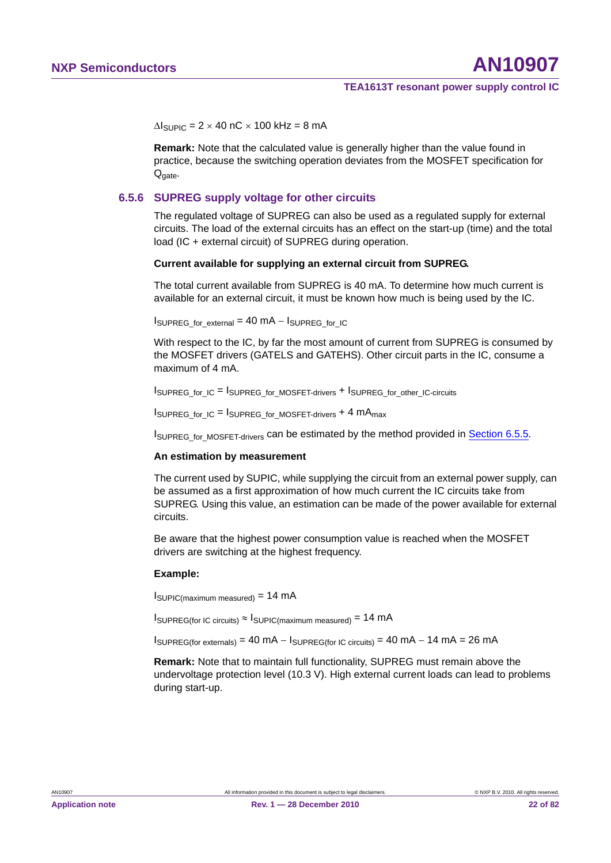$\Delta l_{\text{SUPIC}} = 2 \times 40 \text{ nC} \times 100 \text{ kHz} = 8 \text{ mA}$ 

**Remark:** Note that the calculated value is generally higher than the value found in practice, because the switching operation deviates from the MOSFET specification for Q<sub>gate</sub>.

#### **6.5.6 SUPREG supply voltage for other circuits**

The regulated voltage of SUPREG can also be used as a regulated supply for external circuits. The load of the external circuits has an effect on the start-up (time) and the total load (IC + external circuit) of SUPREG during operation.

#### **Current available for supplying an external circuit from SUPREG.**

The total current available from SUPREG is 40 mA. To determine how much current is available for an external circuit, it must be known how much is being used by the IC.

ISUPREG for external  $= 40$  MA  $-$  ISUPREG for IC

With respect to the IC, by far the most amount of current from SUPREG is consumed by the MOSFET drivers (GATELS and GATEHS). Other circuit parts in the IC, consume a maximum of 4 mA.

 $I_{\text{SUPREG}}$  for IC = ISUPREG for MOSFET-drivers + ISUPREG for other IC-circuits

 $I_{\text{SUPREG\_for\_IC}} = I_{\text{SUPREG\_for\_MOSFET-divers}} + 4 \text{ mA}_{\text{max}}$ 

ISUPREG for MOSFET-drivers can be estimated by the method provided in Section 6.5.5.

#### **An estimation by measurement**

The current used by SUPIC, while supplying the circuit from an external power supply, can be assumed as a first approximation of how much current the IC circuits take from SUPREG. Using this value, an estimation can be made of the power available for external circuits.

Be aware that the highest power consumption value is reached when the MOSFET drivers are switching at the highest frequency.

#### **Example:**

ISUPIC(maximum measured) = 14 mA

 $I_{\text{SUPREG}(\text{for IC circuits})} \approx I_{\text{SUPIC}(\text{maximum measured})} = 14 \text{ mA}$ 

 $I_{\text{SUPREG}(\text{for extensions})} = 40 \text{ mA} - I_{\text{SUPREG}(\text{for IC circuits})} = 40 \text{ mA} - 14 \text{ mA} = 26 \text{ mA}$ 

**Remark:** Note that to maintain full functionality, SUPREG must remain above the undervoltage protection level (10.3 V). High external current loads can lead to problems during start-up.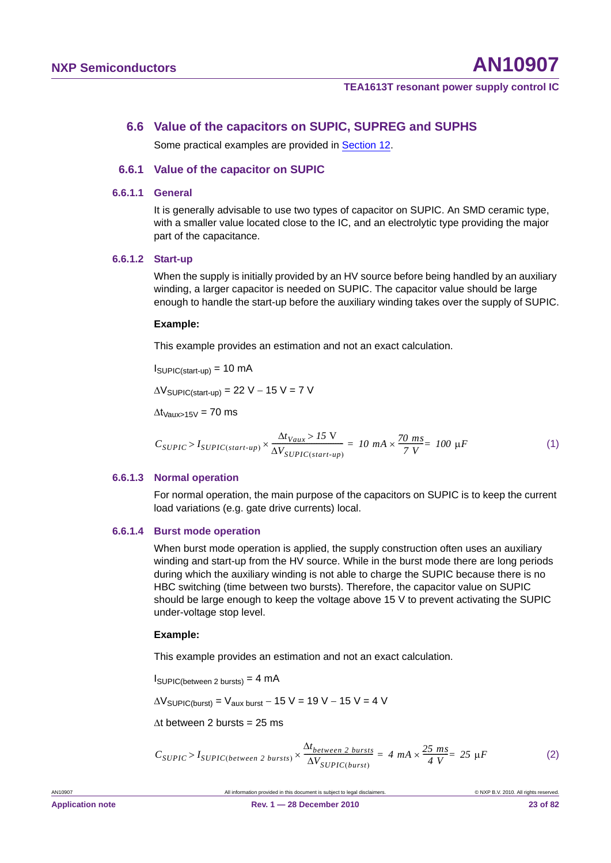#### **6.6 Value of the capacitors on SUPIC, SUPREG and SUPHS**

Some practical examples are provided in **Section 12.** 

#### **6.6.1 Value of the capacitor on SUPIC**

#### **6.6.1.1 General**

It is generally advisable to use two types of capacitor on SUPIC. An SMD ceramic type, with a smaller value located close to the IC, and an electrolytic type providing the major part of the capacitance.

#### **6.6.1.2 Start-up**

When the supply is initially provided by an HV source before being handled by an auxiliary winding, a larger capacitor is needed on SUPIC. The capacitor value should be large enough to handle the start-up before the auxiliary winding takes over the supply of SUPIC.

#### **Example:**

This example provides an estimation and not an exact calculation.

 $I_{\text{SUPIC}(\text{start-up})} = 10 \text{ mA}$ 

 $\Delta V_{\text{SUPIC}(\text{start-un})}$  = 22 V – 15 V = 7 V

 $\Delta t_{\text{Vaux} > 15V} = 70 \text{ ms}$ 

$$
C_{SUPIC} > I_{SUPIC(start-up)} \times \frac{\Delta t_{Vaux} > 15 \text{ V}}{\Delta V_{SUPIC(start-up)}} = 10 \text{ mA} \times \frac{70 \text{ ms}}{7 \text{ V}} = 100 \text{ }\mu\text{F}
$$
 (1)

#### **6.6.1.3 Normal operation**

For normal operation, the main purpose of the capacitors on SUPIC is to keep the current load variations (e.g. gate drive currents) local.

#### **6.6.1.4 Burst mode operation**

When burst mode operation is applied, the supply construction often uses an auxiliary winding and start-up from the HV source. While in the burst mode there are long periods during which the auxiliary winding is not able to charge the SUPIC because there is no HBC switching (time between two bursts). Therefore, the capacitor value on SUPIC should be large enough to keep the voltage above 15 V to prevent activating the SUPIC under-voltage stop level.

#### **Example:**

This example provides an estimation and not an exact calculation.

 $I_{\text{SUPIC(between 2 bursts)}} = 4 \text{ mA}$ 

 $\Delta V_{\text{SUPIC(burst)}} = V_{\text{aux burst}} - 15 \text{ V} = 19 \text{ V} - 15 \text{ V} = 4 \text{ V}$ 

 $\Delta t$  between 2 bursts = 25 ms

$$
C_{SUPIC} > I_{SUPIC(between\ 2\ bursts)} \times \frac{\Delta t_{between\ 2\ bursts}}{\Delta V_{SUPIC(burst)}} = 4\ mA \times \frac{25\ ms}{4\ V} = 25\ \mu F
$$
 (2)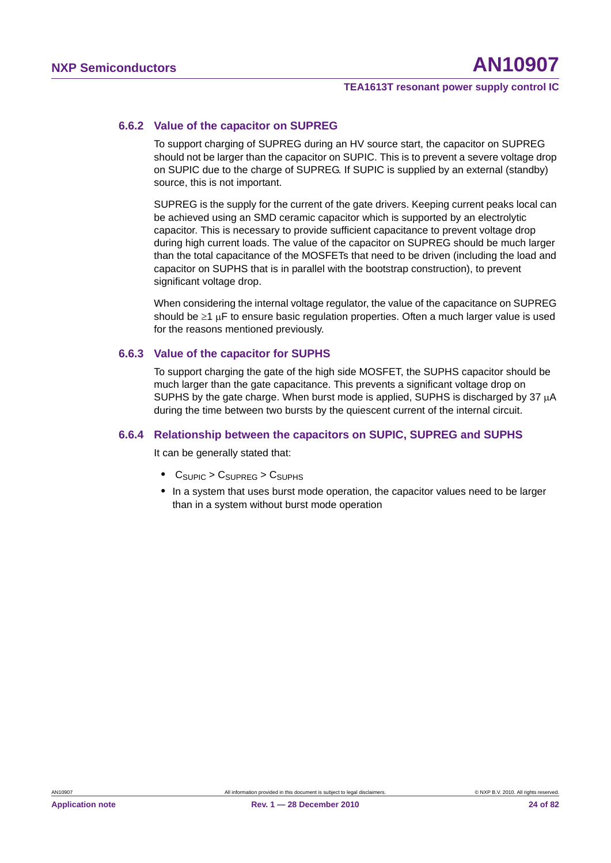#### **6.6.2 Value of the capacitor on SUPREG**

To support charging of SUPREG during an HV source start, the capacitor on SUPREG should not be larger than the capacitor on SUPIC. This is to prevent a severe voltage drop on SUPIC due to the charge of SUPREG. If SUPIC is supplied by an external (standby) source, this is not important.

SUPREG is the supply for the current of the gate drivers. Keeping current peaks local can be achieved using an SMD ceramic capacitor which is supported by an electrolytic capacitor. This is necessary to provide sufficient capacitance to prevent voltage drop during high current loads. The value of the capacitor on SUPREG should be much larger than the total capacitance of the MOSFETs that need to be driven (including the load and capacitor on SUPHS that is in parallel with the bootstrap construction), to prevent significant voltage drop.

When considering the internal voltage regulator, the value of the capacitance on SUPREG should be  $\geq 1$  µF to ensure basic regulation properties. Often a much larger value is used for the reasons mentioned previously.

#### **6.6.3 Value of the capacitor for SUPHS**

To support charging the gate of the high side MOSFET, the SUPHS capacitor should be much larger than the gate capacitance. This prevents a significant voltage drop on SUPHS by the gate charge. When burst mode is applied, SUPHS is discharged by  $37 \mu A$ during the time between two bursts by the quiescent current of the internal circuit.

#### **6.6.4 Relationship between the capacitors on SUPIC, SUPREG and SUPHS**

It can be generally stated that:

- C<sub>SUPIC</sub> > C<sub>SUPREG</sub> > C<sub>SUPHS</sub>
- **•** In a system that uses burst mode operation, the capacitor values need to be larger than in a system without burst mode operation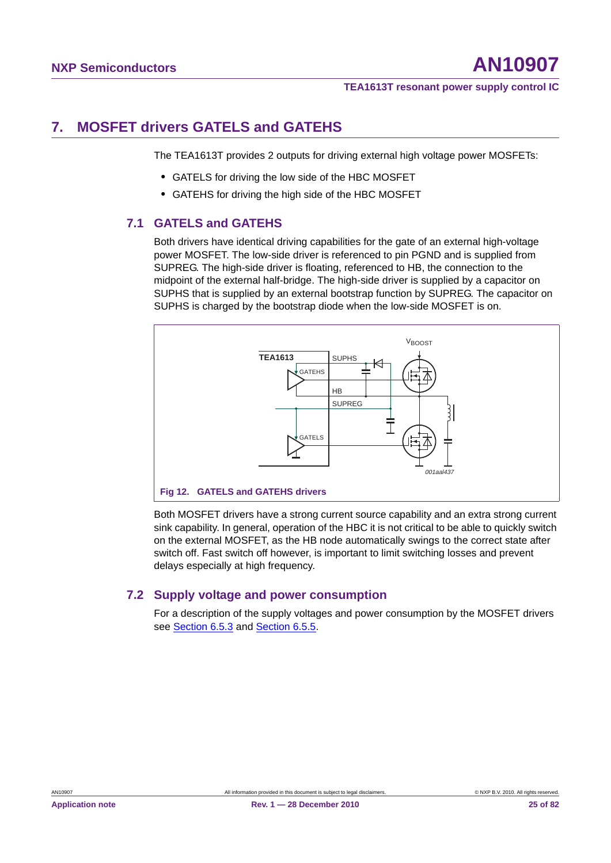## **7. MOSFET drivers GATELS and GATEHS**

The TEA1613T provides 2 outputs for driving external high voltage power MOSFETs:

- **•** GATELS for driving the low side of the HBC MOSFET
- **•** GATEHS for driving the high side of the HBC MOSFET

#### **7.1 GATELS and GATEHS**

Both drivers have identical driving capabilities for the gate of an external high-voltage power MOSFET. The low-side driver is referenced to pin PGND and is supplied from SUPREG. The high-side driver is floating, referenced to HB, the connection to the midpoint of the external half-bridge. The high-side driver is supplied by a capacitor on SUPHS that is supplied by an external bootstrap function by SUPREG. The capacitor on SUPHS is charged by the bootstrap diode when the low-side MOSFET is on.



Both MOSFET drivers have a strong current source capability and an extra strong current sink capability. In general, operation of the HBC it is not critical to be able to quickly switch on the external MOSFET, as the HB node automatically swings to the correct state after switch off. Fast switch off however, is important to limit switching losses and prevent delays especially at high frequency.

#### **7.2 Supply voltage and power consumption**

For a description of the supply voltages and power consumption by the MOSFET drivers see Section 6.5.3 and Section 6.5.5.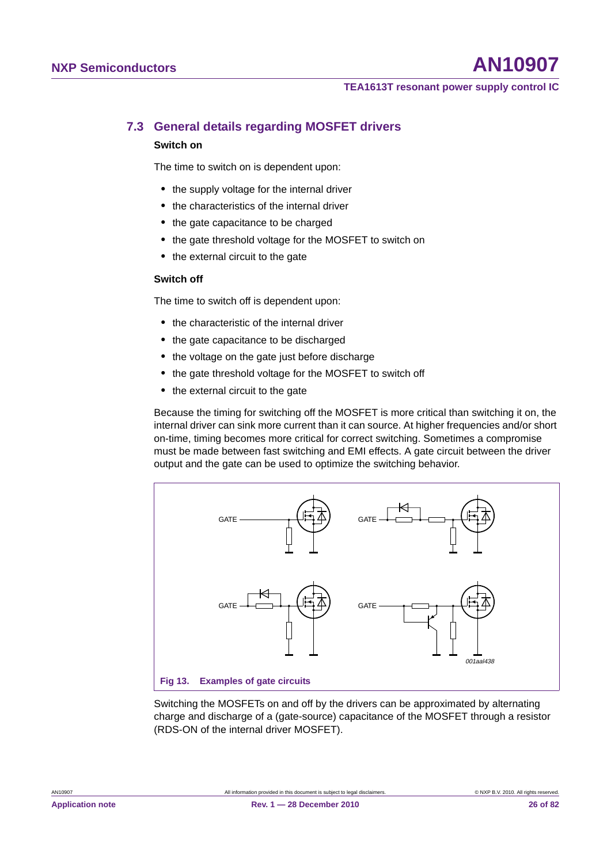### **7.3 General details regarding MOSFET drivers**

#### **Switch on**

The time to switch on is dependent upon:

- **•** the supply voltage for the internal driver
- **•** the characteristics of the internal driver
- **•** the gate capacitance to be charged
- **•** the gate threshold voltage for the MOSFET to switch on
- **•** the external circuit to the gate

#### **Switch off**

The time to switch off is dependent upon:

- **•** the characteristic of the internal driver
- **•** the gate capacitance to be discharged
- **•** the voltage on the gate just before discharge
- **•** the gate threshold voltage for the MOSFET to switch off
- the external circuit to the gate

Because the timing for switching off the MOSFET is more critical than switching it on, the internal driver can sink more current than it can source. At higher frequencies and/or short on-time, timing becomes more critical for correct switching. Sometimes a compromise must be made between fast switching and EMI effects. A gate circuit between the driver output and the gate can be used to optimize the switching behavior.



Switching the MOSFETs on and off by the drivers can be approximated by alternating charge and discharge of a (gate-source) capacitance of the MOSFET through a resistor (RDS-ON of the internal driver MOSFET).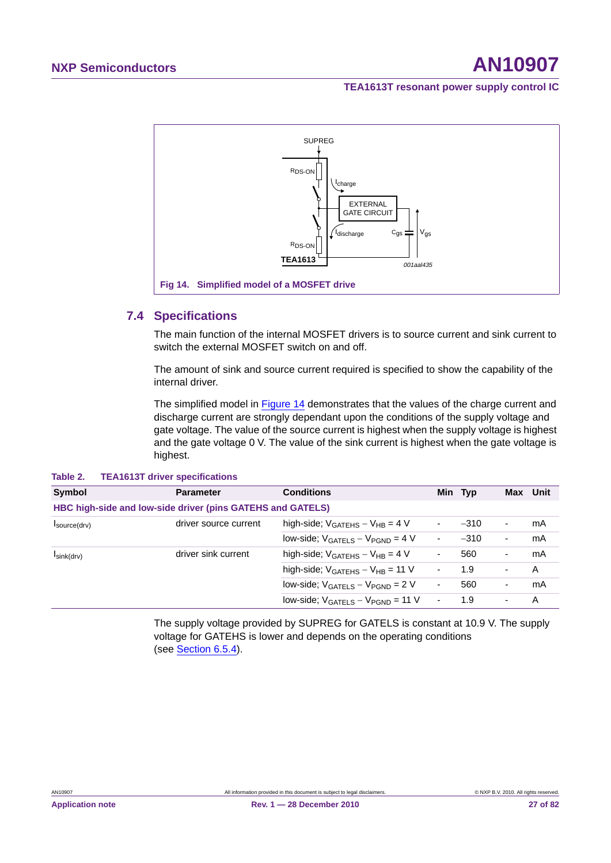

#### **7.4 Specifications**

The main function of the internal MOSFET drivers is to source current and sink current to switch the external MOSFET switch on and off.

The amount of sink and source current required is specified to show the capability of the internal driver.

The simplified model in Figure 14 demonstrates that the values of the charge current and discharge current are strongly dependant upon the conditions of the supply voltage and gate voltage. The value of the source current is highest when the supply voltage is highest and the gate voltage 0 V. The value of the sink current is highest when the gate voltage is highest.

| Symbol                                                     | <b>Parameter</b>      | <b>Conditions</b>                                 |                          | Min Typ | Max                      | Unit |
|------------------------------------------------------------|-----------------------|---------------------------------------------------|--------------------------|---------|--------------------------|------|
| HBC high-side and low-side driver (pins GATEHS and GATELS) |                       |                                                   |                          |         |                          |      |
| $I$ source $(drv)$                                         | driver source current | high-side; $V_{GATFHS} - V_{HR} = 4 V$            | ٠                        | $-310$  | $\overline{\phantom{a}}$ | mA   |
|                                                            |                       | $low\text{-}side$ ; $V_{GATELS} - V_{PGND} = 4 V$ | $\sim$                   | $-310$  | $\blacksquare$           | mA   |
| $I\sin(k(drv))$                                            | driver sink current   | high-side; $V_{GATEHS} - V_{HB} = 4 V$            | ۰                        | 560     | $\overline{\phantom{a}}$ | mA   |
|                                                            |                       | high-side; $V_{GATEHS} - V_{HB} = 11 V$           | $\blacksquare$           | 1.9     |                          | A    |
|                                                            |                       | $low\text{-}side$ ; $V_{GATELS} - V_{PGND} = 2 V$ | $\overline{\phantom{a}}$ | 560     | $\blacksquare$           | mA   |
|                                                            |                       | low-side; $V_{GATELS} - V_{PGND} = 11 V$          | $\overline{a}$           | 1.9     |                          | Α    |

#### **Table 2. TEA1613T driver specifications**

The supply voltage provided by SUPREG for GATELS is constant at 10.9 V. The supply voltage for GATEHS is lower and depends on the operating conditions (see Section 6.5.4).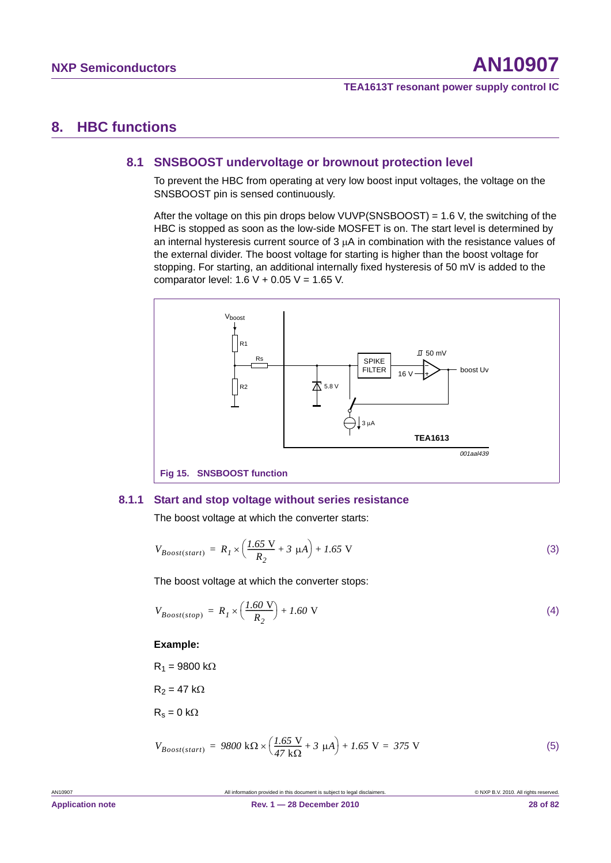### **8. HBC functions**

#### **8.1 SNSBOOST undervoltage or brownout protection level**

To prevent the HBC from operating at very low boost input voltages, the voltage on the SNSBOOST pin is sensed continuously.

After the voltage on this pin drops below VUVP(SNSBOOST) = 1.6 V, the switching of the HBC is stopped as soon as the low-side MOSFET is on. The start level is determined by an internal hysteresis current source of  $3 \mu A$  in combination with the resistance values of the external divider. The boost voltage for starting is higher than the boost voltage for stopping. For starting, an additional internally fixed hysteresis of 50 mV is added to the comparator level:  $1.6 V + 0.05 V = 1.65 V$ .



#### **8.1.1 Start and stop voltage without series resistance**

The boost voltage at which the converter starts:

$$
V_{Boost(start)} = R_I \times \left(\frac{1.65 \text{ V}}{R_2} + 3 \text{ }\mu\text{A}\right) + 1.65 \text{ V}
$$
 (3)

The boost voltage at which the converter stops:

$$
V_{Boost(stop)} = R_I \times \left(\frac{1.60 \text{ V}}{R_2}\right) + 1.60 \text{ V}
$$
\n<sup>(4)</sup>

#### **Example:**

 $R_1 = 9800 \text{ k}\Omega$ 

 $R_2 = 47$  k $\Omega$ 

 $R_s = 0$  k $\Omega$ 

$$
V_{Boost(start)} = 9800 \text{ k}\Omega \times \left(\frac{1.65 \text{ V}}{47 \text{ k}\Omega} + 3 \text{ \mu}A\right) + 1.65 \text{ V} = 375 \text{ V}
$$
 (5)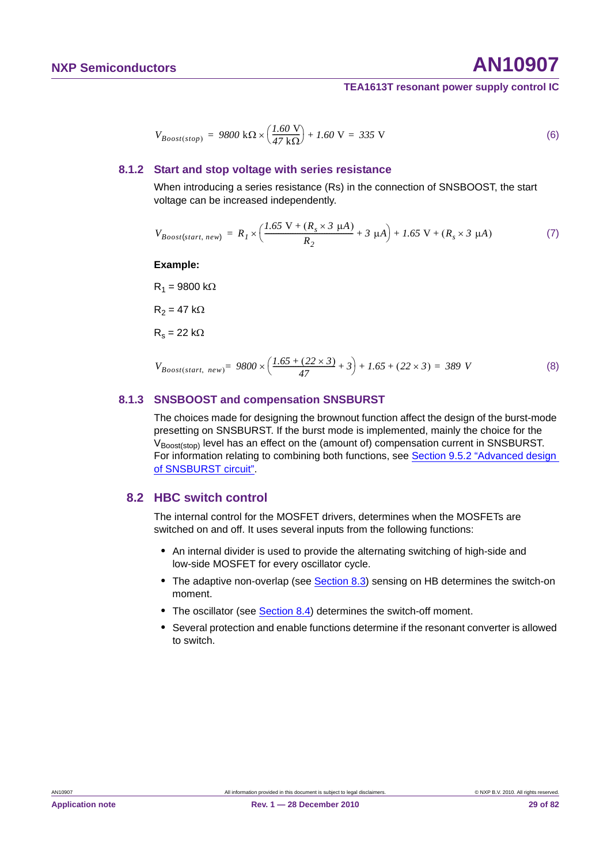$$
V_{Boost(stop)} = 9800 \text{ k}\Omega \times \left(\frac{1.60 \text{ V}}{47 \text{ k}\Omega}\right) + 1.60 \text{ V} = 335 \text{ V}
$$
 (6)

#### **8.1.2 Start and stop voltage with series resistance**

When introducing a series resistance (Rs) in the connection of SNSBOOST, the start voltage can be increased independently.

$$
V_{Boost(start, new)} = R_I \times \left(\frac{1.65 \text{ V} + (R_s \times 3 \text{ }\mu\text{A})}{R_2} + 3 \text{ }\mu\text{A}\right) + 1.65 \text{ V} + (R_s \times 3 \text{ }\mu\text{A})
$$
 (7)

**Example:**

 $R_1 = 9800$  k $\Omega$ 

 $R_2 = 47$  k $\Omega$ 

 $R_s = 22 k\Omega$ 

$$
V_{Boost(start, new)} = 9800 \times \left(\frac{1.65 + (22 \times 3)}{47} + 3\right) + 1.65 + (22 \times 3) = 389 \text{ V}
$$
 (8)

#### **8.1.3 SNSBOOST and compensation SNSBURST**

The choices made for designing the brownout function affect the design of the burst-mode presetting on SNSBURST. If the burst mode is implemented, mainly the choice for the V<sub>Boost(stop)</sub> level has an effect on the (amount of) compensation current in SNSBURST. For information relating to combining both functions, see Section 9.5.2 "Advanced design of SNSBURST circuit".

#### **8.2 HBC switch control**

The internal control for the MOSFET drivers, determines when the MOSFETs are switched on and off. It uses several inputs from the following functions:

- **•** An internal divider is used to provide the alternating switching of high-side and low-side MOSFET for every oscillator cycle.
- The adaptive non-overlap (see Section 8.3) sensing on HB determines the switch-on moment.
- **•** The oscillator (see Section 8.4) determines the switch-off moment.
- **•** Several protection and enable functions determine if the resonant converter is allowed to switch.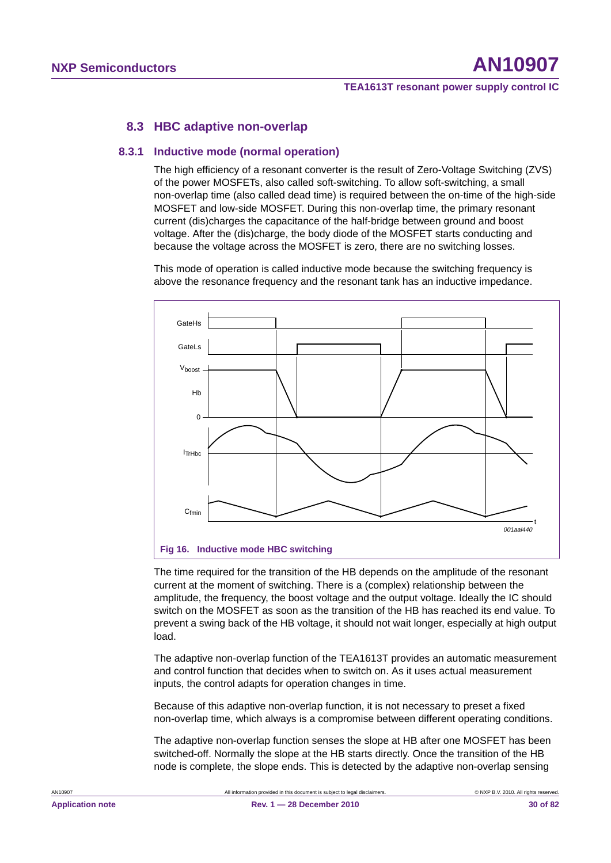#### **8.3 HBC adaptive non-overlap**

#### **8.3.1 Inductive mode (normal operation)**

The high efficiency of a resonant converter is the result of Zero-Voltage Switching (ZVS) of the power MOSFETs, also called soft-switching. To allow soft-switching, a small non-overlap time (also called dead time) is required between the on-time of the high-side MOSFET and low-side MOSFET. During this non-overlap time, the primary resonant current (dis)charges the capacitance of the half-bridge between ground and boost voltage. After the (dis)charge, the body diode of the MOSFET starts conducting and because the voltage across the MOSFET is zero, there are no switching losses.

This mode of operation is called inductive mode because the switching frequency is above the resonance frequency and the resonant tank has an inductive impedance.



The time required for the transition of the HB depends on the amplitude of the resonant current at the moment of switching. There is a (complex) relationship between the amplitude, the frequency, the boost voltage and the output voltage. Ideally the IC should switch on the MOSFET as soon as the transition of the HB has reached its end value. To prevent a swing back of the HB voltage, it should not wait longer, especially at high output load.

The adaptive non-overlap function of the TEA1613T provides an automatic measurement and control function that decides when to switch on. As it uses actual measurement inputs, the control adapts for operation changes in time.

Because of this adaptive non-overlap function, it is not necessary to preset a fixed non-overlap time, which always is a compromise between different operating conditions.

The adaptive non-overlap function senses the slope at HB after one MOSFET has been switched-off. Normally the slope at the HB starts directly. Once the transition of the HB node is complete, the slope ends. This is detected by the adaptive non-overlap sensing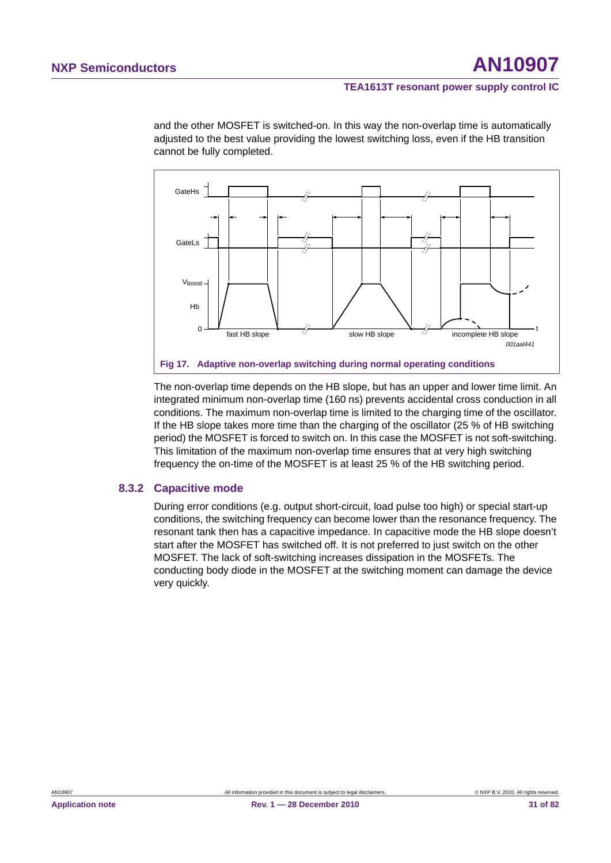and the other MOSFET is switched-on. In this way the non-overlap time is automatically adjusted to the best value providing the lowest switching loss, even if the HB transition cannot be fully completed.



The non-overlap time depends on the HB slope, but has an upper and lower time limit. An integrated minimum non-overlap time (160 ns) prevents accidental cross conduction in all conditions. The maximum non-overlap time is limited to the charging time of the oscillator. If the HB slope takes more time than the charging of the oscillator (25 % of HB switching period) the MOSFET is forced to switch on. In this case the MOSFET is not soft-switching. This limitation of the maximum non-overlap time ensures that at very high switching frequency the on-time of the MOSFET is at least 25 % of the HB switching period.

#### **8.3.2 Capacitive mode**

During error conditions (e.g. output short-circuit, load pulse too high) or special start-up conditions, the switching frequency can become lower than the resonance frequency. The resonant tank then has a capacitive impedance. In capacitive mode the HB slope doesn't start after the MOSFET has switched off. It is not preferred to just switch on the other MOSFET. The lack of soft-switching increases dissipation in the MOSFETs. The conducting body diode in the MOSFET at the switching moment can damage the device very quickly.

**Application note Rev. 1 — 28 December 2010 31 of 82**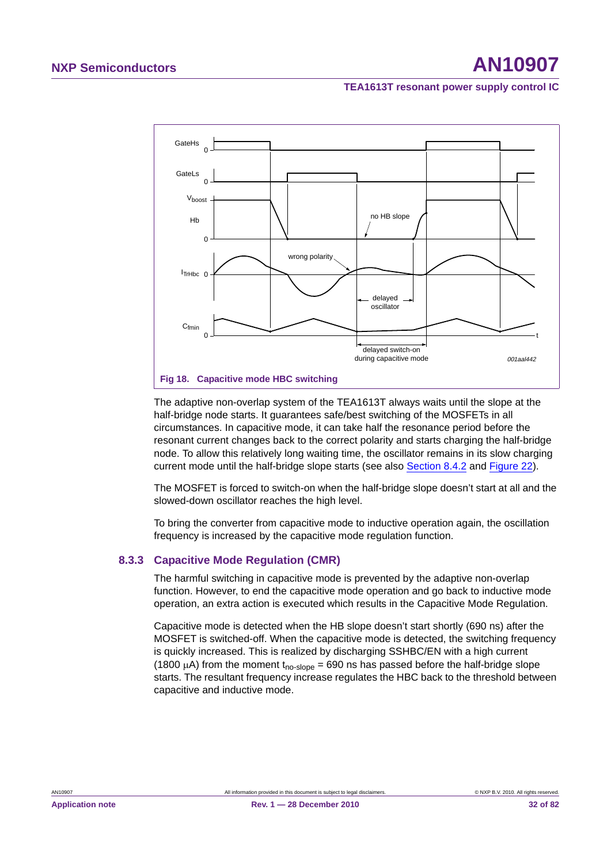

The adaptive non-overlap system of the TEA1613T always waits until the slope at the half-bridge node starts. It guarantees safe/best switching of the MOSFETs in all circumstances. In capacitive mode, it can take half the resonance period before the resonant current changes back to the correct polarity and starts charging the half-bridge node. To allow this relatively long waiting time, the oscillator remains in its slow charging current mode until the half-bridge slope starts (see also Section 8.4.2 and Figure 22).

The MOSFET is forced to switch-on when the half-bridge slope doesn't start at all and the slowed-down oscillator reaches the high level.

To bring the converter from capacitive mode to inductive operation again, the oscillation frequency is increased by the capacitive mode regulation function.

#### **8.3.3 Capacitive Mode Regulation (CMR)**

The harmful switching in capacitive mode is prevented by the adaptive non-overlap function. However, to end the capacitive mode operation and go back to inductive mode operation, an extra action is executed which results in the Capacitive Mode Regulation.

Capacitive mode is detected when the HB slope doesn't start shortly (690 ns) after the MOSFET is switched-off. When the capacitive mode is detected, the switching frequency is quickly increased. This is realized by discharging SSHBC/EN with a high current (1800  $\mu$ A) from the moment t<sub>no-slope</sub> = 690 ns has passed before the half-bridge slope starts. The resultant frequency increase regulates the HBC back to the threshold between capacitive and inductive mode.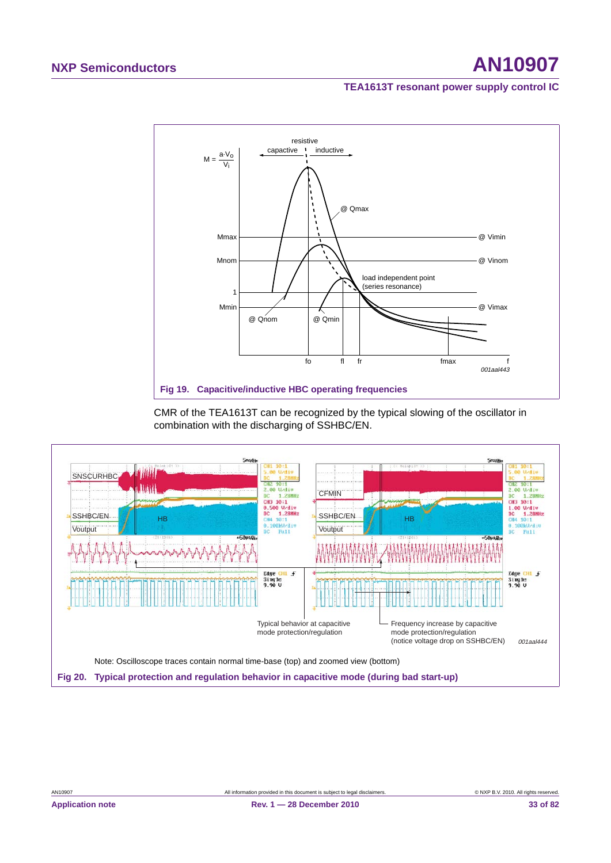## **NXP Semiconductors AN10907**

#### **TEA1613T resonant power supply control IC**



CMR of the TEA1613T can be recognized by the typical slowing of the oscillator in combination with the discharging of SSHBC/EN.

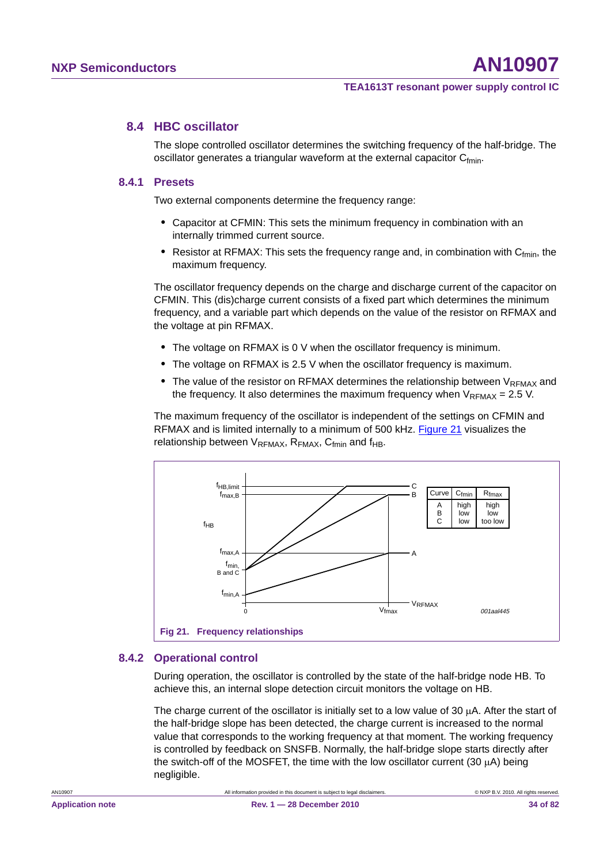#### **8.4 HBC oscillator**

The slope controlled oscillator determines the switching frequency of the half-bridge. The oscillator generates a triangular waveform at the external capacitor  $C_{fmin}$ .

#### **8.4.1 Presets**

Two external components determine the frequency range:

- **•** Capacitor at CFMIN: This sets the minimum frequency in combination with an internally trimmed current source.
- **Resistor at RFMAX: This sets the frequency range and, in combination with C<sub>fmin</sub>, the** maximum frequency.

The oscillator frequency depends on the charge and discharge current of the capacitor on CFMIN. This (dis)charge current consists of a fixed part which determines the minimum frequency, and a variable part which depends on the value of the resistor on RFMAX and the voltage at pin RFMAX.

- **•** The voltage on RFMAX is 0 V when the oscillator frequency is minimum.
- **•** The voltage on RFMAX is 2.5 V when the oscillator frequency is maximum.
- The value of the resistor on RFMAX determines the relationship between V<sub>RFMAX</sub> and the frequency. It also determines the maximum frequency when  $V_{RFMAX} = 2.5$  V.

The maximum frequency of the oscillator is independent of the settings on CFMIN and RFMAX and is limited internally to a minimum of 500 kHz. Figure 21 visualizes the relationship between  $V_{RFMAX}$ ,  $R_{FMAX}$ ,  $C_{fmin}$  and  $f_{HB}$ .



#### **8.4.2 Operational control**

During operation, the oscillator is controlled by the state of the half-bridge node HB. To achieve this, an internal slope detection circuit monitors the voltage on HB.

The charge current of the oscillator is initially set to a low value of 30  $\mu$ A. After the start of the half-bridge slope has been detected, the charge current is increased to the normal value that corresponds to the working frequency at that moment. The working frequency is controlled by feedback on SNSFB. Normally, the half-bridge slope starts directly after the switch-off of the MOSFET, the time with the low oscillator current (30  $\mu$ A) being negligible.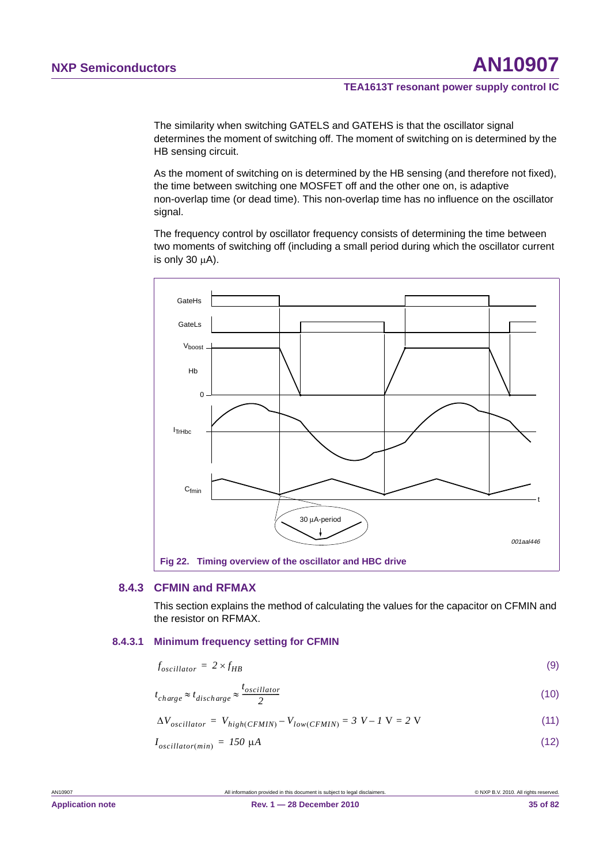The similarity when switching GATELS and GATEHS is that the oscillator signal determines the moment of switching off. The moment of switching on is determined by the HB sensing circuit.

As the moment of switching on is determined by the HB sensing (and therefore not fixed), the time between switching one MOSFET off and the other one on, is adaptive non-overlap time (or dead time). This non-overlap time has no influence on the oscillator signal.

The frequency control by oscillator frequency consists of determining the time between two moments of switching off (including a small period during which the oscillator current is only 30  $\mu$ A).



#### **8.4.3 CFMIN and RFMAX**

This section explains the method of calculating the values for the capacitor on CFMIN and the resistor on RFMAX.

#### **8.4.3.1 Minimum frequency setting for CFMIN**

| $f_{oscillator} = 2 \times f_{HB}$ | (9) |
|------------------------------------|-----|
|                                    |     |

$$
t_{charge} \approx t_{discharge} \approx \frac{t_{oscillator}}{2}
$$
 (10)

(11)  $\Delta V_{oscillator} = V_{high(CFMIN)} - V_{low(CFMIN)} = 3 V - 1 V = 2 V$ 

$$
I_{oscillator(min)} = 150 \, \mu A \tag{12}
$$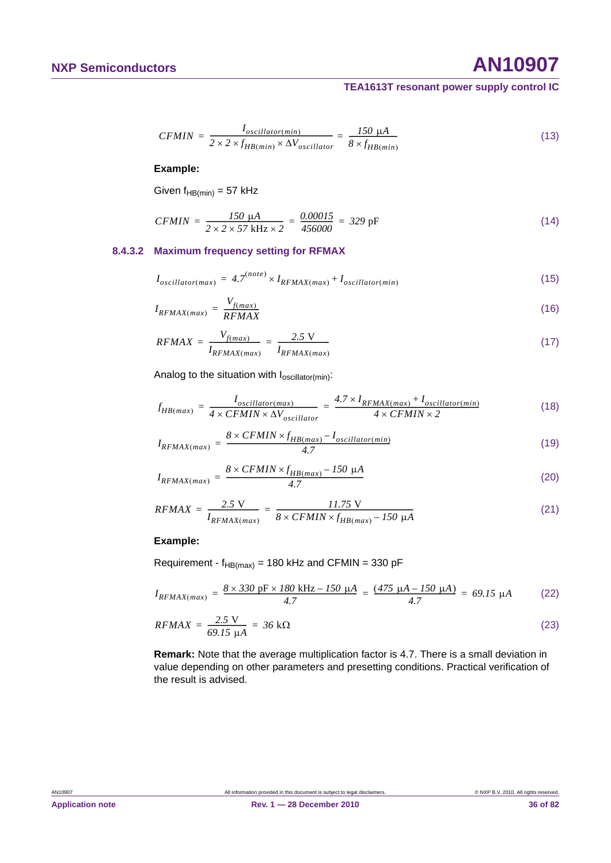## **NXP Semiconductors AN10907**

#### **TEA1613T resonant power supply control IC**

$$
CFMIN = \frac{I_{oscillator(min)}}{2 \times 2 \times f_{HB(min)} \times \Delta V_{oscillator}} = \frac{150 \text{ }\mu\text{A}}{8 \times f_{HB(min)}}\tag{13}
$$

#### **Example:**

Given  $f_{HB(min)} = 57$  kHz

$$
CFMIN = \frac{150 \text{ }\mu\text{A}}{2 \times 2 \times 57 \text{ }\text{kHz} \times 2} = \frac{0.00015}{456000} = 329 \text{ }\text{pF}
$$
\n(14)

#### **8.4.3.2 Maximum frequency setting for RFMAX**

$$
I_{oscillator(max)} = 4.7^{(note)} \times I_{RFMAX(max)} + I_{oscillator(min)} \tag{15}
$$

$$
I_{RFMAX(max)} = \frac{V_{f(max)}}{RFMAX}
$$
\n(16)

$$
RFMAX = \frac{V_{f(max)}}{I_{RFMAX(max)}} = \frac{2.5 \text{ V}}{I_{RFMAX(max)}}
$$
(17)

Analog to the situation with  $I_{oscillator(min)}$ :

$$
f_{HB(max)} = \frac{I_{oscillator(max)}}{4 \times CFMIN \times \Delta V_{oscillator}} = \frac{4.7 \times I_{RFMAX(max)} + I_{oscillator(min)}}{4 \times CFMIN \times 2}
$$
(18)

$$
I_{RFMAX(max)} = \frac{8 \times CFMIN \times f_{HB(max)} - I_{oscillator(min)}}{4.7}
$$
\n(19)

$$
I_{RFMAX(max)} = \frac{8 \times CFMIN \times f_{HB(max)} - 150 \mu A}{4.7}
$$
 (20)

$$
RFMAX = \frac{2.5 \text{ V}}{I_{RFMAX(max)}} = \frac{11.75 \text{ V}}{8 \times CFMIN \times f_{HB(max)} - 150 \text{ }\mu\text{A}}
$$
(21)

#### **Example:**

Requirement -  $f_{HB(max)}$  = 180 kHz and CFMIN = 330 pF

$$
I_{RFMAX(max)} = \frac{8 \times 330 \text{ pF} \times 180 \text{ kHz} - 150 \text{ }\mu\text{A}}{4.7} = \frac{(475 \text{ }\mu\text{A} - 150 \text{ }\mu\text{A})}{4.7} = 69.15 \text{ }\mu\text{A}
$$
 (22)

$$
RFMAX = \frac{2.5 \text{ V}}{69.15 \text{ }\mu\text{A}} = 36 \text{ k}\Omega
$$
\n(23)

**Remark:** Note that the average multiplication factor is 4.7. There is a small deviation in value depending on other parameters and presetting conditions. Practical verification of the result is advised.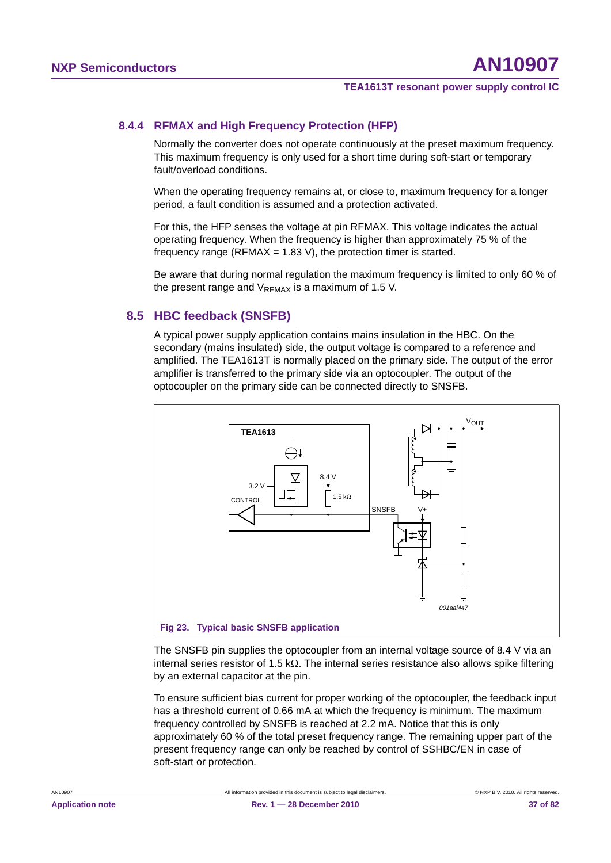# **8.4.4 RFMAX and High Frequency Protection (HFP)**

Normally the converter does not operate continuously at the preset maximum frequency. This maximum frequency is only used for a short time during soft-start or temporary fault/overload conditions.

When the operating frequency remains at, or close to, maximum frequency for a longer period, a fault condition is assumed and a protection activated.

For this, the HFP senses the voltage at pin RFMAX. This voltage indicates the actual operating frequency. When the frequency is higher than approximately 75 % of the frequency range (RFMAX =  $1.83$  V), the protection timer is started.

Be aware that during normal regulation the maximum frequency is limited to only 60 % of the present range and  $V_{\text{PFMAY}}$  is a maximum of 1.5 V.

# **8.5 HBC feedback (SNSFB)**

A typical power supply application contains mains insulation in the HBC. On the secondary (mains insulated) side, the output voltage is compared to a reference and amplified. The TEA1613T is normally placed on the primary side. The output of the error amplifier is transferred to the primary side via an optocoupler. The output of the optocoupler on the primary side can be connected directly to SNSFB.



The SNSFB pin supplies the optocoupler from an internal voltage source of 8.4 V via an internal series resistor of 1.5  $k\Omega$ . The internal series resistance also allows spike filtering by an external capacitor at the pin.

To ensure sufficient bias current for proper working of the optocoupler, the feedback input has a threshold current of 0.66 mA at which the frequency is minimum. The maximum frequency controlled by SNSFB is reached at 2.2 mA. Notice that this is only approximately 60 % of the total preset frequency range. The remaining upper part of the present frequency range can only be reached by control of SSHBC/EN in case of soft-start or protection.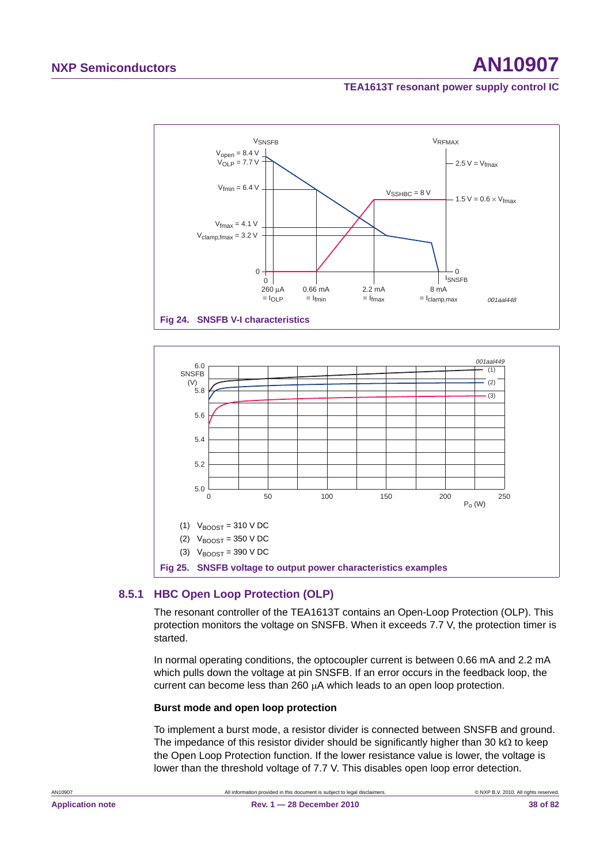# **NXP Semiconductors AN10907**

# **TEA1613T resonant power supply control IC**





# **8.5.1 HBC Open Loop Protection (OLP)**

The resonant controller of the TEA1613T contains an Open-Loop Protection (OLP). This protection monitors the voltage on SNSFB. When it exceeds 7.7 V, the protection timer is started.

In normal operating conditions, the optocoupler current is between 0.66 mA and 2.2 mA which pulls down the voltage at pin SNSFB. If an error occurs in the feedback loop, the current can become less than 260 µA which leads to an open loop protection.

# **Burst mode and open loop protection**

To implement a burst mode, a resistor divider is connected between SNSFB and ground. The impedance of this resistor divider should be significantly higher than 30  $k\Omega$  to keep the Open Loop Protection function. If the lower resistance value is lower, the voltage is lower than the threshold voltage of 7.7 V. This disables open loop error detection.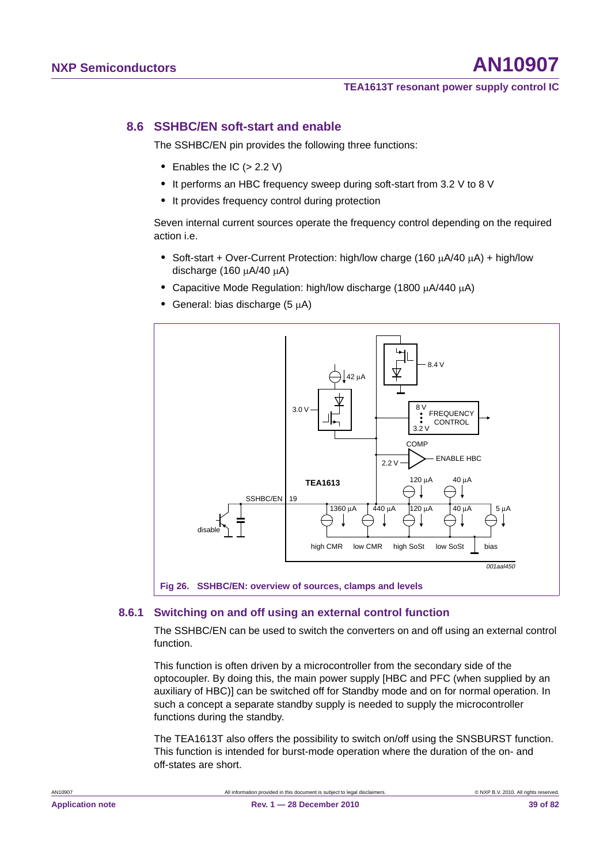# **8.6 SSHBC/EN soft-start and enable**

The SSHBC/EN pin provides the following three functions:

- Enables the IC (> 2.2 V)
- **•** It performs an HBC frequency sweep during soft-start from 3.2 V to 8 V
- **•** It provides frequency control during protection

Seven internal current sources operate the frequency control depending on the required action i.e.

- Soft-start + Over-Current Protection: high/low charge (160  $\mu$ A/40  $\mu$ A) + high/low discharge (160  $\mu$ A/40  $\mu$ A)
- Capacitive Mode Regulation: high/low discharge (1800  $\mu$ A/440  $\mu$ A)
- **General: bias discharge (5 µA)**



# **8.6.1 Switching on and off using an external control function**

The SSHBC/EN can be used to switch the converters on and off using an external control function.

This function is often driven by a microcontroller from the secondary side of the optocoupler. By doing this, the main power supply [HBC and PFC (when supplied by an auxiliary of HBC)] can be switched off for Standby mode and on for normal operation. In such a concept a separate standby supply is needed to supply the microcontroller functions during the standby.

The TEA1613T also offers the possibility to switch on/off using the SNSBURST function. This function is intended for burst-mode operation where the duration of the on- and off-states are short.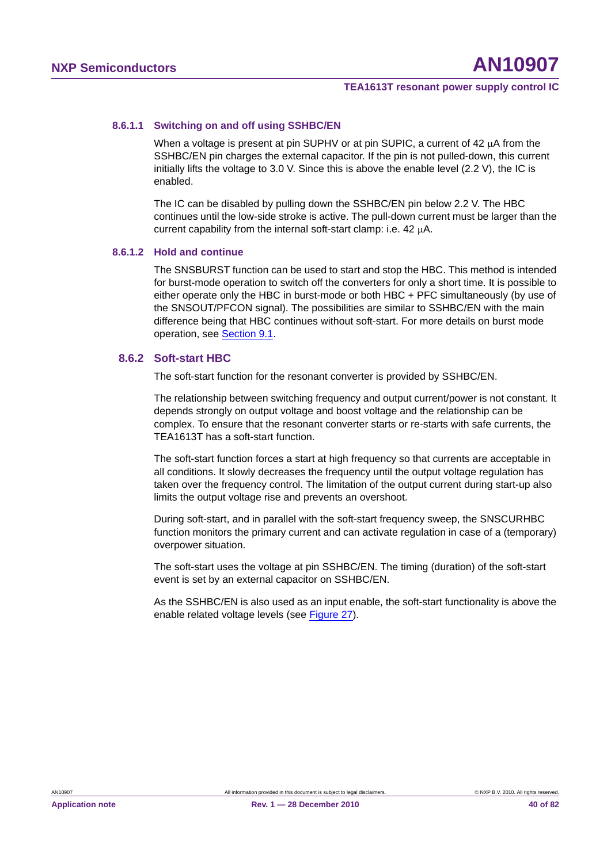### **8.6.1.1 Switching on and off using SSHBC/EN**

When a voltage is present at pin SUPHV or at pin SUPIC, a current of  $42 \mu A$  from the SSHBC/EN pin charges the external capacitor. If the pin is not pulled-down, this current initially lifts the voltage to 3.0 V. Since this is above the enable level (2.2 V), the IC is enabled.

The IC can be disabled by pulling down the SSHBC/EN pin below 2.2 V. The HBC continues until the low-side stroke is active. The pull-down current must be larger than the current capability from the internal soft-start clamp: i.e.  $42 \mu A$ .

# **8.6.1.2 Hold and continue**

The SNSBURST function can be used to start and stop the HBC. This method is intended for burst-mode operation to switch off the converters for only a short time. It is possible to either operate only the HBC in burst-mode or both HBC + PFC simultaneously (by use of the SNSOUT/PFCON signal). The possibilities are similar to SSHBC/EN with the main difference being that HBC continues without soft-start. For more details on burst mode operation, see Section 9.1.

# **8.6.2 Soft-start HBC**

The soft-start function for the resonant converter is provided by SSHBC/EN.

The relationship between switching frequency and output current/power is not constant. It depends strongly on output voltage and boost voltage and the relationship can be complex. To ensure that the resonant converter starts or re-starts with safe currents, the TEA1613T has a soft-start function.

The soft-start function forces a start at high frequency so that currents are acceptable in all conditions. It slowly decreases the frequency until the output voltage regulation has taken over the frequency control. The limitation of the output current during start-up also limits the output voltage rise and prevents an overshoot.

During soft-start, and in parallel with the soft-start frequency sweep, the SNSCURHBC function monitors the primary current and can activate regulation in case of a (temporary) overpower situation.

The soft-start uses the voltage at pin SSHBC/EN. The timing (duration) of the soft-start event is set by an external capacitor on SSHBC/EN.

As the SSHBC/EN is also used as an input enable, the soft-start functionality is above the enable related voltage levels (see Figure 27).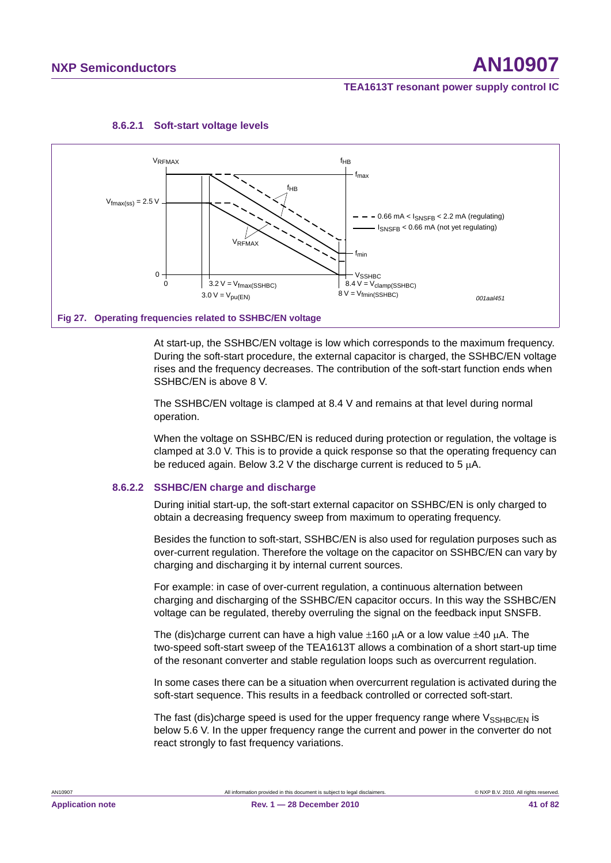

### **8.6.2.1 Soft-start voltage levels**

At start-up, the SSHBC/EN voltage is low which corresponds to the maximum frequency. During the soft-start procedure, the external capacitor is charged, the SSHBC/EN voltage rises and the frequency decreases. The contribution of the soft-start function ends when SSHBC/EN is above 8 V.

The SSHBC/EN voltage is clamped at 8.4 V and remains at that level during normal operation.

When the voltage on SSHBC/EN is reduced during protection or regulation, the voltage is clamped at 3.0 V. This is to provide a quick response so that the operating frequency can be reduced again. Below 3.2 V the discharge current is reduced to 5  $\mu$ A.

#### **8.6.2.2 SSHBC/EN charge and discharge**

During initial start-up, the soft-start external capacitor on SSHBC/EN is only charged to obtain a decreasing frequency sweep from maximum to operating frequency.

Besides the function to soft-start, SSHBC/EN is also used for regulation purposes such as over-current regulation. Therefore the voltage on the capacitor on SSHBC/EN can vary by charging and discharging it by internal current sources.

For example: in case of over-current regulation, a continuous alternation between charging and discharging of the SSHBC/EN capacitor occurs. In this way the SSHBC/EN voltage can be regulated, thereby overruling the signal on the feedback input SNSFB.

The (dis)charge current can have a high value  $\pm 160$   $\mu$ A or a low value  $\pm 40$   $\mu$ A. The two-speed soft-start sweep of the TEA1613T allows a combination of a short start-up time of the resonant converter and stable regulation loops such as overcurrent regulation.

In some cases there can be a situation when overcurrent regulation is activated during the soft-start sequence. This results in a feedback controlled or corrected soft-start.

The fast (dis)charge speed is used for the upper frequency range where  $V_{\text{SSHBC/FN}}$  is below 5.6 V. In the upper frequency range the current and power in the converter do not react strongly to fast frequency variations.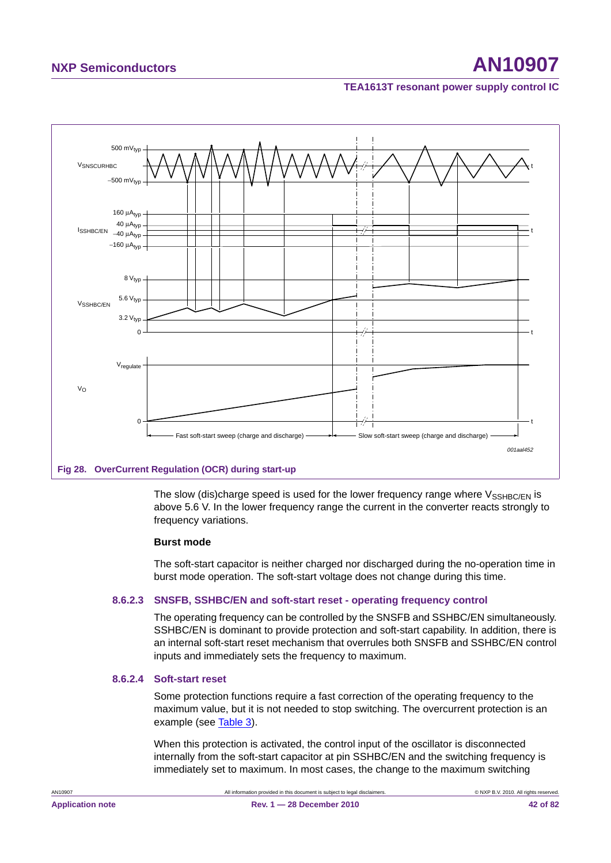

# **Fig 28. OverCurrent Regulation (OCR) during start-up**

The slow (dis)charge speed is used for the lower frequency range where  $V_{\text{SSHBC/EN}}$  is above 5.6 V. In the lower frequency range the current in the converter reacts strongly to frequency variations.

# **Burst mode**

The soft-start capacitor is neither charged nor discharged during the no-operation time in burst mode operation. The soft-start voltage does not change during this time.

# **8.6.2.3 SNSFB, SSHBC/EN and soft-start reset - operating frequency control**

The operating frequency can be controlled by the SNSFB and SSHBC/EN simultaneously. SSHBC/EN is dominant to provide protection and soft-start capability. In addition, there is an internal soft-start reset mechanism that overrules both SNSFB and SSHBC/EN control inputs and immediately sets the frequency to maximum.

#### **8.6.2.4 Soft-start reset**

Some protection functions require a fast correction of the operating frequency to the maximum value, but it is not needed to stop switching. The overcurrent protection is an example (see Table 3).

When this protection is activated, the control input of the oscillator is disconnected internally from the soft-start capacitor at pin SSHBC/EN and the switching frequency is immediately set to maximum. In most cases, the change to the maximum switching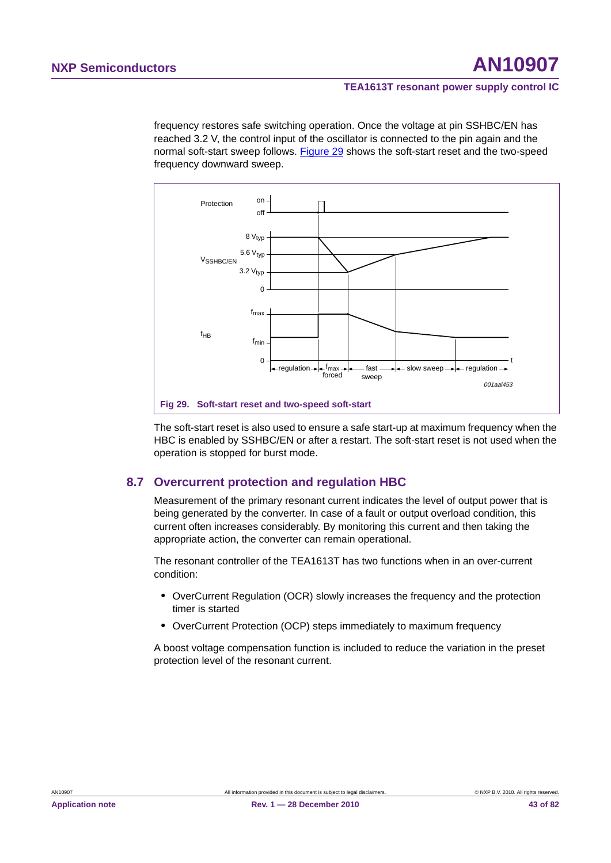frequency restores safe switching operation. Once the voltage at pin SSHBC/EN has reached 3.2 V, the control input of the oscillator is connected to the pin again and the normal soft-start sweep follows. Figure 29 shows the soft-start reset and the two-speed frequency downward sweep.



The soft-start reset is also used to ensure a safe start-up at maximum frequency when the HBC is enabled by SSHBC/EN or after a restart. The soft-start reset is not used when the operation is stopped for burst mode.

# **8.7 Overcurrent protection and regulation HBC**

Measurement of the primary resonant current indicates the level of output power that is being generated by the converter. In case of a fault or output overload condition, this current often increases considerably. By monitoring this current and then taking the appropriate action, the converter can remain operational.

The resonant controller of the TEA1613T has two functions when in an over-current condition:

- **•** OverCurrent Regulation (OCR) slowly increases the frequency and the protection timer is started
- **•** OverCurrent Protection (OCP) steps immediately to maximum frequency

A boost voltage compensation function is included to reduce the variation in the preset protection level of the resonant current.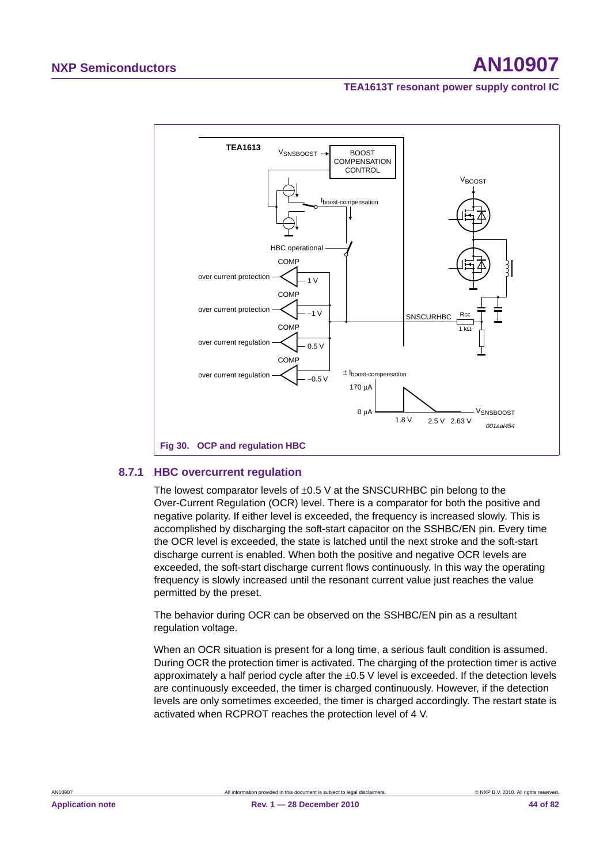

# **8.7.1 HBC overcurrent regulation**

The lowest comparator levels of  $\pm 0.5$  V at the SNSCURHBC pin belong to the Over-Current Regulation (OCR) level. There is a comparator for both the positive and negative polarity. If either level is exceeded, the frequency is increased slowly. This is accomplished by discharging the soft-start capacitor on the SSHBC/EN pin. Every time the OCR level is exceeded, the state is latched until the next stroke and the soft-start discharge current is enabled. When both the positive and negative OCR levels are exceeded, the soft-start discharge current flows continuously. In this way the operating frequency is slowly increased until the resonant current value just reaches the value permitted by the preset.

The behavior during OCR can be observed on the SSHBC/EN pin as a resultant regulation voltage.

When an OCR situation is present for a long time, a serious fault condition is assumed. During OCR the protection timer is activated. The charging of the protection timer is active approximately a half period cycle after the  $\pm 0.5$  V level is exceeded. If the detection levels are continuously exceeded, the timer is charged continuously. However, if the detection levels are only sometimes exceeded, the timer is charged accordingly. The restart state is activated when RCPROT reaches the protection level of 4 V.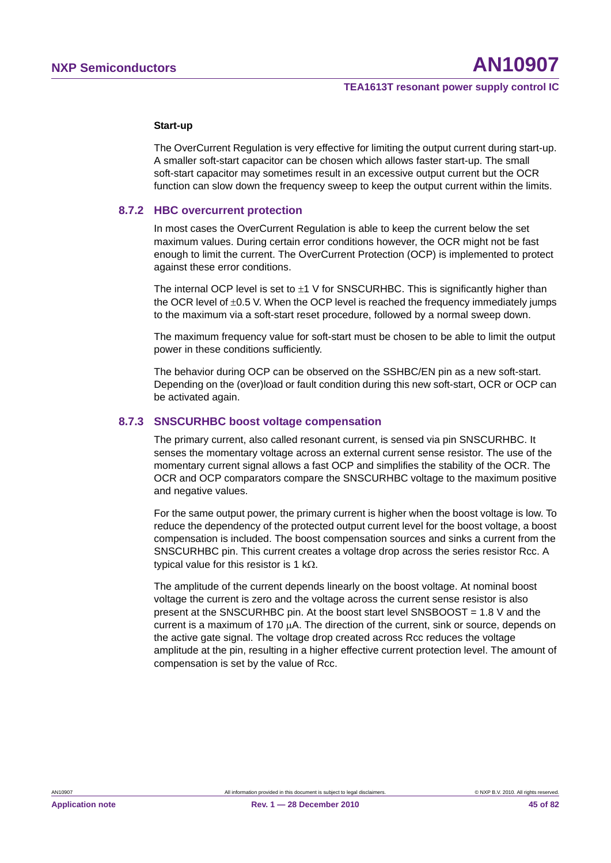#### **Start-up**

The OverCurrent Regulation is very effective for limiting the output current during start-up. A smaller soft-start capacitor can be chosen which allows faster start-up. The small soft-start capacitor may sometimes result in an excessive output current but the OCR function can slow down the frequency sweep to keep the output current within the limits.

#### **8.7.2 HBC overcurrent protection**

In most cases the OverCurrent Regulation is able to keep the current below the set maximum values. During certain error conditions however, the OCR might not be fast enough to limit the current. The OverCurrent Protection (OCP) is implemented to protect against these error conditions.

The internal OCP level is set to  $\pm 1$  V for SNSCURHBC. This is significantly higher than the OCR level of  $\pm 0.5$  V. When the OCP level is reached the frequency immediately jumps to the maximum via a soft-start reset procedure, followed by a normal sweep down.

The maximum frequency value for soft-start must be chosen to be able to limit the output power in these conditions sufficiently.

The behavior during OCP can be observed on the SSHBC/EN pin as a new soft-start. Depending on the (over)load or fault condition during this new soft-start, OCR or OCP can be activated again.

#### **8.7.3 SNSCURHBC boost voltage compensation**

The primary current, also called resonant current, is sensed via pin SNSCURHBC. It senses the momentary voltage across an external current sense resistor. The use of the momentary current signal allows a fast OCP and simplifies the stability of the OCR. The OCR and OCP comparators compare the SNSCURHBC voltage to the maximum positive and negative values.

For the same output power, the primary current is higher when the boost voltage is low. To reduce the dependency of the protected output current level for the boost voltage, a boost compensation is included. The boost compensation sources and sinks a current from the SNSCURHBC pin. This current creates a voltage drop across the series resistor Rcc. A typical value for this resistor is 1 k $\Omega$ .

The amplitude of the current depends linearly on the boost voltage. At nominal boost voltage the current is zero and the voltage across the current sense resistor is also present at the SNSCURHBC pin. At the boost start level SNSBOOST = 1.8 V and the current is a maximum of  $170 \mu A$ . The direction of the current, sink or source, depends on the active gate signal. The voltage drop created across Rcc reduces the voltage amplitude at the pin, resulting in a higher effective current protection level. The amount of compensation is set by the value of Rcc.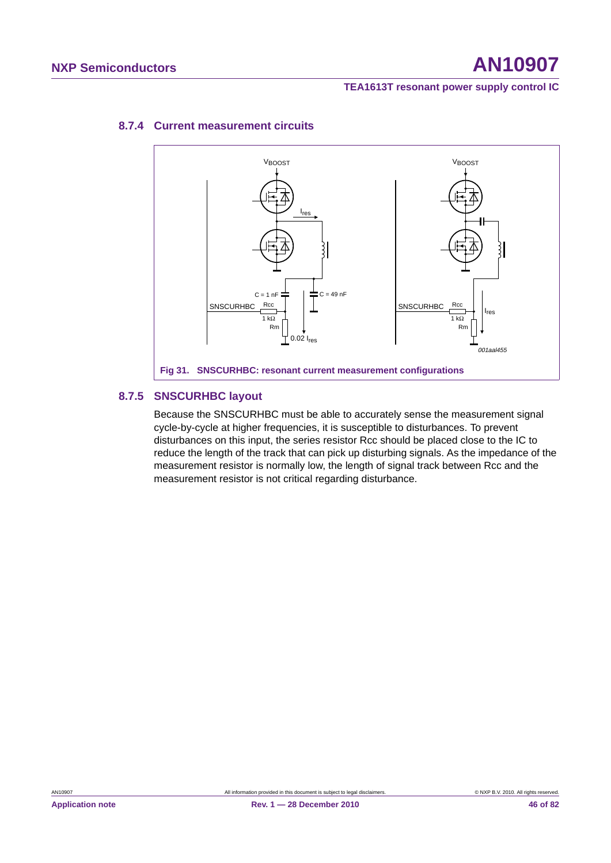# **NXP Semiconductors AN10907**

# **TEA1613T resonant power supply control IC**



# **8.7.4 Current measurement circuits**

# **8.7.5 SNSCURHBC layout**

Because the SNSCURHBC must be able to accurately sense the measurement signal cycle-by-cycle at higher frequencies, it is susceptible to disturbances. To prevent disturbances on this input, the series resistor Rcc should be placed close to the IC to reduce the length of the track that can pick up disturbing signals. As the impedance of the measurement resistor is normally low, the length of signal track between Rcc and the measurement resistor is not critical regarding disturbance.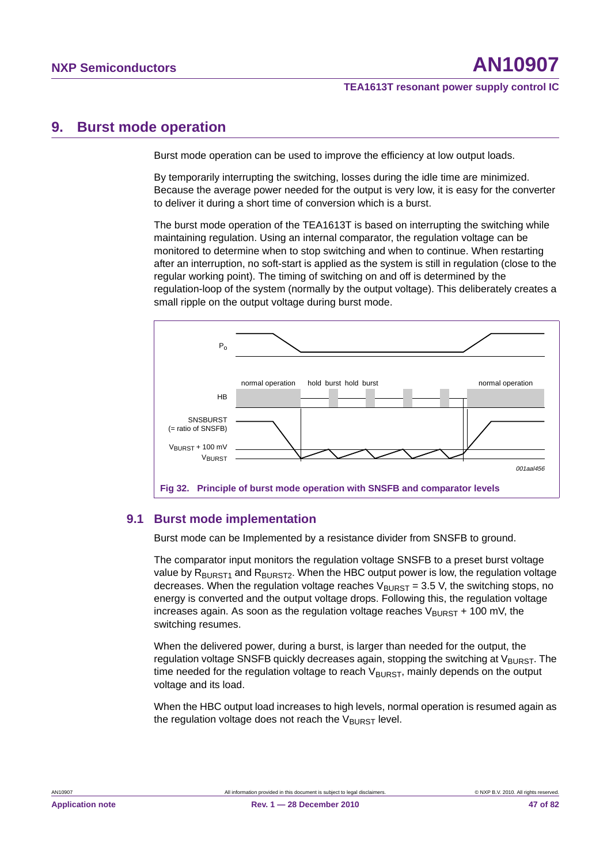# **9. Burst mode operation**

Burst mode operation can be used to improve the efficiency at low output loads.

By temporarily interrupting the switching, losses during the idle time are minimized. Because the average power needed for the output is very low, it is easy for the converter to deliver it during a short time of conversion which is a burst.

The burst mode operation of the TEA1613T is based on interrupting the switching while maintaining regulation. Using an internal comparator, the regulation voltage can be monitored to determine when to stop switching and when to continue. When restarting after an interruption, no soft-start is applied as the system is still in regulation (close to the regular working point). The timing of switching on and off is determined by the regulation-loop of the system (normally by the output voltage). This deliberately creates a small ripple on the output voltage during burst mode.



# **9.1 Burst mode implementation**

Burst mode can be Implemented by a resistance divider from SNSFB to ground.

The comparator input monitors the regulation voltage SNSFB to a preset burst voltage value by  $R_{BURST1}$  and  $R_{BURST2}$ . When the HBC output power is low, the regulation voltage decreases. When the regulation voltage reaches  $V_{\text{BURST}} = 3.5$  V, the switching stops, no energy is converted and the output voltage drops. Following this, the regulation voltage increases again. As soon as the regulation voltage reaches  $V_{\text{BURST}} + 100 \text{ mV}$ , the switching resumes.

When the delivered power, during a burst, is larger than needed for the output, the regulation voltage SNSFB quickly decreases again, stopping the switching at  $V_{\text{BURST}}$ . The time needed for the regulation voltage to reach  $V_{\text{RURST}}$ , mainly depends on the output voltage and its load.

When the HBC output load increases to high levels, normal operation is resumed again as the regulation voltage does not reach the  $V_{\text{BURST}}$  level.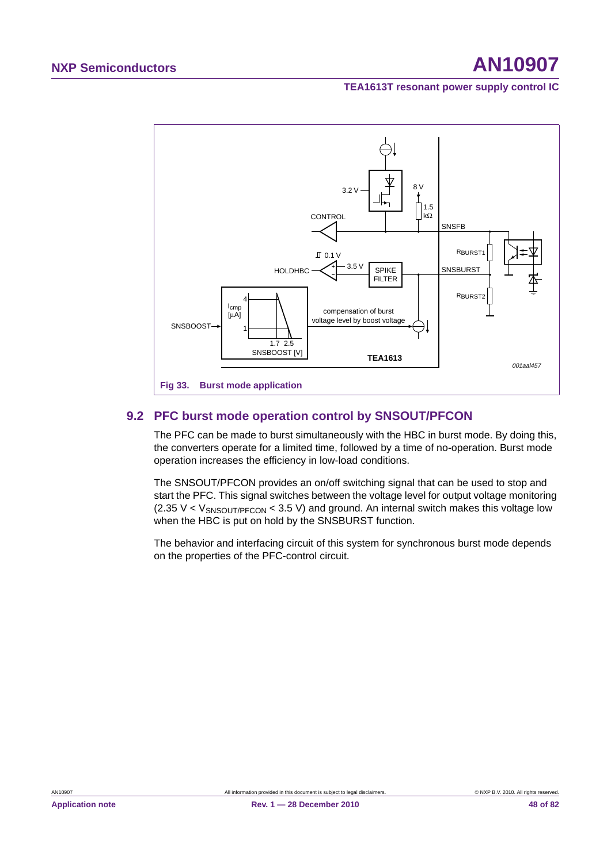

# **9.2 PFC burst mode operation control by SNSOUT/PFCON**

The PFC can be made to burst simultaneously with the HBC in burst mode. By doing this, the converters operate for a limited time, followed by a time of no-operation. Burst mode operation increases the efficiency in low-load conditions.

The SNSOUT/PFCON provides an on/off switching signal that can be used to stop and start the PFC. This signal switches between the voltage level for output voltage monitoring  $(2.35 V < V<sub>SNSOUT/PFCON</sub> < 3.5 V)$  and ground. An internal switch makes this voltage low when the HBC is put on hold by the SNSBURST function.

The behavior and interfacing circuit of this system for synchronous burst mode depends on the properties of the PFC-control circuit.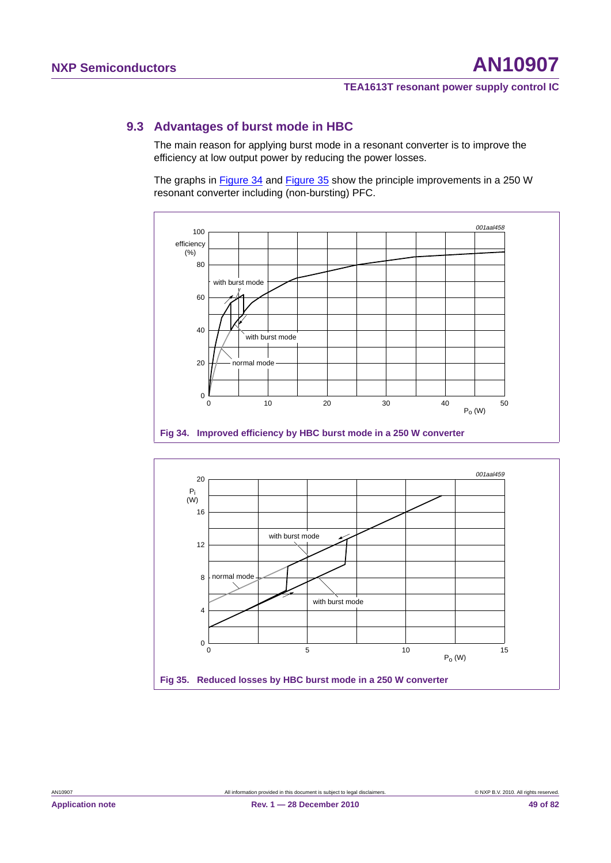# **9.3 Advantages of burst mode in HBC**

The main reason for applying burst mode in a resonant converter is to improve the efficiency at low output power by reducing the power losses.

The graphs in Figure 34 and Figure 35 show the principle improvements in a 250 W resonant converter including (non-bursting) PFC.



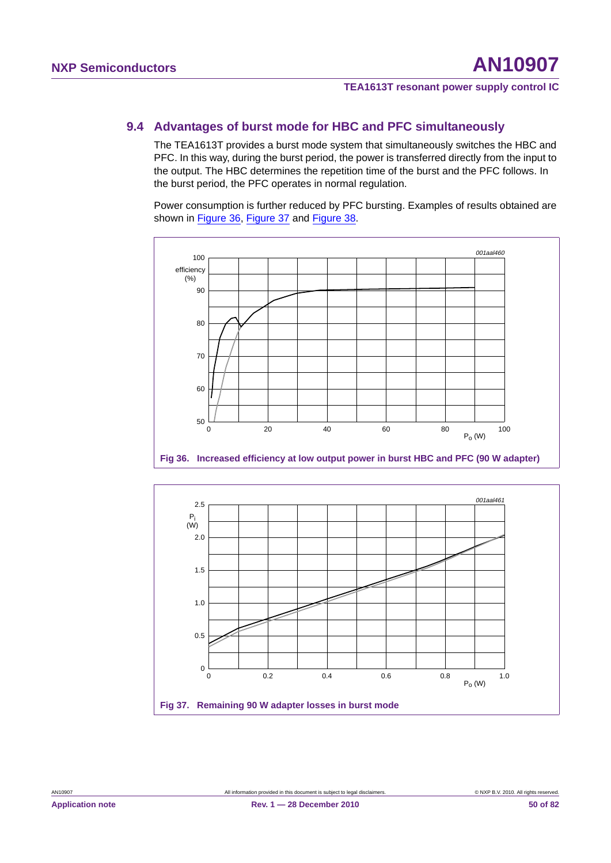# **9.4 Advantages of burst mode for HBC and PFC simultaneously**

The TEA1613T provides a burst mode system that simultaneously switches the HBC and PFC. In this way, during the burst period, the power is transferred directly from the input to the output. The HBC determines the repetition time of the burst and the PFC follows. In the burst period, the PFC operates in normal regulation.

Power consumption is further reduced by PFC bursting. Examples of results obtained are shown in Figure 36, Figure 37 and Figure 38.



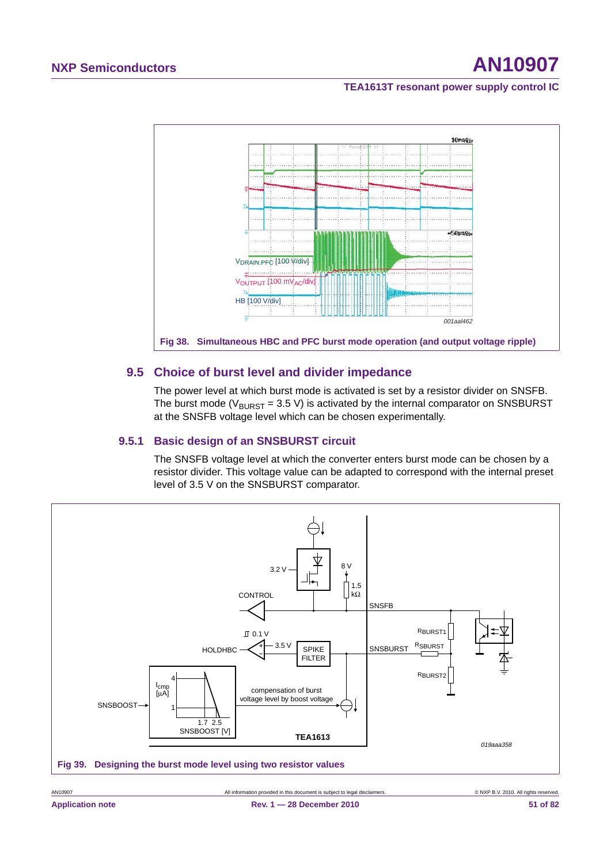# **NXP Semiconductors AN10907**

**TEA1613T resonant power supply control IC**



# **9.5 Choice of burst level and divider impedance**

The power level at which burst mode is activated is set by a resistor divider on SNSFB. The burst mode ( $V_{\text{BURST}}$  = 3.5 V) is activated by the internal comparator on SNSBURST at the SNSFB voltage level which can be chosen experimentally.

# **9.5.1 Basic design of an SNSBURST circuit**

The SNSFB voltage level at which the converter enters burst mode can be chosen by a resistor divider. This voltage value can be adapted to correspond with the internal preset level of 3.5 V on the SNSBURST comparator.

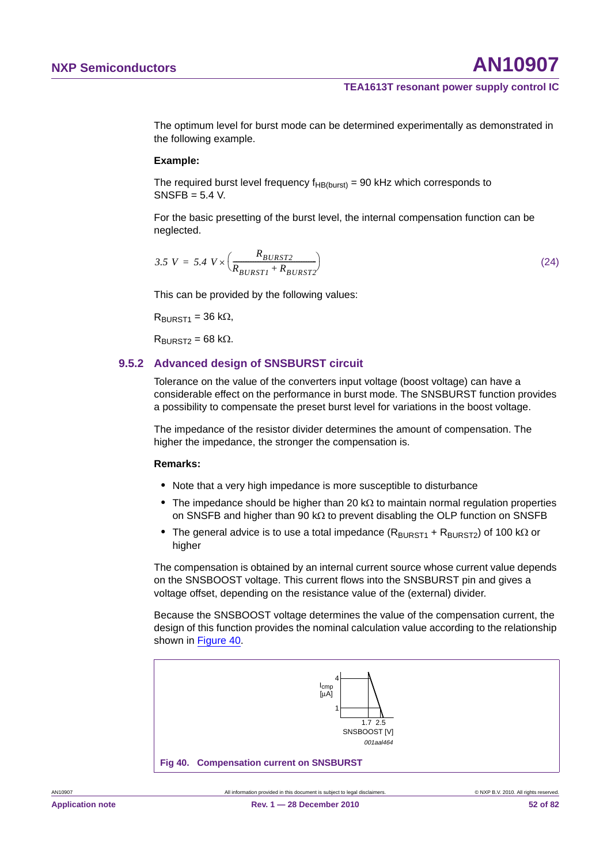The optimum level for burst mode can be determined experimentally as demonstrated in the following example.

#### **Example:**

The required burst level frequency  $f_{HB(burst)} = 90$  kHz which corresponds to SNSFB = 5.4 V.

For the basic presetting of the burst level, the internal compensation function can be neglected.

$$
3.5 V = 5.4 V \times \left(\frac{R_{BURST2}}{R_{BURST1} + R_{BURST2}}\right) \tag{24}
$$

This can be provided by the following values:

 $R_{\text{RIIRST1}} = 36 \text{ k}\Omega$ 

 $R<sub>RIIRST2</sub> = 68 k<sub>Ω</sub>$ .

# **9.5.2 Advanced design of SNSBURST circuit**

Tolerance on the value of the converters input voltage (boost voltage) can have a considerable effect on the performance in burst mode. The SNSBURST function provides a possibility to compensate the preset burst level for variations in the boost voltage.

The impedance of the resistor divider determines the amount of compensation. The higher the impedance, the stronger the compensation is.

#### **Remarks:**

- **•** Note that a very high impedance is more susceptible to disturbance
- The impedance should be higher than 20  $k\Omega$  to maintain normal regulation properties on SNSFB and higher than 90  $k\Omega$  to prevent disabling the OLP function on SNSFB
- The general advice is to use a total impedance  $(R_{\text{BURST1}} + R_{\text{BURST2}})$  of 100 k $\Omega$  or higher

The compensation is obtained by an internal current source whose current value depends on the SNSBOOST voltage. This current flows into the SNSBURST pin and gives a voltage offset, depending on the resistance value of the (external) divider.

Because the SNSBOOST voltage determines the value of the compensation current, the design of this function provides the nominal calculation value according to the relationship shown in Figure 40.

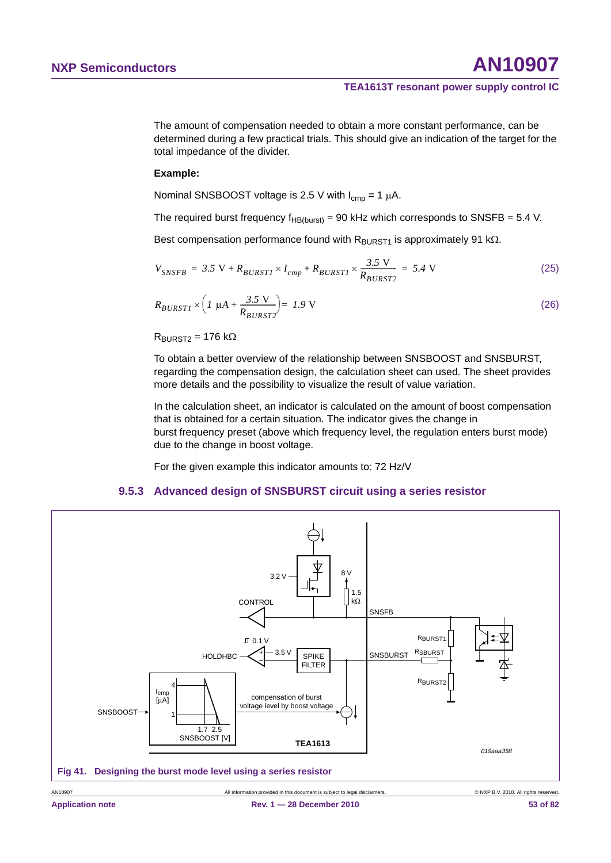The amount of compensation needed to obtain a more constant performance, can be determined during a few practical trials. This should give an indication of the target for the total impedance of the divider.

# **Example:**

Nominal SNSBOOST voltage is 2.5 V with  $I_{cmp} = 1 \mu A$ .

The required burst frequency  $f_{HB(burst)} = 90$  kHz which corresponds to SNSFB = 5.4 V.

Best compensation performance found with  $R_{\text{BURST1}}$  is approximately 91 k $\Omega$ .

$$
V_{SNSFB} = 3.5 \text{ V} + R_{BURST1} \times I_{cmp} + R_{BURST1} \times \frac{3.5 \text{ V}}{R_{BURST2}} = 5.4 \text{ V}
$$
 (25)

$$
R_{BURSTI} \times \left( I \mu A + \frac{3.5 \text{ V}}{R_{BURST2}} \right) = 1.9 \text{ V}
$$
 (26)

 $R<sub>RIIRST2</sub> = 176 k<sub>Ω</sub>$ 

To obtain a better overview of the relationship between SNSBOOST and SNSBURST, regarding the compensation design, the calculation sheet can used. The sheet provides more details and the possibility to visualize the result of value variation.

In the calculation sheet, an indicator is calculated on the amount of boost compensation that is obtained for a certain situation. The indicator gives the change in burst frequency preset (above which frequency level, the regulation enters burst mode) due to the change in boost voltage.

For the given example this indicator amounts to: 72 Hz/V

#### **9.5.3 Advanced design of SNSBURST circuit using a series resistor**

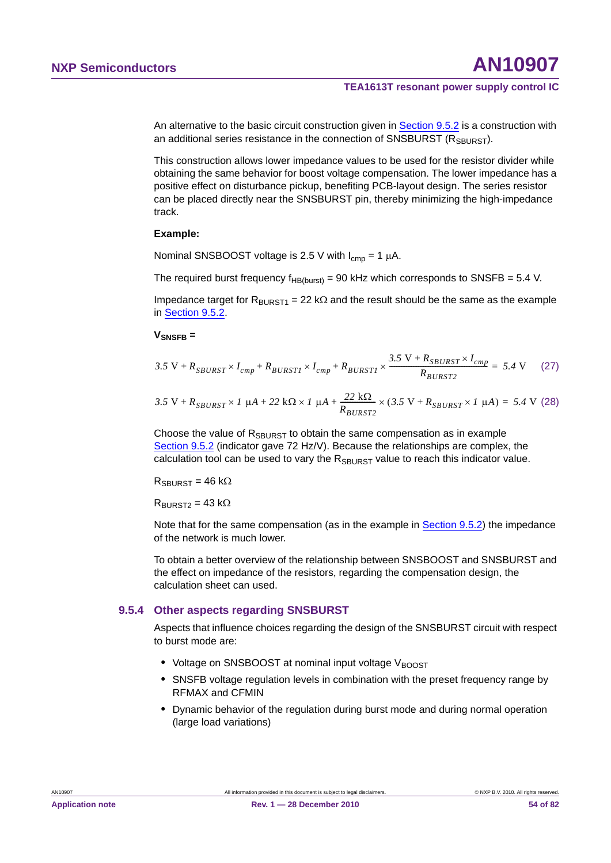An alternative to the basic circuit construction given in Section 9.5.2 is a construction with an additional series resistance in the connection of SNSBURST ( $R_{SBURST}$ ).

This construction allows lower impedance values to be used for the resistor divider while obtaining the same behavior for boost voltage compensation. The lower impedance has a positive effect on disturbance pickup, benefiting PCB-layout design. The series resistor can be placed directly near the SNSBURST pin, thereby minimizing the high-impedance track.

#### **Example:**

Nominal SNSBOOST voltage is 2.5 V with  $I_{\text{cmb}} = 1 \mu A$ .

The required burst frequency  $f_{HB(burst)} = 90$  kHz which corresponds to SNSFB = 5.4 V.

Impedance target for  $R_{\text{BURST1}} = 22 \text{ k}\Omega$  and the result should be the same as the example in Section 9.5.2.

#### **VSNSFB =**

$$
3.5 \text{ V} + R_{SBURST} \times I_{cmp} + R_{BURSTI} \times I_{cmp} + R_{BURSTI} \times \frac{3.5 \text{ V} + R_{SBURST} \times I_{cmp}}{R_{BURST2}} = 5.4 \text{ V} \tag{27}
$$

$$
3.5 \text{ V} + R_{SBURST} \times 1 \text{ }\mu\text{A} + 22 \text{ k}\Omega \times 1 \text{ }\mu\text{A} + \frac{22 \text{ k}\Omega}{R_{BURST2}} \times (3.5 \text{ V} + R_{SBURST} \times 1 \text{ }\mu\text{A}) = 5.4 \text{ V} \tag{28}
$$

Choose the value of  $R_{\text{SBLIRST}}$  to obtain the same compensation as in example Section 9.5.2 (indicator gave 72 Hz/V). Because the relationships are complex, the calculation tool can be used to vary the  $R_{SBIIRST}$  value to reach this indicator value.

 $R_{SRIIRST}$  = 46 k $\Omega$ 

 $R<sub>BIIRST2</sub> = 43 k<sub>Ω</sub>$ 

Note that for the same compensation (as in the example in Section 9.5.2) the impedance of the network is much lower.

To obtain a better overview of the relationship between SNSBOOST and SNSBURST and the effect on impedance of the resistors, regarding the compensation design, the calculation sheet can used.

# **9.5.4 Other aspects regarding SNSBURST**

Aspects that influence choices regarding the design of the SNSBURST circuit with respect to burst mode are:

- Voltage on SNSBOOST at nominal input voltage VBOOST
- **•** SNSFB voltage regulation levels in combination with the preset frequency range by RFMAX and CFMIN
- **•** Dynamic behavior of the regulation during burst mode and during normal operation (large load variations)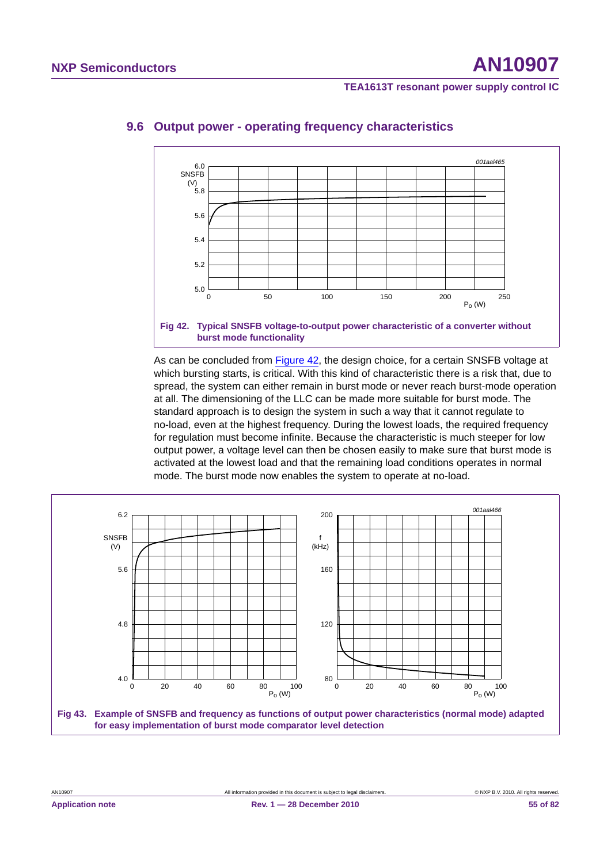

# **9.6 Output power - operating frequency characteristics**

As can be concluded from Figure 42, the design choice, for a certain SNSFB voltage at which bursting starts, is critical. With this kind of characteristic there is a risk that, due to spread, the system can either remain in burst mode or never reach burst-mode operation at all. The dimensioning of the LLC can be made more suitable for burst mode. The standard approach is to design the system in such a way that it cannot regulate to no-load, even at the highest frequency. During the lowest loads, the required frequency for regulation must become infinite. Because the characteristic is much steeper for low output power, a voltage level can then be chosen easily to make sure that burst mode is activated at the lowest load and that the remaining load conditions operates in normal mode. The burst mode now enables the system to operate at no-load.

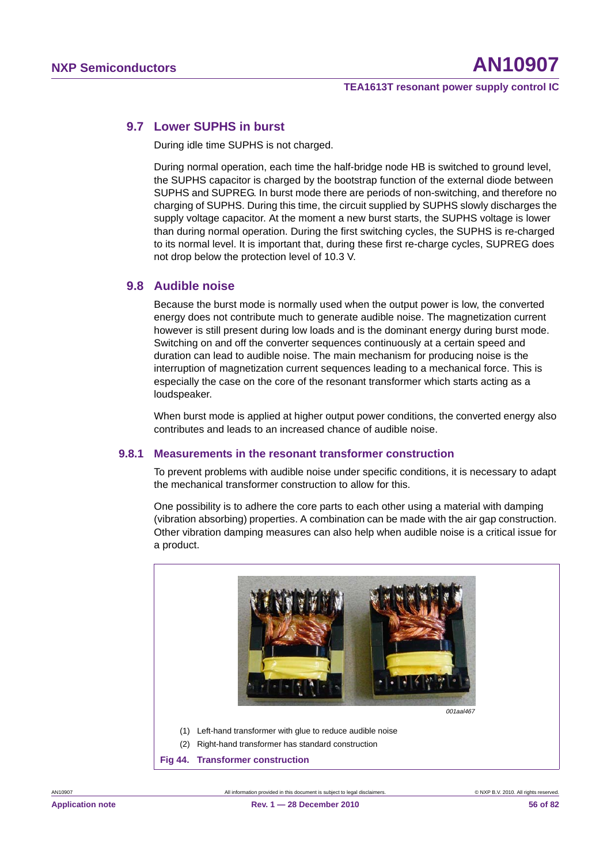# **9.7 Lower SUPHS in burst**

During idle time SUPHS is not charged.

During normal operation, each time the half-bridge node HB is switched to ground level, the SUPHS capacitor is charged by the bootstrap function of the external diode between SUPHS and SUPREG. In burst mode there are periods of non-switching, and therefore no charging of SUPHS. During this time, the circuit supplied by SUPHS slowly discharges the supply voltage capacitor. At the moment a new burst starts, the SUPHS voltage is lower than during normal operation. During the first switching cycles, the SUPHS is re-charged to its normal level. It is important that, during these first re-charge cycles, SUPREG does not drop below the protection level of 10.3 V.

# **9.8 Audible noise**

Because the burst mode is normally used when the output power is low, the converted energy does not contribute much to generate audible noise. The magnetization current however is still present during low loads and is the dominant energy during burst mode. Switching on and off the converter sequences continuously at a certain speed and duration can lead to audible noise. The main mechanism for producing noise is the interruption of magnetization current sequences leading to a mechanical force. This is especially the case on the core of the resonant transformer which starts acting as a loudspeaker.

When burst mode is applied at higher output power conditions, the converted energy also contributes and leads to an increased chance of audible noise.

# **9.8.1 Measurements in the resonant transformer construction**

To prevent problems with audible noise under specific conditions, it is necessary to adapt the mechanical transformer construction to allow for this.

One possibility is to adhere the core parts to each other using a material with damping (vibration absorbing) properties. A combination can be made with the air gap construction. Other vibration damping measures can also help when audible noise is a critical issue for a product.



(1) Left-hand transformer with glue to reduce audible noise

(2) Right-hand transformer has standard construction

**Fig 44. Transformer construction**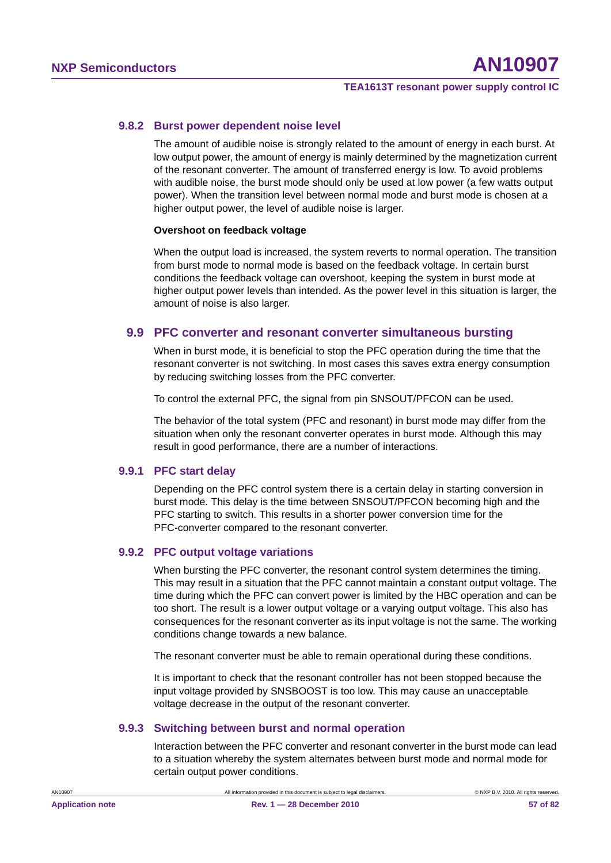# **9.8.2 Burst power dependent noise level**

The amount of audible noise is strongly related to the amount of energy in each burst. At low output power, the amount of energy is mainly determined by the magnetization current of the resonant converter. The amount of transferred energy is low. To avoid problems with audible noise, the burst mode should only be used at low power (a few watts output power). When the transition level between normal mode and burst mode is chosen at a higher output power, the level of audible noise is larger.

#### **Overshoot on feedback voltage**

When the output load is increased, the system reverts to normal operation. The transition from burst mode to normal mode is based on the feedback voltage. In certain burst conditions the feedback voltage can overshoot, keeping the system in burst mode at higher output power levels than intended. As the power level in this situation is larger, the amount of noise is also larger.

# **9.9 PFC converter and resonant converter simultaneous bursting**

When in burst mode, it is beneficial to stop the PFC operation during the time that the resonant converter is not switching. In most cases this saves extra energy consumption by reducing switching losses from the PFC converter.

To control the external PFC, the signal from pin SNSOUT/PFCON can be used.

The behavior of the total system (PFC and resonant) in burst mode may differ from the situation when only the resonant converter operates in burst mode. Although this may result in good performance, there are a number of interactions.

# **9.9.1 PFC start delay**

Depending on the PFC control system there is a certain delay in starting conversion in burst mode. This delay is the time between SNSOUT/PFCON becoming high and the PFC starting to switch. This results in a shorter power conversion time for the PFC-converter compared to the resonant converter.

# **9.9.2 PFC output voltage variations**

When bursting the PFC converter, the resonant control system determines the timing. This may result in a situation that the PFC cannot maintain a constant output voltage. The time during which the PFC can convert power is limited by the HBC operation and can be too short. The result is a lower output voltage or a varying output voltage. This also has consequences for the resonant converter as its input voltage is not the same. The working conditions change towards a new balance.

The resonant converter must be able to remain operational during these conditions.

It is important to check that the resonant controller has not been stopped because the input voltage provided by SNSBOOST is too low. This may cause an unacceptable voltage decrease in the output of the resonant converter.

# **9.9.3 Switching between burst and normal operation**

Interaction between the PFC converter and resonant converter in the burst mode can lead to a situation whereby the system alternates between burst mode and normal mode for certain output power conditions.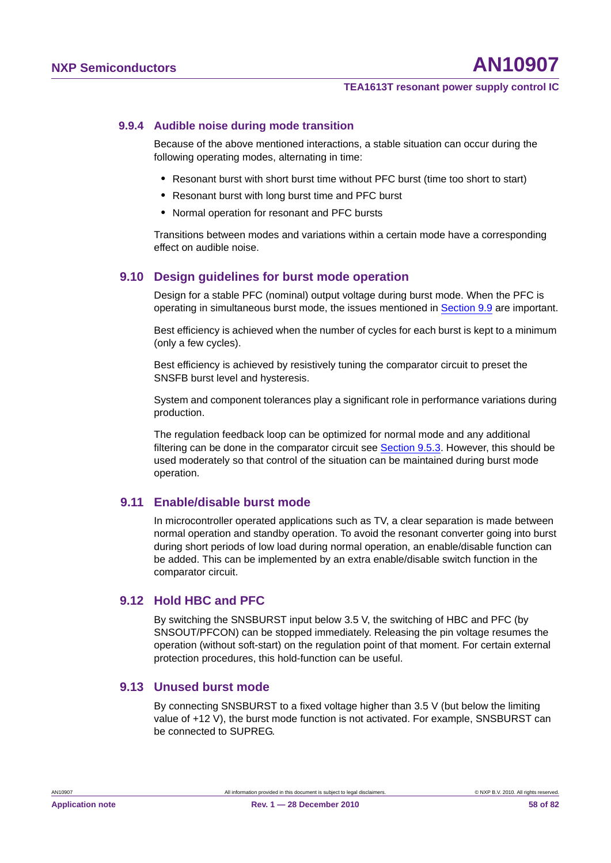# **9.9.4 Audible noise during mode transition**

Because of the above mentioned interactions, a stable situation can occur during the following operating modes, alternating in time:

- **•** Resonant burst with short burst time without PFC burst (time too short to start)
- **•** Resonant burst with long burst time and PFC burst
- **•** Normal operation for resonant and PFC bursts

Transitions between modes and variations within a certain mode have a corresponding effect on audible noise.

# **9.10 Design guidelines for burst mode operation**

Design for a stable PFC (nominal) output voltage during burst mode. When the PFC is operating in simultaneous burst mode, the issues mentioned in Section 9.9 are important.

Best efficiency is achieved when the number of cycles for each burst is kept to a minimum (only a few cycles).

Best efficiency is achieved by resistively tuning the comparator circuit to preset the SNSFB burst level and hysteresis.

System and component tolerances play a significant role in performance variations during production.

The regulation feedback loop can be optimized for normal mode and any additional filtering can be done in the comparator circuit see Section 9.5.3. However, this should be used moderately so that control of the situation can be maintained during burst mode operation.

# **9.11 Enable/disable burst mode**

In microcontroller operated applications such as TV, a clear separation is made between normal operation and standby operation. To avoid the resonant converter going into burst during short periods of low load during normal operation, an enable/disable function can be added. This can be implemented by an extra enable/disable switch function in the comparator circuit.

# **9.12 Hold HBC and PFC**

By switching the SNSBURST input below 3.5 V, the switching of HBC and PFC (by SNSOUT/PFCON) can be stopped immediately. Releasing the pin voltage resumes the operation (without soft-start) on the regulation point of that moment. For certain external protection procedures, this hold-function can be useful.

# **9.13 Unused burst mode**

By connecting SNSBURST to a fixed voltage higher than 3.5 V (but below the limiting value of +12 V), the burst mode function is not activated. For example, SNSBURST can be connected to SUPREG.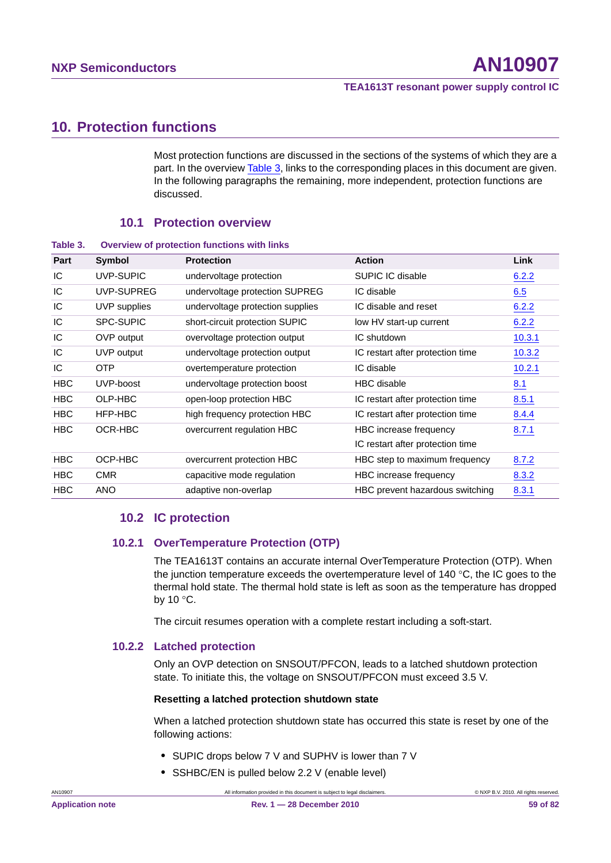# **10. Protection functions**

Most protection functions are discussed in the sections of the systems of which they are a part. In the overview Table 3, links to the corresponding places in this document are given. In the following paragraphs the remaining, more independent, protection functions are discussed.

# **10.1 Protection overview**

**Table 3. Overview of protection functions with links**

| Part       | Symbol           | <b>Protection</b>                | <b>Action</b>                    | Link   |
|------------|------------------|----------------------------------|----------------------------------|--------|
| IC         | UVP-SUPIC        | undervoltage protection          | SUPIC IC disable                 | 6.2.2  |
| IC         | UVP-SUPREG       | undervoltage protection SUPREG   | IC disable                       | 6.5    |
| IC         | UVP supplies     | undervoltage protection supplies | IC disable and reset             | 6.2.2  |
| IC         | <b>SPC-SUPIC</b> | short-circuit protection SUPIC   | low HV start-up current          | 6.2.2  |
| IC         | OVP output       | overvoltage protection output    | IC shutdown                      | 10.3.1 |
| IC         | UVP output       | undervoltage protection output   | IC restart after protection time | 10.3.2 |
| IC         | OTP              | overtemperature protection       | IC disable                       | 10.2.1 |
| <b>HBC</b> | UVP-boost        | undervoltage protection boost    | <b>HBC</b> disable               | 8.1    |
| HBC        | OLP-HBC          | open-loop protection HBC         | IC restart after protection time | 8.5.1  |
| HBC        | HFP-HBC          | high frequency protection HBC    | IC restart after protection time | 8.4.4  |
| HBC        | OCR-HBC          | overcurrent regulation HBC       | HBC increase frequency           | 8.7.1  |
|            |                  |                                  | IC restart after protection time |        |
| HBC        | OCP-HBC          | overcurrent protection HBC       | HBC step to maximum frequency    | 8.7.2  |
| <b>HBC</b> | <b>CMR</b>       | capacitive mode regulation       | HBC increase frequency           | 8.3.2  |
| <b>HBC</b> | <b>ANO</b>       | adaptive non-overlap             | HBC prevent hazardous switching  | 8.3.1  |

# **10.2 IC protection**

# **10.2.1 OverTemperature Protection (OTP)**

The TEA1613T contains an accurate internal OverTemperature Protection (OTP). When the junction temperature exceeds the overtemperature level of 140  $^{\circ}$ C, the IC goes to the thermal hold state. The thermal hold state is left as soon as the temperature has dropped by 10 $\degree$ C.

The circuit resumes operation with a complete restart including a soft-start.

# **10.2.2 Latched protection**

Only an OVP detection on SNSOUT/PFCON, leads to a latched shutdown protection state. To initiate this, the voltage on SNSOUT/PFCON must exceed 3.5 V.

# **Resetting a latched protection shutdown state**

When a latched protection shutdown state has occurred this state is reset by one of the following actions:

- **•** SUPIC drops below 7 V and SUPHV is lower than 7 V
- **•** SSHBC/EN is pulled below 2.2 V (enable level)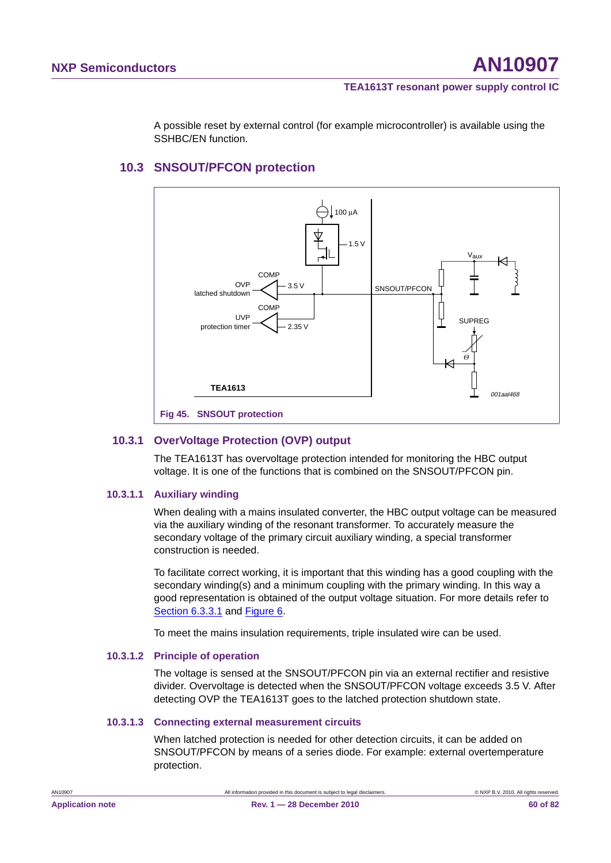A possible reset by external control (for example microcontroller) is available using the SSHBC/EN function.

# **10.3 SNSOUT/PFCON protection**



# **10.3.1 OverVoltage Protection (OVP) output**

The TEA1613T has overvoltage protection intended for monitoring the HBC output voltage. It is one of the functions that is combined on the SNSOUT/PFCON pin.

# **10.3.1.1 Auxiliary winding**

When dealing with a mains insulated converter, the HBC output voltage can be measured via the auxiliary winding of the resonant transformer. To accurately measure the secondary voltage of the primary circuit auxiliary winding, a special transformer construction is needed.

To facilitate correct working, it is important that this winding has a good coupling with the secondary winding(s) and a minimum coupling with the primary winding. In this way a good representation is obtained of the output voltage situation. For more details refer to Section 6.3.3.1 and Figure 6.

To meet the mains insulation requirements, triple insulated wire can be used.

# **10.3.1.2 Principle of operation**

The voltage is sensed at the SNSOUT/PFCON pin via an external rectifier and resistive divider. Overvoltage is detected when the SNSOUT/PFCON voltage exceeds 3.5 V. After detecting OVP the TEA1613T goes to the latched protection shutdown state.

# **10.3.1.3 Connecting external measurement circuits**

When latched protection is needed for other detection circuits, it can be added on SNSOUT/PFCON by means of a series diode. For example: external overtemperature protection.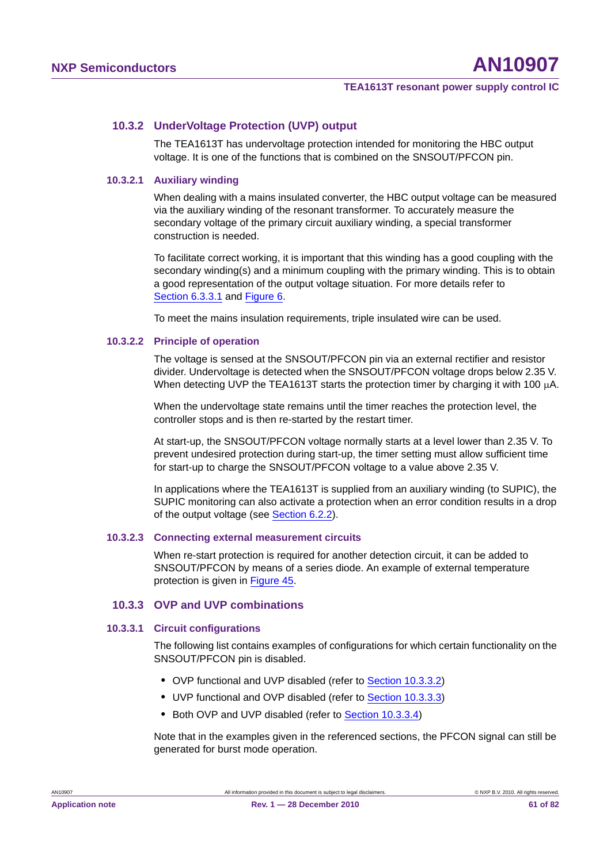# **10.3.2 UnderVoltage Protection (UVP) output**

The TEA1613T has undervoltage protection intended for monitoring the HBC output voltage. It is one of the functions that is combined on the SNSOUT/PFCON pin.

#### **10.3.2.1 Auxiliary winding**

When dealing with a mains insulated converter, the HBC output voltage can be measured via the auxiliary winding of the resonant transformer. To accurately measure the secondary voltage of the primary circuit auxiliary winding, a special transformer construction is needed.

To facilitate correct working, it is important that this winding has a good coupling with the secondary winding(s) and a minimum coupling with the primary winding. This is to obtain a good representation of the output voltage situation. For more details refer to Section 6.3.3.1 and Figure 6.

To meet the mains insulation requirements, triple insulated wire can be used.

#### **10.3.2.2 Principle of operation**

The voltage is sensed at the SNSOUT/PFCON pin via an external rectifier and resistor divider. Undervoltage is detected when the SNSOUT/PFCON voltage drops below 2.35 V. When detecting UVP the TEA1613T starts the protection timer by charging it with 100  $\mu$ A.

When the undervoltage state remains until the timer reaches the protection level, the controller stops and is then re-started by the restart timer.

At start-up, the SNSOUT/PFCON voltage normally starts at a level lower than 2.35 V. To prevent undesired protection during start-up, the timer setting must allow sufficient time for start-up to charge the SNSOUT/PFCON voltage to a value above 2.35 V.

In applications where the TEA1613T is supplied from an auxiliary winding (to SUPIC), the SUPIC monitoring can also activate a protection when an error condition results in a drop of the output voltage (see Section 6.2.2).

#### **10.3.2.3 Connecting external measurement circuits**

When re-start protection is required for another detection circuit, it can be added to SNSOUT/PFCON by means of a series diode. An example of external temperature protection is given in Figure 45.

# **10.3.3 OVP and UVP combinations**

# **10.3.3.1 Circuit configurations**

The following list contains examples of configurations for which certain functionality on the SNSOUT/PFCON pin is disabled.

- **•** OVP functional and UVP disabled (refer to Section 10.3.3.2)
- **•** UVP functional and OVP disabled (refer to Section 10.3.3.3)
- **•** Both OVP and UVP disabled (refer to Section 10.3.3.4)

Note that in the examples given in the referenced sections, the PFCON signal can still be generated for burst mode operation.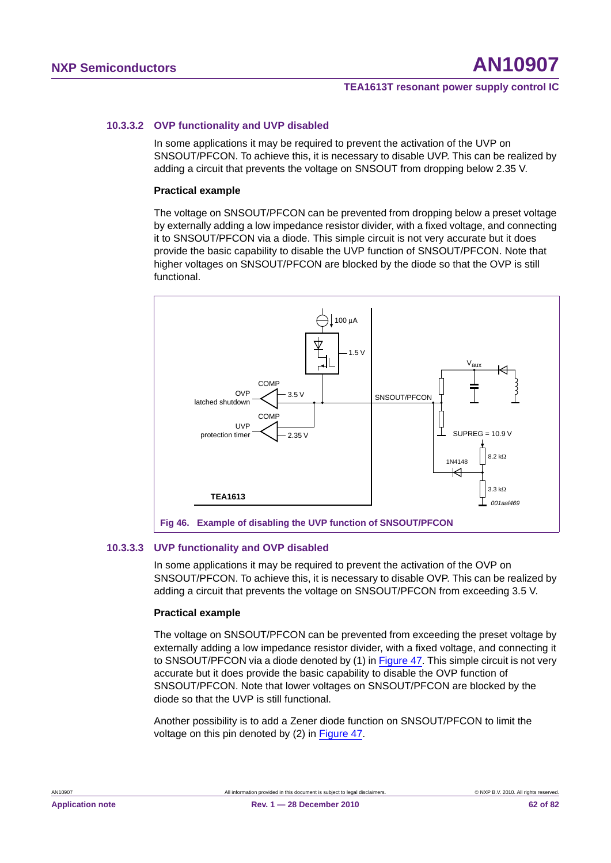# **10.3.3.2 OVP functionality and UVP disabled**

In some applications it may be required to prevent the activation of the UVP on SNSOUT/PFCON. To achieve this, it is necessary to disable UVP. This can be realized by adding a circuit that prevents the voltage on SNSOUT from dropping below 2.35 V.

#### **Practical example**

The voltage on SNSOUT/PFCON can be prevented from dropping below a preset voltage by externally adding a low impedance resistor divider, with a fixed voltage, and connecting it to SNSOUT/PFCON via a diode. This simple circuit is not very accurate but it does provide the basic capability to disable the UVP function of SNSOUT/PFCON. Note that higher voltages on SNSOUT/PFCON are blocked by the diode so that the OVP is still functional.



#### **10.3.3.3 UVP functionality and OVP disabled**

In some applications it may be required to prevent the activation of the OVP on SNSOUT/PFCON. To achieve this, it is necessary to disable OVP. This can be realized by adding a circuit that prevents the voltage on SNSOUT/PFCON from exceeding 3.5 V.

#### **Practical example**

The voltage on SNSOUT/PFCON can be prevented from exceeding the preset voltage by externally adding a low impedance resistor divider, with a fixed voltage, and connecting it to SNSOUT/PFCON via a diode denoted by (1) in Figure 47. This simple circuit is not very accurate but it does provide the basic capability to disable the OVP function of SNSOUT/PFCON. Note that lower voltages on SNSOUT/PFCON are blocked by the diode so that the UVP is still functional.

Another possibility is to add a Zener diode function on SNSOUT/PFCON to limit the voltage on this pin denoted by (2) in Figure 47.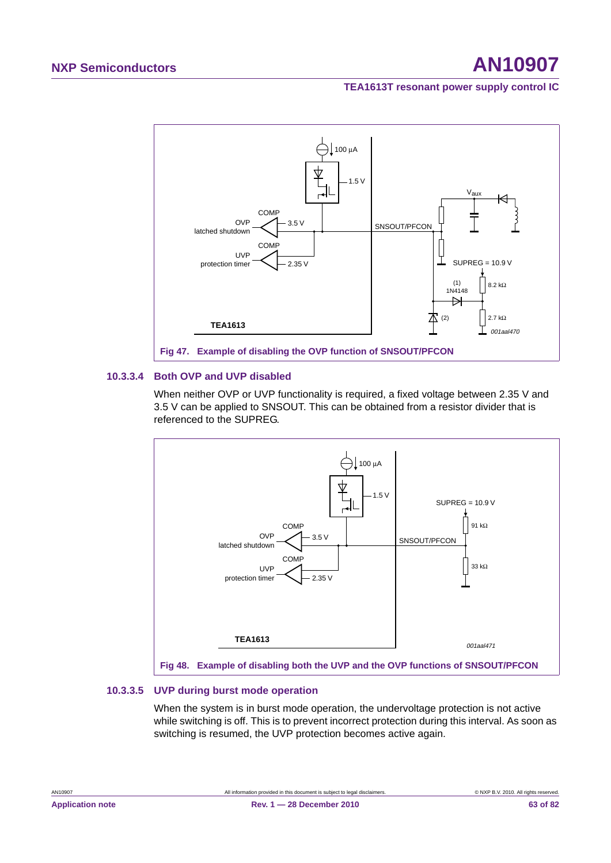# **NXP Semiconductors AN10907**

## **TEA1613T resonant power supply control IC**



# **10.3.3.4 Both OVP and UVP disabled**

When neither OVP or UVP functionality is required, a fixed voltage between 2.35 V and 3.5 V can be applied to SNSOUT. This can be obtained from a resistor divider that is referenced to the SUPREG.



# **10.3.3.5 UVP during burst mode operation**

When the system is in burst mode operation, the undervoltage protection is not active while switching is off. This is to prevent incorrect protection during this interval. As soon as switching is resumed, the UVP protection becomes active again.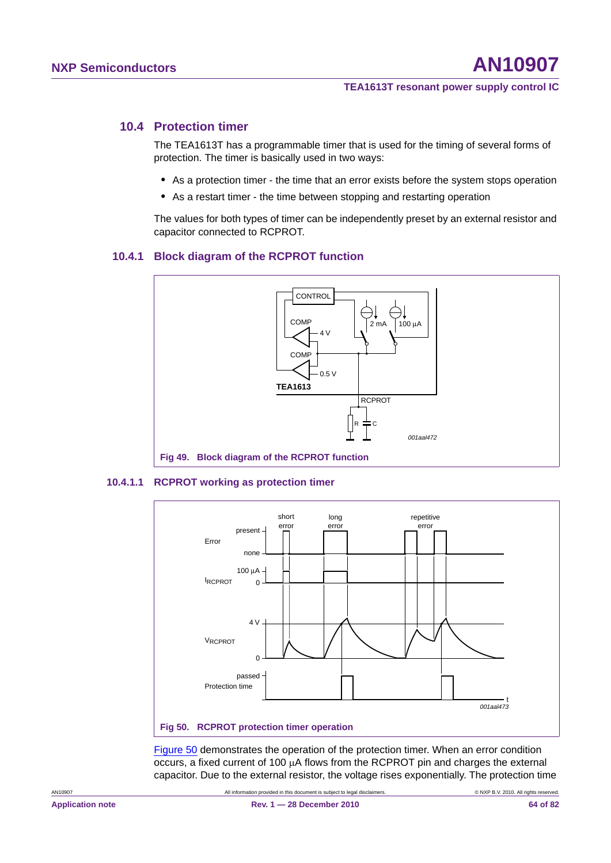# **10.4 Protection timer**

The TEA1613T has a programmable timer that is used for the timing of several forms of protection. The timer is basically used in two ways:

- **•** As a protection timer the time that an error exists before the system stops operation
- **•** As a restart timer the time between stopping and restarting operation

The values for both types of timer can be independently preset by an external resistor and capacitor connected to RCPROT.

# **10.4.1 Block diagram of the RCPROT function**



#### **10.4.1.1 RCPROT working as protection timer**



Figure 50 demonstrates the operation of the protection timer. When an error condition occurs, a fixed current of 100  $\mu$ A flows from the RCPROT pin and charges the external capacitor. Due to the external resistor, the voltage rises exponentially. The protection time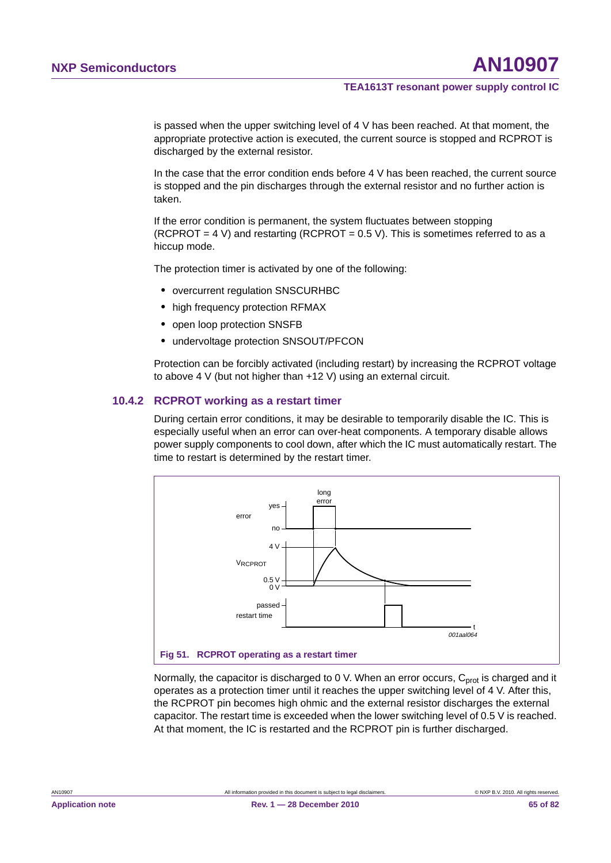is passed when the upper switching level of 4 V has been reached. At that moment, the appropriate protective action is executed, the current source is stopped and RCPROT is discharged by the external resistor.

In the case that the error condition ends before 4 V has been reached, the current source is stopped and the pin discharges through the external resistor and no further action is taken.

If the error condition is permanent, the system fluctuates between stopping (RCPROT = 4 V) and restarting (RCPROT =  $0.5$  V). This is sometimes referred to as a hiccup mode.

The protection timer is activated by one of the following:

- **•** overcurrent regulation SNSCURHBC
- **•** high frequency protection RFMAX
- **•** open loop protection SNSFB
- **•** undervoltage protection SNSOUT/PFCON

Protection can be forcibly activated (including restart) by increasing the RCPROT voltage to above 4 V (but not higher than +12 V) using an external circuit.

# **10.4.2 RCPROT working as a restart timer**

During certain error conditions, it may be desirable to temporarily disable the IC. This is especially useful when an error can over-heat components. A temporary disable allows power supply components to cool down, after which the IC must automatically restart. The time to restart is determined by the restart timer.



Normally, the capacitor is discharged to 0 V. When an error occurs,  $C<sub>prot</sub>$  is charged and it operates as a protection timer until it reaches the upper switching level of 4 V. After this, the RCPROT pin becomes high ohmic and the external resistor discharges the external capacitor. The restart time is exceeded when the lower switching level of 0.5 V is reached. At that moment, the IC is restarted and the RCPROT pin is further discharged.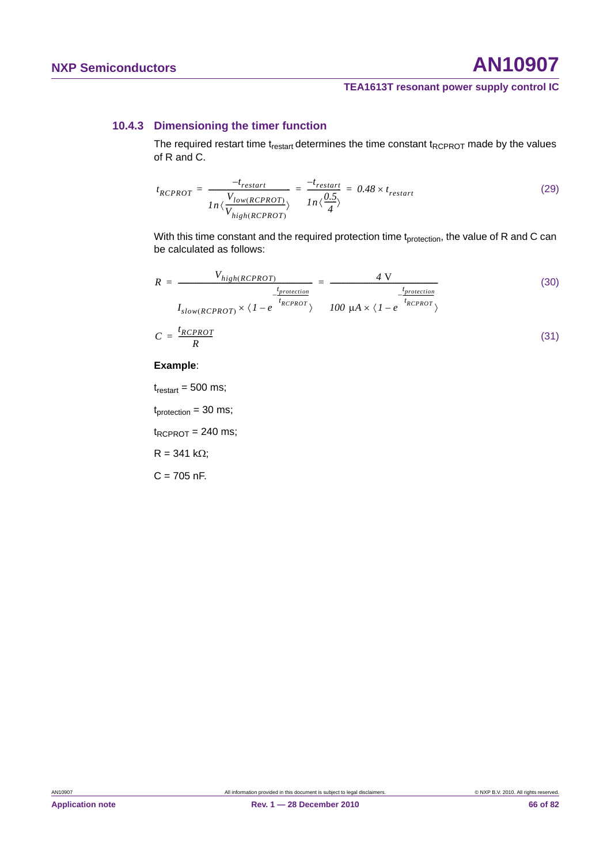# **NXP Semiconductors AN10907**

# **TEA1613T resonant power supply control IC**

# **10.4.3 Dimensioning the timer function**

The required restart time  $t_{\text{restart}}$  determines the time constant  $t_{\text{RCPROT}}$  made by the values of R and C.

$$
t_{RCPROT} = \frac{-t_{restart}}{ln\langle\frac{V_{low(RCPROT)}}{V_{high(RCPROT)}\rangle}} = \frac{-t_{restart}}{ln\langle\frac{0.5}{4}\rangle} = 0.48 \times t_{restart}
$$
 (29)

With this time constant and the required protection time t<sub>protection</sub>, the value of R and C can be calculated as follows:

$$
R = \frac{V_{high(RCPROT)}}{I_{slow(RCPROT)} \times \langle 1 - e^{\frac{t_{protection}}{t_{RCPROT}}} \rangle} = \frac{4 \text{ V}}{I00 \text{ }\mu\text{A} \times \langle 1 - e^{\frac{t_{protection}}{t_{RCPROT}}} \rangle}
$$
(30)  

$$
C = \frac{t_{RCPROT}}{R}
$$
(31)

#### **Example**:

 $t_{\text{restart}} = 500 \text{ ms}$ ;

 $t_{\text{protection}} = 30 \text{ ms}$ ;

 $t_{RCPROT}$  = 240 ms;

 $R = 341 k\Omega;$ 

 $C = 705$  nF.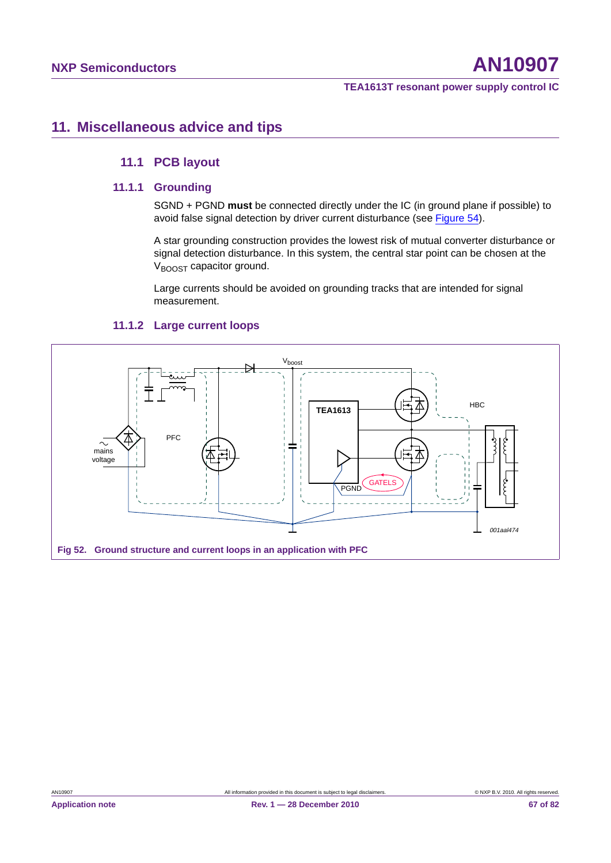# **11. Miscellaneous advice and tips**

# **11.1 PCB layout**

# **11.1.1 Grounding**

SGND + PGND **must** be connected directly under the IC (in ground plane if possible) to avoid false signal detection by driver current disturbance (see Figure 54).

A star grounding construction provides the lowest risk of mutual converter disturbance or signal detection disturbance. In this system, the central star point can be chosen at the  $V_{\text{BOOST}}$  capacitor ground.

Large currents should be avoided on grounding tracks that are intended for signal measurement.



# **11.1.2 Large current loops**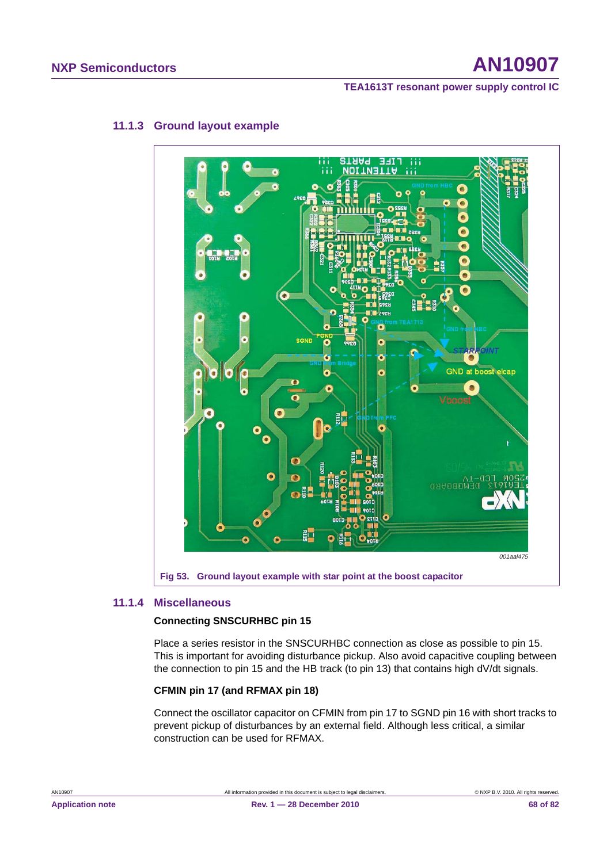# **NXP Semiconductors AN10907**

**TEA1613T resonant power supply control IC**



# **11.1.3 Ground layout example**

# **11.1.4 Miscellaneous**

# **Connecting SNSCURHBC pin 15**

Place a series resistor in the SNSCURHBC connection as close as possible to pin 15. This is important for avoiding disturbance pickup. Also avoid capacitive coupling between the connection to pin 15 and the HB track (to pin 13) that contains high dV/dt signals.

# **CFMIN pin 17 (and RFMAX pin 18)**

Connect the oscillator capacitor on CFMIN from pin 17 to SGND pin 16 with short tracks to prevent pickup of disturbances by an external field. Although less critical, a similar construction can be used for RFMAX.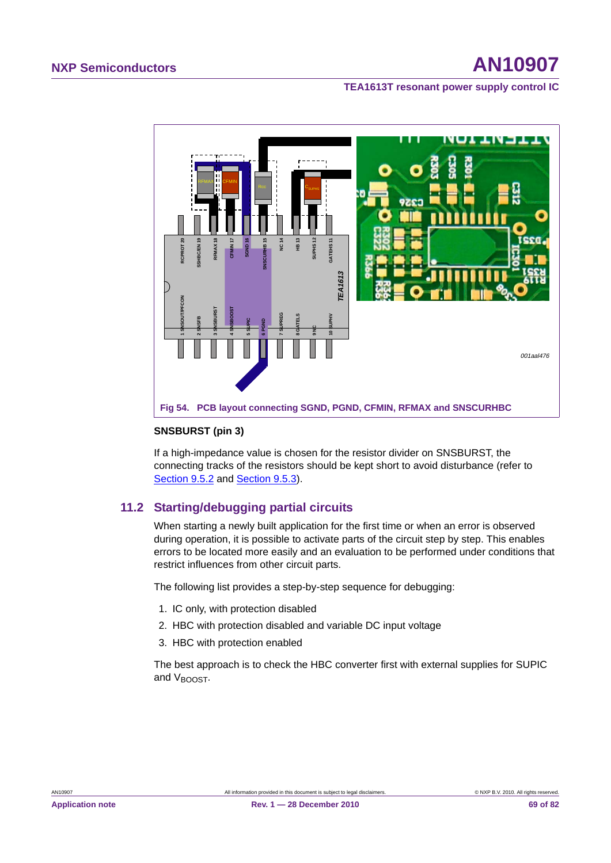

#### **SNSBURST (pin 3)**

If a high-impedance value is chosen for the resistor divider on SNSBURST, the connecting tracks of the resistors should be kept short to avoid disturbance (refer to Section 9.5.2 and Section 9.5.3).

# **11.2 Starting/debugging partial circuits**

When starting a newly built application for the first time or when an error is observed during operation, it is possible to activate parts of the circuit step by step. This enables errors to be located more easily and an evaluation to be performed under conditions that restrict influences from other circuit parts.

The following list provides a step-by-step sequence for debugging:

- 1. IC only, with protection disabled
- 2. HBC with protection disabled and variable DC input voltage
- 3. HBC with protection enabled

The best approach is to check the HBC converter first with external supplies for SUPIC and V<sub>BOOST</sub>.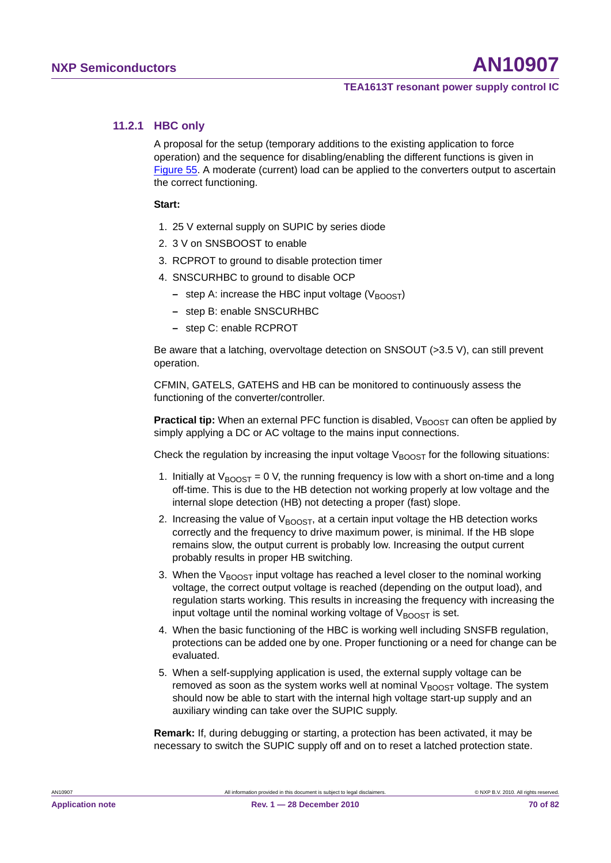# **11.2.1 HBC only**

A proposal for the setup (temporary additions to the existing application to force operation) and the sequence for disabling/enabling the different functions is given in Figure 55. A moderate (current) load can be applied to the converters output to ascertain the correct functioning.

#### **Start:**

- 1. 25 V external supply on SUPIC by series diode
- 2. 3 V on SNSBOOST to enable
- 3. RCPROT to ground to disable protection timer
- 4. SNSCURHBC to ground to disable OCP
	- **–** step A: increase the HBC input voltage (V<sub>BOOST</sub>)
	- **–** step B: enable SNSCURHBC
	- **–** step C: enable RCPROT

Be aware that a latching, overvoltage detection on SNSOUT (>3.5 V), can still prevent operation.

CFMIN, GATELS, GATEHS and HB can be monitored to continuously assess the functioning of the converter/controller.

**Practical tip:** When an external PFC function is disabled, V<sub>BOOST</sub> can often be applied by simply applying a DC or AC voltage to the mains input connections.

Check the regulation by increasing the input voltage  $V_{\rm BOOST}$  for the following situations:

- 1. Initially at  $V_{\text{BOOST}} = 0$  V, the running frequency is low with a short on-time and a long off-time. This is due to the HB detection not working properly at low voltage and the internal slope detection (HB) not detecting a proper (fast) slope.
- 2. Increasing the value of  $V_{\text{BOOST}}$ , at a certain input voltage the HB detection works correctly and the frequency to drive maximum power, is minimal. If the HB slope remains slow, the output current is probably low. Increasing the output current probably results in proper HB switching.
- 3. When the  $V_{\text{BOOST}}$  input voltage has reached a level closer to the nominal working voltage, the correct output voltage is reached (depending on the output load), and regulation starts working. This results in increasing the frequency with increasing the input voltage until the nominal working voltage of  $V_{\text{BONST}}$  is set.
- 4. When the basic functioning of the HBC is working well including SNSFB regulation, protections can be added one by one. Proper functioning or a need for change can be evaluated.
- 5. When a self-supplying application is used, the external supply voltage can be removed as soon as the system works well at nominal  $V_{\text{BOOST}}$  voltage. The system should now be able to start with the internal high voltage start-up supply and an auxiliary winding can take over the SUPIC supply.

**Remark:** If, during debugging or starting, a protection has been activated, it may be necessary to switch the SUPIC supply off and on to reset a latched protection state.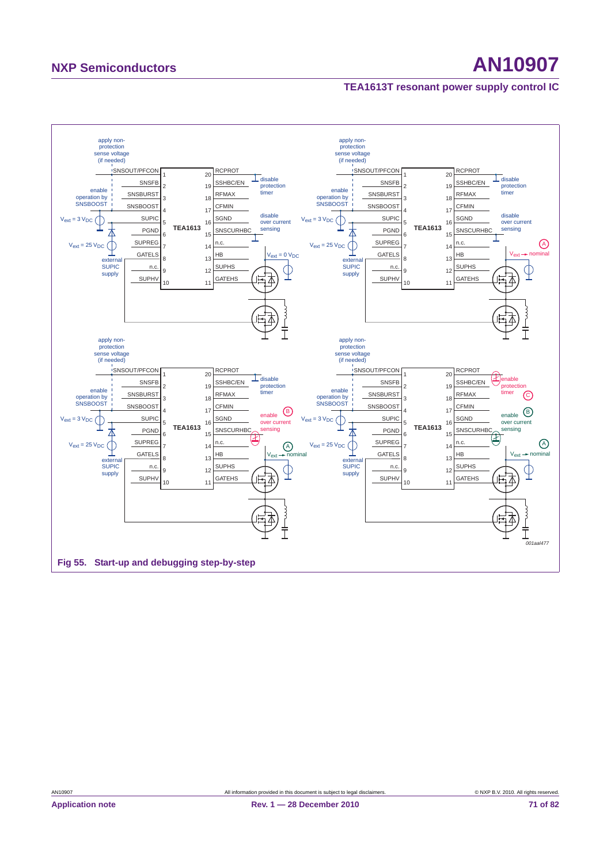# **NXP Semiconductors AN10907**

# **TEA1613T resonant power supply control IC**

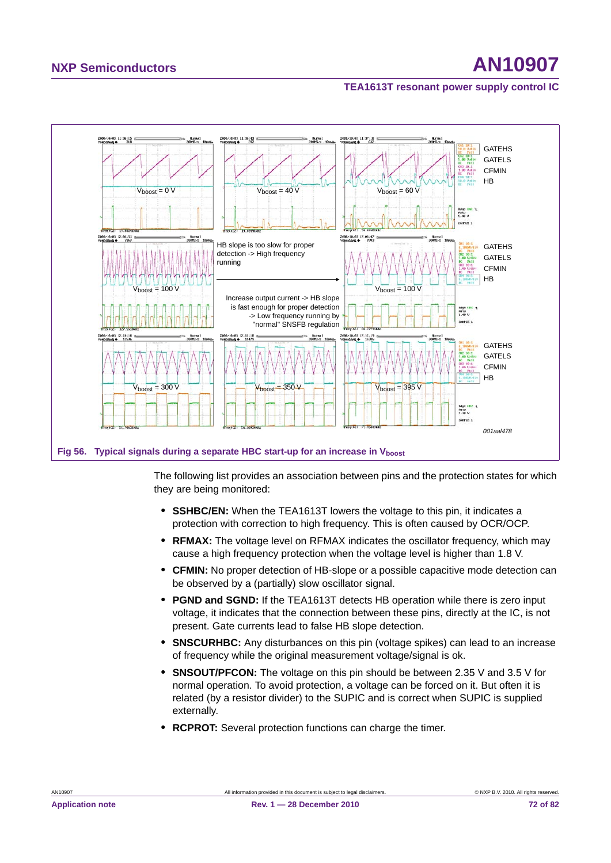

The following list provides an association between pins and the protection states for which they are being monitored:

- **• SSHBC/EN:** When the TEA1613T lowers the voltage to this pin, it indicates a protection with correction to high frequency. This is often caused by OCR/OCP.
- **• RFMAX:** The voltage level on RFMAX indicates the oscillator frequency, which may cause a high frequency protection when the voltage level is higher than 1.8 V.
- **• CFMIN:** No proper detection of HB-slope or a possible capacitive mode detection can be observed by a (partially) slow oscillator signal.
- **• PGND and SGND:** If the TEA1613T detects HB operation while there is zero input voltage, it indicates that the connection between these pins, directly at the IC, is not present. Gate currents lead to false HB slope detection.
- **• SNSCURHBC:** Any disturbances on this pin (voltage spikes) can lead to an increase of frequency while the original measurement voltage/signal is ok.
- **• SNSOUT/PFCON:** The voltage on this pin should be between 2.35 V and 3.5 V for normal operation. To avoid protection, a voltage can be forced on it. But often it is related (by a resistor divider) to the SUPIC and is correct when SUPIC is supplied externally.
- **• RCPROT:** Several protection functions can charge the timer.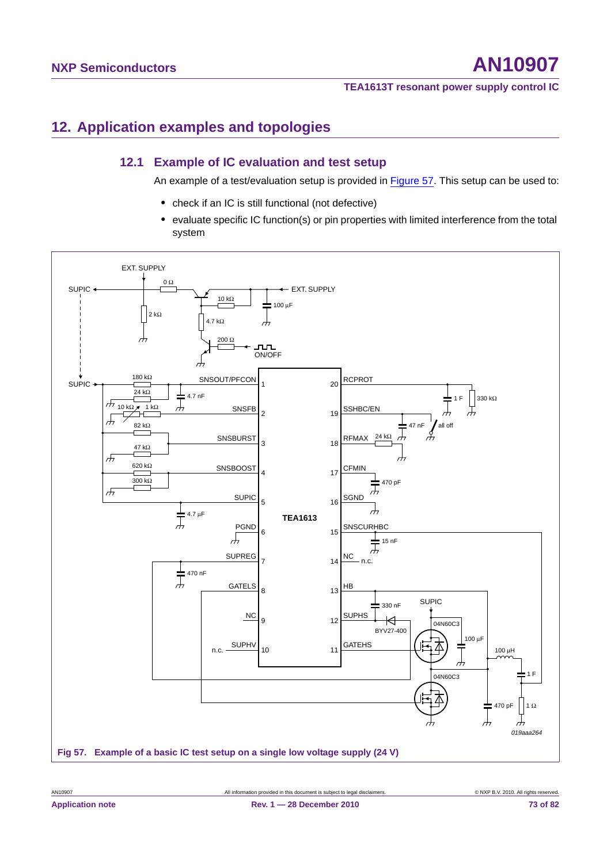**TEA1613T resonant power supply control IC**

#### **12. Application examples and topologies**

#### **12.1 Example of IC evaluation and test setup**

An example of a test/evaluation setup is provided in Figure 57. This setup can be used to:

- **•** check if an IC is still functional (not defective)
- **•** evaluate specific IC function(s) or pin properties with limited interference from the total system

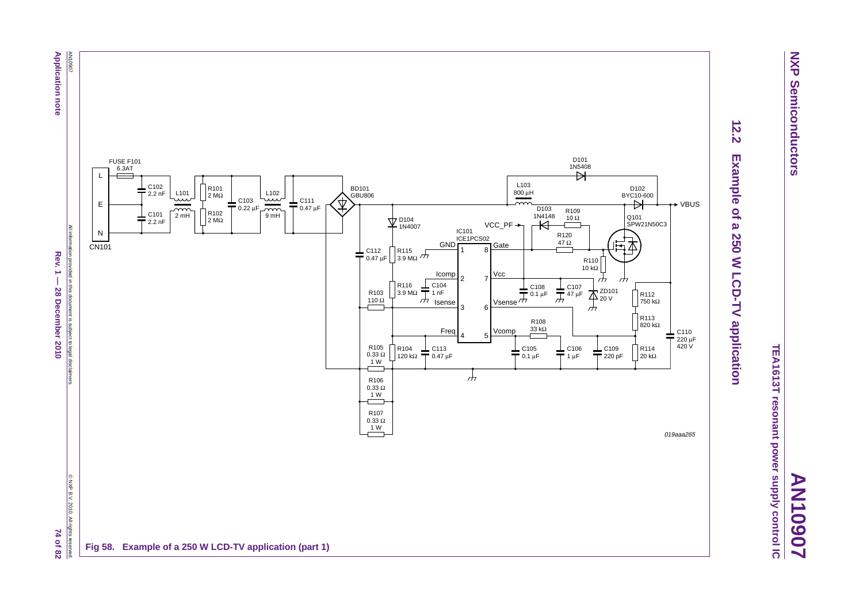

**AN10907**

TEA1613T resonant power supply control IC **TEA1613T resonant power supply control IC**



# $\frac{12.2}{2}$ **12.2 Example of a 250 W LCD-TV application** Example of a 250 W LCD-TV application

AN10907 **Application note Application note**

Rev.  $1 -$ **Rev. 1 — 28 December 2010 74 of 82 28 December 2010** 

74 of 82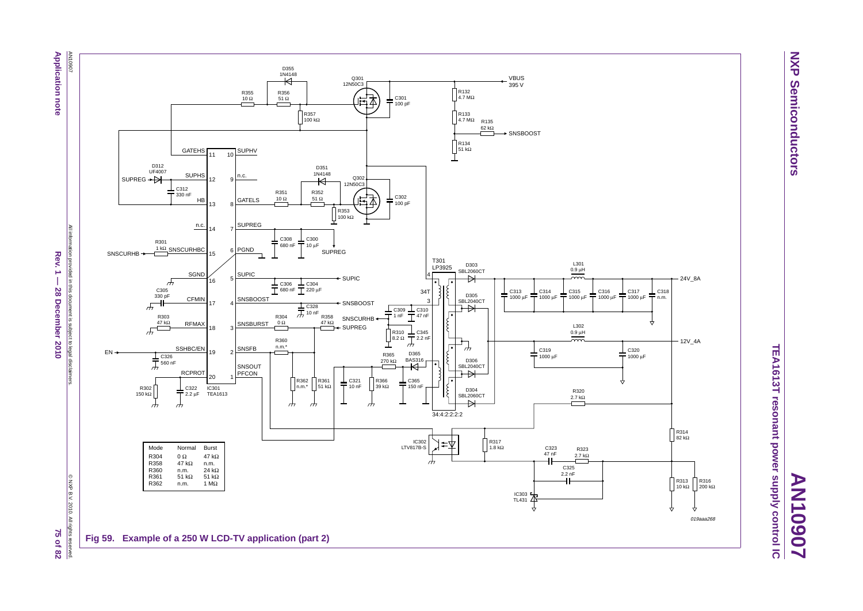AN10907 **Application note Application note**



© NXP B.V. 2010. All rights reserved. © NXP B.V. 2010. All rights ights reserved.<br>75 of 82



**NXP NXP Semiconductors Semiconductors** 

**AN10907**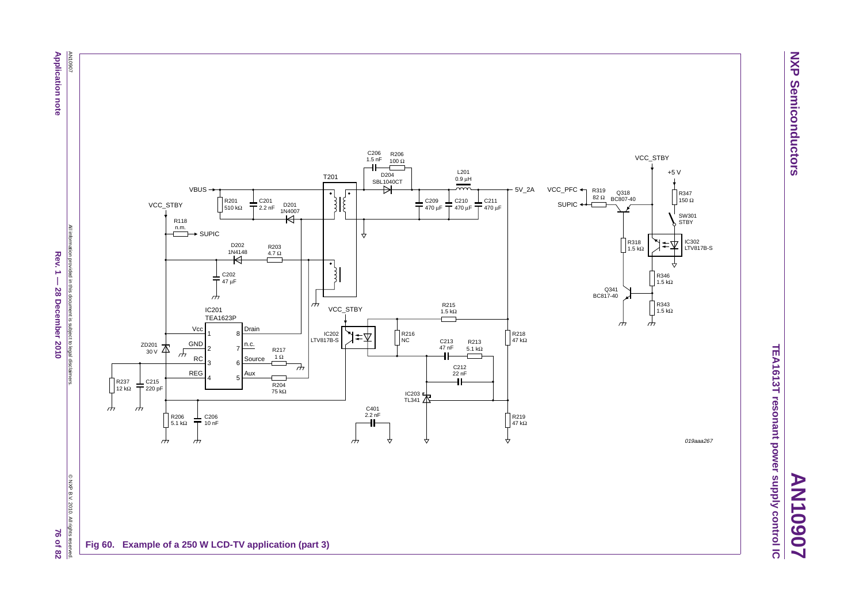**Application note Application note**

> All information provided in this document is subject to legal disclaimers. All information provided in this document is subject to legal disclaimers  $Rev.1 -$ Rev. 1  $-$  28 December 2010 *98* and 82 and 82 and 82 and 82 and 82 and 82 and 82 **28 December 2010**

© NXP B.V. 2010. All rights reserved. C NXP B.V. 2010. All rights reserved **76 of 82** 



**AN10907**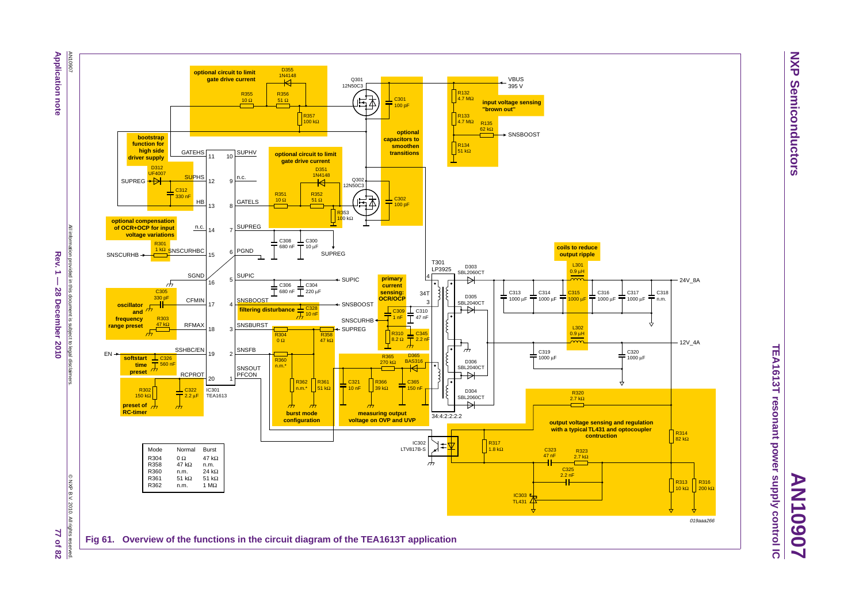

All information provided in this document is subject to legal disclaimers. **HIGHLIGH** Rev. **Rev. 1 — 28 December 2010 77 of 82** ion provided in this document is subject to legal disclaimers  $\vec{1}$ **28 December 2010** 



**NXP NXP Semiconductors Semiconductors** 

**AN10907**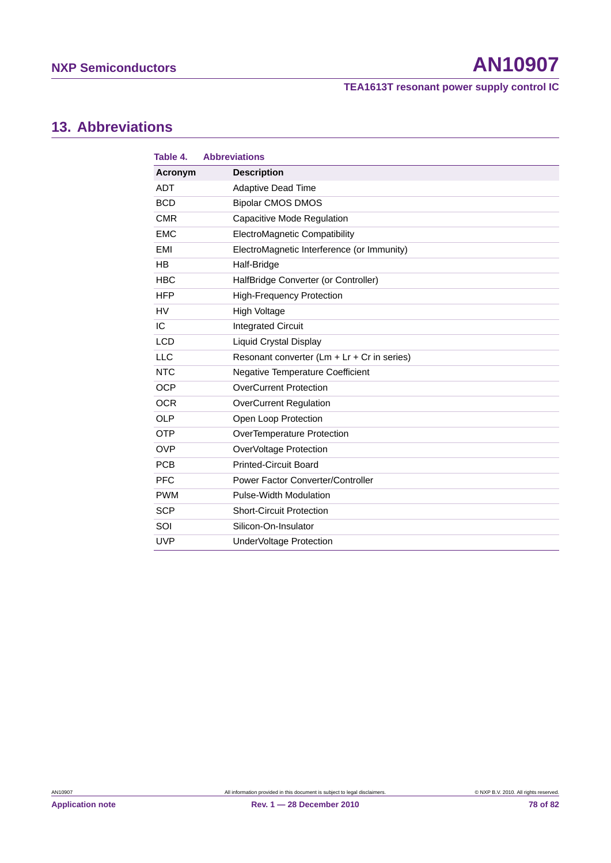**TEA1613T resonant power supply control IC**

#### **13. Abbreviations**

| Table 4.   | <b>Abbreviations</b>                           |
|------------|------------------------------------------------|
| Acronym    | <b>Description</b>                             |
| <b>ADT</b> | <b>Adaptive Dead Time</b>                      |
| <b>BCD</b> | <b>Bipolar CMOS DMOS</b>                       |
| <b>CMR</b> | Capacitive Mode Regulation                     |
| <b>EMC</b> | ElectroMagnetic Compatibility                  |
| <b>EMI</b> | ElectroMagnetic Interference (or Immunity)     |
| <b>HB</b>  | Half-Bridge                                    |
| <b>HBC</b> | HalfBridge Converter (or Controller)           |
| <b>HFP</b> | <b>High-Frequency Protection</b>               |
| HV         | High Voltage                                   |
| IC         | <b>Integrated Circuit</b>                      |
| <b>LCD</b> | Liquid Crystal Display                         |
| LLC        | Resonant converter $(Lm + Lr + Cr)$ in series) |
| <b>NTC</b> | <b>Negative Temperature Coefficient</b>        |
| <b>OCP</b> | <b>OverCurrent Protection</b>                  |
| <b>OCR</b> | <b>OverCurrent Regulation</b>                  |
| <b>OLP</b> | Open Loop Protection                           |
| <b>OTP</b> | <b>OverTemperature Protection</b>              |
| <b>OVP</b> | OverVoltage Protection                         |
| <b>PCB</b> | <b>Printed-Circuit Board</b>                   |
| <b>PFC</b> | Power Factor Converter/Controller              |
| <b>PWM</b> | <b>Pulse-Width Modulation</b>                  |
| <b>SCP</b> | <b>Short-Circuit Protection</b>                |
| SOI        | Silicon-On-Insulator                           |
| <b>UVP</b> | UnderVoltage Protection                        |

**Application note Rev. 1 — 28 December 2010 78 of 82**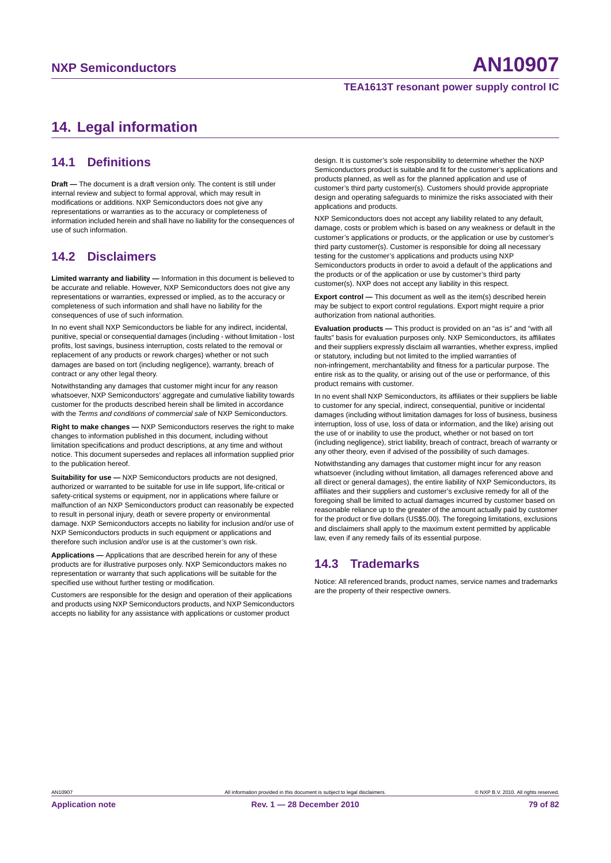#### **TEA1613T resonant power supply control IC**

#### **14. Legal information**

#### **14.1 Definitions**

**Draft —** The document is a draft version only. The content is still under internal review and subject to formal approval, which may result in modifications or additions. NXP Semiconductors does not give any representations or warranties as to the accuracy or completeness of information included herein and shall have no liability for the consequences of use of such information.

#### **14.2 Disclaimers**

**Limited warranty and liability —** Information in this document is believed to be accurate and reliable. However, NXP Semiconductors does not give any representations or warranties, expressed or implied, as to the accuracy or completeness of such information and shall have no liability for the consequences of use of such information.

In no event shall NXP Semiconductors be liable for any indirect, incidental, punitive, special or consequential damages (including - without limitation - lost profits, lost savings, business interruption, costs related to the removal or replacement of any products or rework charges) whether or not such damages are based on tort (including negligence), warranty, breach of contract or any other legal theory.

Notwithstanding any damages that customer might incur for any reason whatsoever, NXP Semiconductors' aggregate and cumulative liability towards customer for the products described herein shall be limited in accordance with the *Terms and conditions of commercial sale* of NXP Semiconductors.

**Right to make changes —** NXP Semiconductors reserves the right to make changes to information published in this document, including without limitation specifications and product descriptions, at any time and without notice. This document supersedes and replaces all information supplied prior to the publication hereof.

**Suitability for use —** NXP Semiconductors products are not designed, authorized or warranted to be suitable for use in life support, life-critical or safety-critical systems or equipment, nor in applications where failure or malfunction of an NXP Semiconductors product can reasonably be expected to result in personal injury, death or severe property or environmental damage. NXP Semiconductors accepts no liability for inclusion and/or use of NXP Semiconductors products in such equipment or applications and therefore such inclusion and/or use is at the customer's own risk.

**Applications —** Applications that are described herein for any of these products are for illustrative purposes only. NXP Semiconductors makes no representation or warranty that such applications will be suitable for the specified use without further testing or modification.

Customers are responsible for the design and operation of their applications and products using NXP Semiconductors products, and NXP Semiconductors accepts no liability for any assistance with applications or customer product

design. It is customer's sole responsibility to determine whether the NXP Semiconductors product is suitable and fit for the customer's applications and products planned, as well as for the planned application and use of customer's third party customer(s). Customers should provide appropriate design and operating safeguards to minimize the risks associated with their applications and products.

NXP Semiconductors does not accept any liability related to any default, damage, costs or problem which is based on any weakness or default in the customer's applications or products, or the application or use by customer's third party customer(s). Customer is responsible for doing all necessary testing for the customer's applications and products using NXP Semiconductors products in order to avoid a default of the applications and the products or of the application or use by customer's third party customer(s). NXP does not accept any liability in this respect.

**Export control —** This document as well as the item(s) described herein may be subject to export control regulations. Export might require a prior authorization from national authorities.

**Evaluation products —** This product is provided on an "as is" and "with all faults" basis for evaluation purposes only. NXP Semiconductors, its affiliates and their suppliers expressly disclaim all warranties, whether express, implied or statutory, including but not limited to the implied warranties of non-infringement, merchantability and fitness for a particular purpose. The entire risk as to the quality, or arising out of the use or performance, of this product remains with customer.

In no event shall NXP Semiconductors, its affiliates or their suppliers be liable to customer for any special, indirect, consequential, punitive or incidental damages (including without limitation damages for loss of business, business interruption, loss of use, loss of data or information, and the like) arising out the use of or inability to use the product, whether or not based on tort (including negligence), strict liability, breach of contract, breach of warranty or any other theory, even if advised of the possibility of such damages.

Notwithstanding any damages that customer might incur for any reason whatsoever (including without limitation, all damages referenced above and all direct or general damages), the entire liability of NXP Semiconductors, its affiliates and their suppliers and customer's exclusive remedy for all of the foregoing shall be limited to actual damages incurred by customer based on reasonable reliance up to the greater of the amount actually paid by customer for the product or five dollars (US\$5.00). The foregoing limitations, exclusions and disclaimers shall apply to the maximum extent permitted by applicable law, even if any remedy fails of its essential purpose.

#### **14.3 Trademarks**

Notice: All referenced brands, product names, service names and trademarks are the property of their respective owners.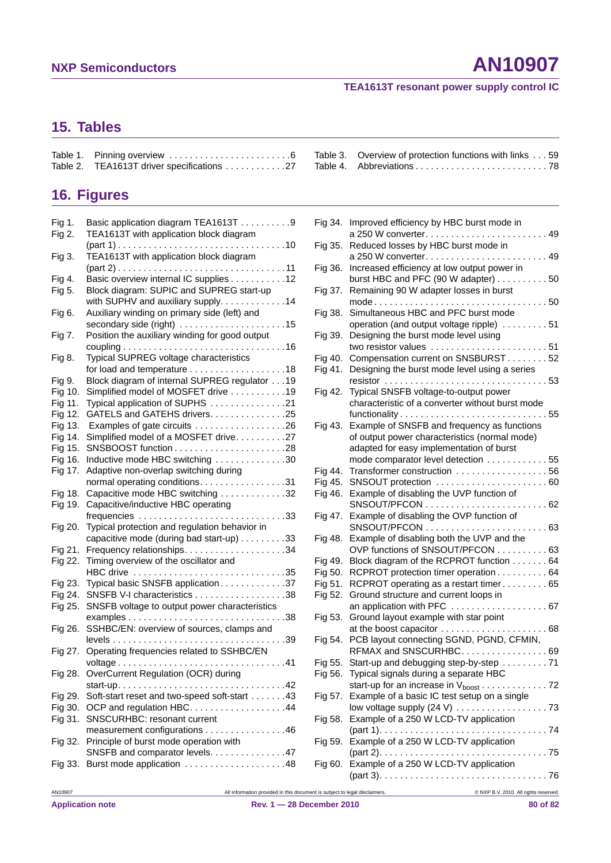#### **TEA1613T resonant power supply control IC**

### **15. Tables**

| Table 2. TEA1613T driver specifications 27 |  |
|--------------------------------------------|--|

## **16. Figures**

| Fig 1.  | Basic application diagram TEA1613T 9           |
|---------|------------------------------------------------|
| Fig 2.  | TEA1613T with application block diagram        |
|         |                                                |
| Fig 3.  | TEA1613T with application block diagram        |
|         |                                                |
| Fig 4.  | Basic overview internal IC supplies 12         |
| Fig 5.  | Block diagram: SUPIC and SUPREG start-up       |
|         | with SUPHV and auxiliary supply. 14            |
| Fig 6.  | Auxiliary winding on primary side (left) and   |
|         |                                                |
| Fig 7.  | Position the auxiliary winding for good output |
|         |                                                |
| Fig 8.  | Typical SUPREG voltage characteristics         |
|         | for load and temperature 18                    |
| Fig 9.  | Block diagram of internal SUPREG regulator 19  |
| Fig 10. | Simplified model of MOSFET drive 19            |
| Fig 11. | Typical application of SUPHS 21                |
| Fig 12. | GATELS and GATEHS drivers. 25                  |
| Fig 13. |                                                |
| Fig 14. | Simplified model of a MOSFET drive27           |
| Fig 15. |                                                |
| Fig 16. | Inductive mode HBC switching 30                |
| Fig 17. | Adaptive non-overlap switching during          |
|         | normal operating conditions. 31                |
| Fig 18. | Capacitive mode HBC switching 32               |
| Fig 19. | Capacitive/inductive HBC operating             |
|         |                                                |
| Fig 20. | Typical protection and regulation behavior in  |
|         | capacitive mode (during bad start-up) 33       |
| Fig 21. | Frequency relationships34                      |
| Fig 22. | Timing overview of the oscillator and          |
|         | HBC drive 35                                   |
| Fig 23. | Typical basic SNSFB application37              |
| Fig 24. | SNSFB V-I characteristics 38                   |
| Fig 25. | SNSFB voltage to output power characteristics  |
|         |                                                |
| Fig 26. | SSHBC/EN: overview of sources, clamps and      |
|         |                                                |
| Fig 27. | Operating frequencies related to SSHBC/EN      |
|         |                                                |
| Fig 28. | OverCurrent Regulation (OCR) during            |
|         |                                                |
| Fig 29. | Soft-start reset and two-speed soft-start 43   |
| Fig 30. | OCP and regulation HBC. 44                     |
| Fig 31. | <b>SNSCURHBC: resonant current</b>             |
|         | measurement configurations 46                  |
| Fig 32. | Principle of burst mode operation with         |
|         | SNSFB and comparator levels. 47                |
| Fig 33. | Burst mode application 48                      |
|         |                                                |

| Table 3. Overview of protection functions with links 59 |
|---------------------------------------------------------|
|                                                         |

| Fig 1.  | Basic application diagram TEA1613T 9                                                              |         | Fig 34. Improved efficiency by HBC burst mode in                  |
|---------|---------------------------------------------------------------------------------------------------|---------|-------------------------------------------------------------------|
| Fig 2.  | TEA1613T with application block diagram                                                           |         | a 250 W converter 49                                              |
|         |                                                                                                   |         | Fig 35. Reduced losses by HBC burst mode in                       |
| Fig 3.  | TEA1613T with application block diagram                                                           |         |                                                                   |
|         |                                                                                                   |         | Fig 36. Increased efficiency at low output power in               |
| Fig 4.  | Basic overview internal IC supplies 12                                                            |         | burst HBC and PFC (90 W adapter) 50                               |
| Fig 5.  | Block diagram: SUPIC and SUPREG start-up                                                          |         | Fig 37. Remaining 90 W adapter losses in burst                    |
|         | with SUPHV and auxiliary supply. 14                                                               |         |                                                                   |
| Fig 6.  | Auxiliary winding on primary side (left) and                                                      |         | Fig 38. Simultaneous HBC and PFC burst mode                       |
|         |                                                                                                   |         | operation (and output voltage ripple) 51                          |
| Fig 7.  | Position the auxiliary winding for good output                                                    |         | Fig 39. Designing the burst mode level using                      |
|         |                                                                                                   |         | two resistor values 51                                            |
| Fig 8.  | Typical SUPREG voltage characteristics                                                            |         | Fig 40. Compensation current on SNSBURST52                        |
|         |                                                                                                   |         | Fig 41. Designing the burst mode level using a series             |
| Fig 9.  | Block diagram of internal SUPREG regulator 19                                                     |         |                                                                   |
|         | Fig 10. Simplified model of MOSFET drive 19                                                       |         | Fig 42. Typical SNSFB voltage-to-output power                     |
|         | Fig 11. Typical application of SUPHS 21                                                           |         | characteristic of a converter without burst mode                  |
|         | Fig 12. GATELS and GATEHS drivers. 25                                                             |         |                                                                   |
|         | Fig 13. Examples of gate circuits 26                                                              |         | Fig 43. Example of SNSFB and frequency as functions               |
|         | Fig 14. Simplified model of a MOSFET drive27                                                      |         | of output power characteristics (normal mode)                     |
|         | Fig 16. Inductive mode HBC switching 30                                                           |         | adapted for easy implementation of burst                          |
|         | Fig 17. Adaptive non-overlap switching during                                                     | Fig 44. | mode comparator level detection 55<br>Transformer construction 56 |
|         |                                                                                                   |         |                                                                   |
|         | normal operating conditions. 31<br>Fig 18. Capacitive mode HBC switching 32                       |         | Fig 46. Example of disabling the UVP function of                  |
|         | Fig 19. Capacitive/inductive HBC operating                                                        |         |                                                                   |
|         |                                                                                                   |         | Fig 47. Example of disabling the OVP function of                  |
|         | Fig 20. Typical protection and regulation behavior in                                             |         |                                                                   |
|         | capacitive mode (during bad start-up) 33                                                          |         | Fig 48. Example of disabling both the UVP and the                 |
|         | Fig 21. Frequency relationships34                                                                 |         | OVP functions of SNSOUT/PFCON 63                                  |
|         | Fig 22. Timing overview of the oscillator and                                                     |         | Fig 49. Block diagram of the RCPROT function 64                   |
|         | HBC drive 35                                                                                      |         | Fig 50. RCPROT protection timer operation 64                      |
|         | Fig 23. Typical basic SNSFB application 37                                                        |         | Fig 51. RCPROT operating as a restart timer 65                    |
|         |                                                                                                   |         | Fig 52. Ground structure and current loops in                     |
|         | Fig 25. SNSFB voltage to output power characteristics                                             |         | an application with PFC  67                                       |
|         | $examples \ldots \ldots \ldots \ldots \ldots \ldots \ldots \ldots \ldots \ldots \ldots \ldots 38$ |         | Fig 53. Ground layout example with star point                     |
|         | Fig 26. SSHBC/EN: overview of sources, clamps and                                                 |         |                                                                   |
|         |                                                                                                   |         | Fig 54. PCB layout connecting SGND, PGND, CFMIN,                  |
|         | Fig 27. Operating frequencies related to SSHBC/EN                                                 |         | RFMAX and SNSCURHBC 69                                            |
|         |                                                                                                   |         | Fig 55. Start-up and debugging step-by-step 71                    |
|         | Fig 28. OverCurrent Regulation (OCR) during                                                       |         | Fig 56. Typical signals during a separate HBC                     |
|         |                                                                                                   |         |                                                                   |
|         | Fig 29. Soft-start reset and two-speed soft-start 43                                              |         | Fig 57. Example of a basic IC test setup on a single              |
|         | Fig 30. OCP and regulation HBC44                                                                  |         |                                                                   |
|         | Fig 31. SNSCURHBC: resonant current                                                               |         | Fig 58. Example of a 250 W LCD-TV application                     |
|         | measurement configurations 46                                                                     |         |                                                                   |
|         | Fig 32. Principle of burst mode operation with                                                    |         | Fig 59. Example of a 250 W LCD-TV application                     |
|         | SNSFB and comparator levels. 47                                                                   |         |                                                                   |
|         | Fig 33. Burst mode application 48                                                                 |         | Fig 60. Example of a 250 W LCD-TV application                     |
|         |                                                                                                   |         |                                                                   |
| AN10907 | All information provided in this document is subject to legal disclaimers.                        |         | © NXP B.V. 2010. All rights reserved.                             |
|         |                                                                                                   |         |                                                                   |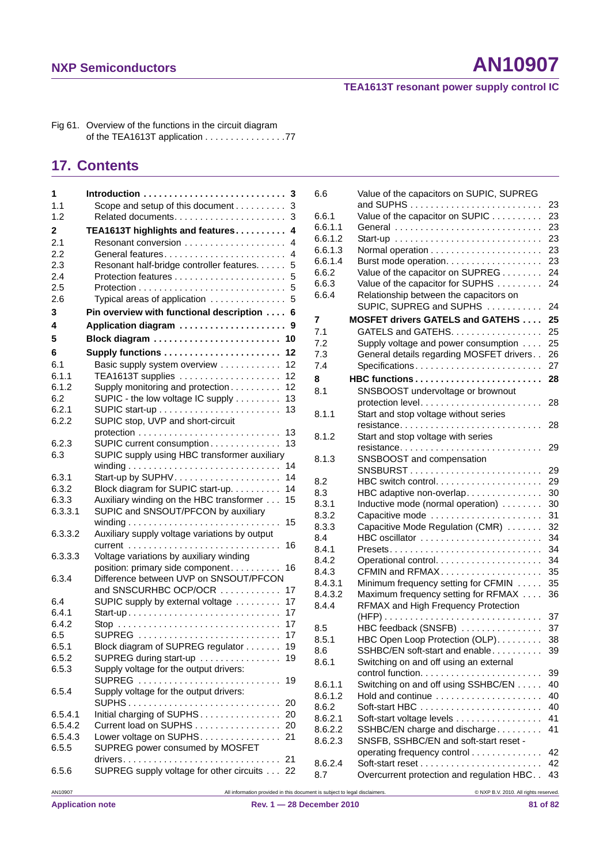#### **TEA1613T resonant power supply control IC**

Fig 61. Overview of the functions in the circuit diagram of the TEA1613T application . . . . . . . . . . . . . . 77

#### **17. Contents**

| 1            |                                                                            | 6.6     | Value of the capacitors on SUPIC, SUPREG       |      |
|--------------|----------------------------------------------------------------------------|---------|------------------------------------------------|------|
| 1.1          | Scope and setup of this document 3                                         |         |                                                |      |
| 1.2          |                                                                            | 6.6.1   | Value of the capacitor on SUPIC 23             |      |
| $\mathbf{2}$ | TEA1613T highlights and features 4                                         | 6.6.1.1 |                                                |      |
| 2.1          |                                                                            | 6.6.1.2 |                                                |      |
| 2.2          | General features 4                                                         | 6.6.1.3 |                                                |      |
|              |                                                                            | 6.6.1.4 | Burst mode operation. 23                       |      |
| 2.3          | Resonant half-bridge controller features. 5                                | 6.6.2   | Value of the capacitor on SUPREG 24            |      |
| 2.4          |                                                                            | 6.6.3   | Value of the capacitor for SUPHS 24            |      |
| 2.5          |                                                                            | 6.6.4   | Relationship between the capacitors on         |      |
| 2.6          | Typical areas of application  5                                            |         | SUPIC, SUPREG and SUPHS  24                    |      |
| 3            | Pin overview with functional description 6                                 | 7       | <b>MOSFET drivers GATELS and GATEHS  25</b>    |      |
| 4            | Application diagram  9                                                     |         |                                                |      |
| 5            | Block diagram  10                                                          | 7.1     | GATELS and GATEHS. 25                          |      |
|              |                                                                            | 7.2     | Supply voltage and power consumption 25        |      |
| 6            | Supply functions  12                                                       | 7.3     | General details regarding MOSFET drivers. . 26 |      |
| 6.1          | Basic supply system overview  12                                           | 7.4     |                                                |      |
| 6.1.1        | TEA1613T supplies 12                                                       | 8       | HBC functions 28                               |      |
| 6.1.2        | Supply monitoring and protection 12                                        | 8.1     | SNSBOOST undervoltage or brownout              |      |
| 6.2          | SUPIC - the low voltage IC supply 13                                       |         |                                                |      |
| 6.2.1        |                                                                            | 8.1.1   | Start and stop voltage without series          |      |
| 6.2.2        | SUPIC stop, UVP and short-circuit                                          |         | resistance 28                                  |      |
|              |                                                                            | 8.1.2   | Start and stop voltage with series             |      |
| 6.2.3        | SUPIC current consumption 13                                               |         |                                                |      |
| 6.3          | SUPIC supply using HBC transformer auxiliary                               | 8.1.3   | SNSBOOST and compensation                      |      |
|              |                                                                            |         |                                                |      |
| 6.3.1        |                                                                            | 8.2     |                                                |      |
| 6.3.2        | Block diagram for SUPIC start-up. 14                                       | 8.3     | HBC adaptive non-overlap 30                    |      |
| 6.3.3        | Auxiliary winding on the HBC transformer 15                                | 8.3.1   | Inductive mode (normal operation)  30          |      |
| 6.3.3.1      | SUPIC and SNSOUT/PFCON by auxiliary                                        | 8.3.2   | Capacitive mode  31                            |      |
|              |                                                                            | 8.3.3   | Capacitive Mode Regulation (CMR)  32           |      |
| 6.3.3.2      | Auxiliary supply voltage variations by output                              | 8.4     | HBC oscillator  34                             |      |
|              |                                                                            | 8.4.1   |                                                |      |
| 6.3.3.3      | Voltage variations by auxiliary winding                                    | 8.4.2   |                                                |      |
|              | position: primary side component 16                                        | 8.4.3   | CFMIN and RFMAX 35                             |      |
| 6.3.4        | Difference between UVP on SNSOUT/PFCON                                     | 8.4.3.1 | Minimum frequency setting for CFMIN  35        |      |
|              | and SNSCURHBC OCP/OCR  17                                                  | 8.4.3.2 | Maximum frequency setting for RFMAX  36        |      |
| 6.4          | SUPIC supply by external voltage  17                                       | 8.4.4   | RFMAX and High Frequency Protection            |      |
| 6.4.1        |                                                                            |         |                                                |      |
| 6.4.2        |                                                                            |         |                                                |      |
| 6.5          | SUPREG  17                                                                 | 8.5     | HBC feedback (SNSFB)  37                       |      |
| 6.5.1        | Block diagram of SUPREG regulator 19                                       | 8.5.1   | HBC Open Loop Protection (OLP). 38             |      |
| 6.5.2        | SUPREG during start-up  19                                                 | 8.6     | SSHBC/EN soft-start and enable 39              |      |
| 6.5.3        | Supply voltage for the output drivers:                                     | 8.6.1   | Switching on and off using an external         |      |
|              | SUPREG  19                                                                 |         |                                                |      |
| 6.5.4        | Supply voltage for the output drivers:                                     | 8.6.1.1 | Switching on and off using SSHBC/EN 40         |      |
|              |                                                                            | 8.6.1.2 | Hold and continue                              | - 40 |
| 6.5.4.1      | Initial charging of SUPHS 20                                               | 8.6.2   |                                                |      |
| 6.5.4.2      | Current load on SUPHS 20                                                   | 8.6.2.1 | Soft-start voltage levels 41                   |      |
| 6.5.4.3      | Lower voltage on SUPHS. 21                                                 | 8.6.2.2 | SSHBC/EN charge and discharge 41               |      |
| 6.5.5        | SUPREG power consumed by MOSFET                                            | 8.6.2.3 | SNSFB, SSHBC/EN and soft-start reset -         |      |
|              |                                                                            |         | operating frequency control 42                 |      |
|              | SUPREG supply voltage for other circuits 22                                | 8.6.2.4 |                                                |      |
| 6.5.6        |                                                                            | 8.7     | Overcurrent protection and regulation HBC 43   |      |
| AN10907      | All information provided in this document is subject to legal disclaimers. |         | @ NXP B.V. 2010. All rights reserved.          |      |
|              |                                                                            |         |                                                |      |

| 6.6     | Value of the capacitors on SUPIC, SUPREG                          |    |
|---------|-------------------------------------------------------------------|----|
|         |                                                                   | 23 |
| 6.6.1   | Value of the capacitor on SUPIC                                   | 23 |
| 6.6.1.1 | General                                                           | 23 |
| 6.6.1.2 |                                                                   | 23 |
| 6.6.1.3 |                                                                   | 23 |
| 6.6.1.4 | Burst mode operation.                                             | 23 |
| 6.6.2   | Value of the capacitor on SUPREG                                  | 24 |
| 6.6.3   | Value of the capacitor for SUPHS                                  | 24 |
| 6.6.4   | Relationship between the capacitors on                            |    |
|         | SUPIC, SUPREG and SUPHS                                           | 24 |
| 7       | <b>MOSFET drivers GATELS and GATEHS </b>                          | 25 |
| 7.1     | GATELS and GATEHS.                                                | 25 |
| 7.2     | Supply voltage and power consumption                              | 25 |
| 7.3     | General details regarding MOSFET drivers                          | 26 |
| 7.4     | Specifications                                                    | 27 |
| 8       |                                                                   | 28 |
|         |                                                                   |    |
| 8.1     | SNSBOOST undervoltage or brownout                                 | 28 |
| 8.1.1   | Start and stop voltage without series                             |    |
|         |                                                                   | 28 |
| 8.1.2   | Start and stop voltage with series                                |    |
|         |                                                                   | 29 |
| 8.1.3   | SNSBOOST and compensation                                         |    |
|         | $SNSBURST$                                                        | 29 |
| 8.2     |                                                                   | 29 |
| 8.3     |                                                                   |    |
|         | HBC adaptive non-overlap                                          | 30 |
| 8.3.1   | Inductive mode (normal operation)                                 | 30 |
| 8.3.2   | Capacitive mode                                                   | 31 |
| 8.3.3   | Capacitive Mode Regulation (CMR)                                  | 32 |
| 8.4     | HBC oscillator                                                    | 34 |
| 8.4.1   |                                                                   | 34 |
| 8.4.2   |                                                                   | 34 |
| 8.4.3   | CFMIN and RFMAX                                                   | 35 |
| 8.4.3.1 | Minimum frequency setting for CFMIN                               | 35 |
| 8.4.3.2 | Maximum frequency setting for RFMAX                               | 36 |
| 8.4.4   | <b>RFMAX and High Frequency Protection</b>                        |    |
|         |                                                                   | 37 |
| 8.5     | HBC feedback (SNSFB)                                              | 37 |
| 8.5.1   | HBC Open Loop Protection (OLP).                                   | 38 |
| 8.6     | SSHBC/EN soft-start and enable                                    | 39 |
| 8.6.1   | Switching on and off using an external                            |    |
|         | control function.                                                 | 39 |
| 8.6.1.1 | Switching on and off using SSHBC/EN                               | 40 |
| 8.6.1.2 | Hold and continue                                                 | 40 |
| 8.6.2   | Soft-start HBC $\ldots \ldots \ldots \ldots \ldots \ldots \ldots$ | 40 |
| 8.6.2.1 | Soft-start voltage levels                                         | 41 |
| 8.6.2.2 | SSHBC/EN charge and discharge                                     | 41 |
| 8.6.2.3 | SNSFB, SSHBC/EN and soft-start reset -                            |    |
|         | operating frequency control                                       | 42 |
| 8.6.2.4 |                                                                   | 42 |
| 8.7     | Overcurrent protection and regulation HBC                         | 43 |